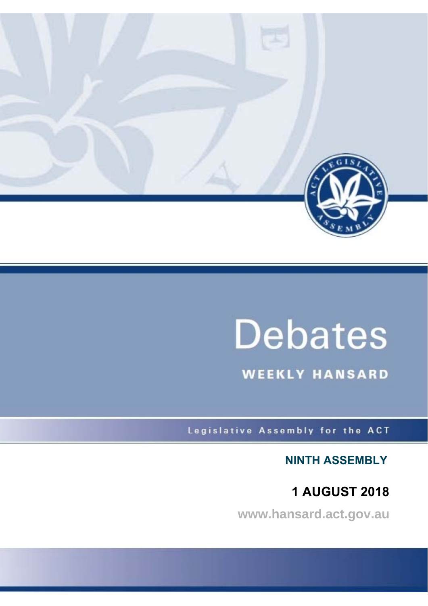

# **Debates**

**WEEKLY HANSARD** 

Legislative Assembly for the ACT

**NINTH ASSEMBLY**

**1 AUGUST 2018**

**www.hansard.act.gov.au**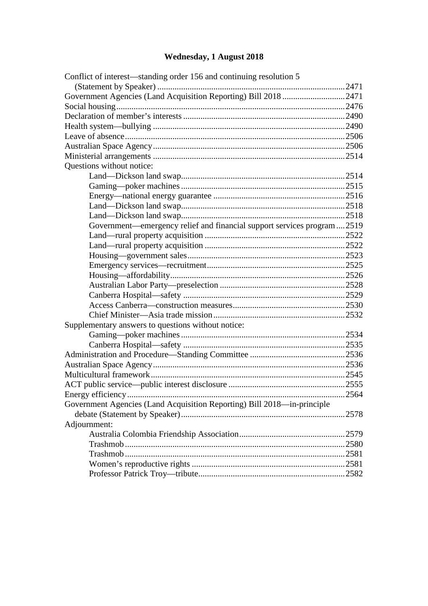# **[Wednesday, 1 August 2018](#page-2-0)**

| Conflict of interest—standing order 156 and continuing resolution 5      |       |
|--------------------------------------------------------------------------|-------|
|                                                                          |       |
| Government Agencies (Land Acquisition Reporting) Bill 2018 2471          |       |
|                                                                          |       |
|                                                                          |       |
|                                                                          |       |
|                                                                          |       |
|                                                                          |       |
|                                                                          |       |
| Questions without notice:                                                |       |
|                                                                          |       |
|                                                                          |       |
|                                                                          |       |
|                                                                          |       |
|                                                                          |       |
| Government—emergency relief and financial support services program  2519 |       |
|                                                                          |       |
|                                                                          |       |
|                                                                          |       |
|                                                                          |       |
|                                                                          |       |
|                                                                          |       |
|                                                                          |       |
|                                                                          |       |
|                                                                          |       |
| Supplementary answers to questions without notice:                       |       |
|                                                                          |       |
|                                                                          |       |
|                                                                          |       |
|                                                                          |       |
|                                                                          |       |
|                                                                          |       |
|                                                                          |       |
| Government Agencies (Land Acquisition Reporting) Bill 2018—in-principle  |       |
|                                                                          | .2578 |
| Adjournment:                                                             |       |
|                                                                          |       |
|                                                                          |       |
|                                                                          |       |
|                                                                          |       |
|                                                                          |       |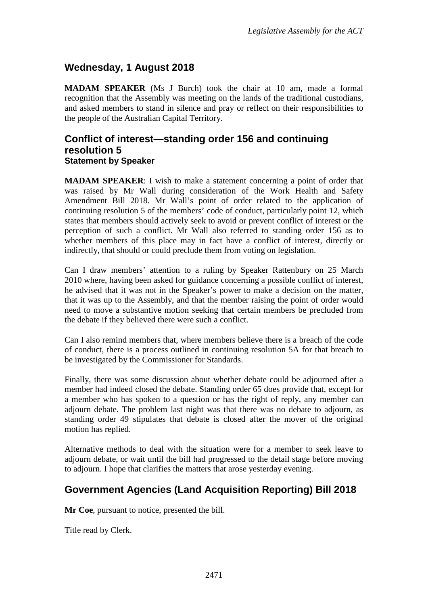## <span id="page-2-0"></span>**Wednesday, 1 August 2018**

**MADAM SPEAKER** (Ms J Burch) took the chair at 10 am, made a formal recognition that the Assembly was meeting on the lands of the traditional custodians, and asked members to stand in silence and pray or reflect on their responsibilities to the people of the Australian Capital Territory.

#### <span id="page-2-1"></span>**Conflict of interest—standing order 156 and continuing resolution 5 Statement by Speaker**

<span id="page-2-2"></span>**MADAM SPEAKER**: I wish to make a statement concerning a point of order that was raised by Mr Wall during consideration of the Work Health and Safety Amendment Bill 2018. Mr Wall's point of order related to the application of continuing resolution 5 of the members' code of conduct, particularly point 12, which states that members should actively seek to avoid or prevent conflict of interest or the perception of such a conflict. Mr Wall also referred to standing order 156 as to whether members of this place may in fact have a conflict of interest, directly or indirectly, that should or could preclude them from voting on legislation.

Can I draw members' attention to a ruling by Speaker Rattenbury on 25 March 2010 where, having been asked for guidance concerning a possible conflict of interest, he advised that it was not in the Speaker's power to make a decision on the matter, that it was up to the Assembly, and that the member raising the point of order would need to move a substantive motion seeking that certain members be precluded from the debate if they believed there were such a conflict.

Can I also remind members that, where members believe there is a breach of the code of conduct, there is a process outlined in continuing resolution 5A for that breach to be investigated by the Commissioner for Standards.

Finally, there was some discussion about whether debate could be adjourned after a member had indeed closed the debate. Standing order 65 does provide that, except for a member who has spoken to a question or has the right of reply, any member can adjourn debate. The problem last night was that there was no debate to adjourn, as standing order 49 stipulates that debate is closed after the mover of the original motion has replied.

Alternative methods to deal with the situation were for a member to seek leave to adjourn debate, or wait until the bill had progressed to the detail stage before moving to adjourn. I hope that clarifies the matters that arose yesterday evening.

## <span id="page-2-3"></span>**Government Agencies (Land Acquisition Reporting) Bill 2018**

**Mr Coe**, pursuant to notice, presented the bill.

Title read by Clerk.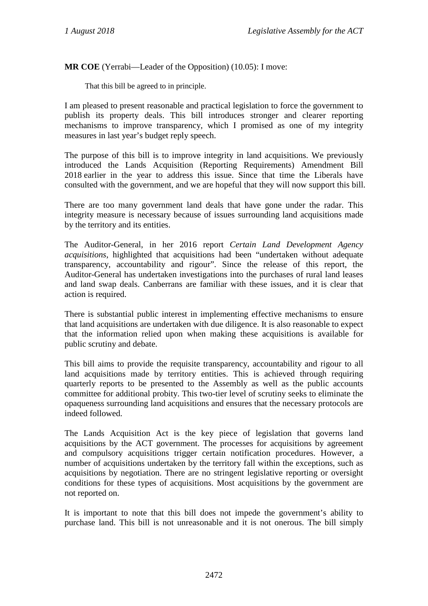**MR COE** (Yerrabi—Leader of the Opposition) (10.05): I move:

That this bill be agreed to in principle.

I am pleased to present reasonable and practical legislation to force the government to publish its property deals. This bill introduces stronger and clearer reporting mechanisms to improve transparency, which I promised as one of my integrity measures in last year's budget reply speech.

The purpose of this bill is to improve integrity in land acquisitions. We previously introduced the Lands Acquisition (Reporting Requirements) Amendment Bill 2018 earlier in the year to address this issue. Since that time the Liberals have consulted with the government, and we are hopeful that they will now support this bill.

There are too many government land deals that have gone under the radar. This integrity measure is necessary because of issues surrounding land acquisitions made by the territory and its entities.

The Auditor-General, in her 2016 report *Certain Land Development Agency acquisitions*, highlighted that acquisitions had been "undertaken without adequate transparency, accountability and rigour". Since the release of this report, the Auditor-General has undertaken investigations into the purchases of rural land leases and land swap deals. Canberrans are familiar with these issues, and it is clear that action is required.

There is substantial public interest in implementing effective mechanisms to ensure that land acquisitions are undertaken with due diligence. It is also reasonable to expect that the information relied upon when making these acquisitions is available for public scrutiny and debate.

This bill aims to provide the requisite transparency, accountability and rigour to all land acquisitions made by territory entities. This is achieved through requiring quarterly reports to be presented to the Assembly as well as the public accounts committee for additional probity. This two-tier level of scrutiny seeks to eliminate the opaqueness surrounding land acquisitions and ensures that the necessary protocols are indeed followed.

The Lands Acquisition Act is the key piece of legislation that governs land acquisitions by the ACT government. The processes for acquisitions by agreement and compulsory acquisitions trigger certain notification procedures. However, a number of acquisitions undertaken by the territory fall within the exceptions, such as acquisitions by negotiation. There are no stringent legislative reporting or oversight conditions for these types of acquisitions. Most acquisitions by the government are not reported on.

It is important to note that this bill does not impede the government's ability to purchase land. This bill is not unreasonable and it is not onerous. The bill simply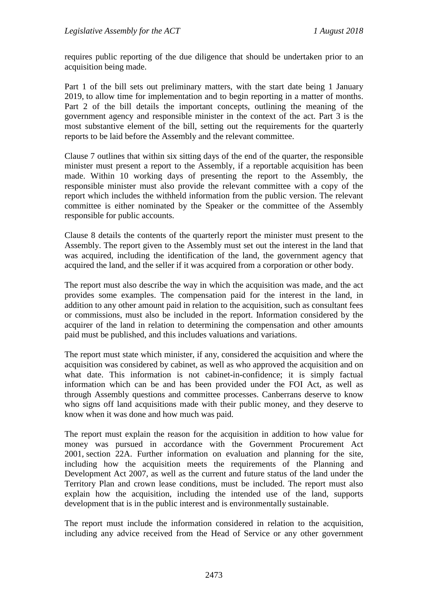requires public reporting of the due diligence that should be undertaken prior to an acquisition being made.

Part 1 of the bill sets out preliminary matters, with the start date being 1 January 2019, to allow time for implementation and to begin reporting in a matter of months. Part 2 of the bill details the important concepts, outlining the meaning of the government agency and responsible minister in the context of the act. Part 3 is the most substantive element of the bill, setting out the requirements for the quarterly reports to be laid before the Assembly and the relevant committee.

Clause 7 outlines that within six sitting days of the end of the quarter, the responsible minister must present a report to the Assembly, if a reportable acquisition has been made. Within 10 working days of presenting the report to the Assembly, the responsible minister must also provide the relevant committee with a copy of the report which includes the withheld information from the public version. The relevant committee is either nominated by the Speaker or the committee of the Assembly responsible for public accounts.

Clause 8 details the contents of the quarterly report the minister must present to the Assembly. The report given to the Assembly must set out the interest in the land that was acquired, including the identification of the land, the government agency that acquired the land, and the seller if it was acquired from a corporation or other body.

The report must also describe the way in which the acquisition was made, and the act provides some examples. The compensation paid for the interest in the land, in addition to any other amount paid in relation to the acquisition, such as consultant fees or commissions, must also be included in the report. Information considered by the acquirer of the land in relation to determining the compensation and other amounts paid must be published, and this includes valuations and variations.

The report must state which minister, if any, considered the acquisition and where the acquisition was considered by cabinet, as well as who approved the acquisition and on what date. This information is not cabinet-in-confidence; it is simply factual information which can be and has been provided under the FOI Act, as well as through Assembly questions and committee processes. Canberrans deserve to know who signs off land acquisitions made with their public money, and they deserve to know when it was done and how much was paid.

The report must explain the reason for the acquisition in addition to how value for money was pursued in accordance with the Government Procurement Act 2001, section 22A. Further information on evaluation and planning for the site, including how the acquisition meets the requirements of the Planning and Development Act 2007, as well as the current and future status of the land under the Territory Plan and crown lease conditions, must be included. The report must also explain how the acquisition, including the intended use of the land, supports development that is in the public interest and is environmentally sustainable.

The report must include the information considered in relation to the acquisition, including any advice received from the Head of Service or any other government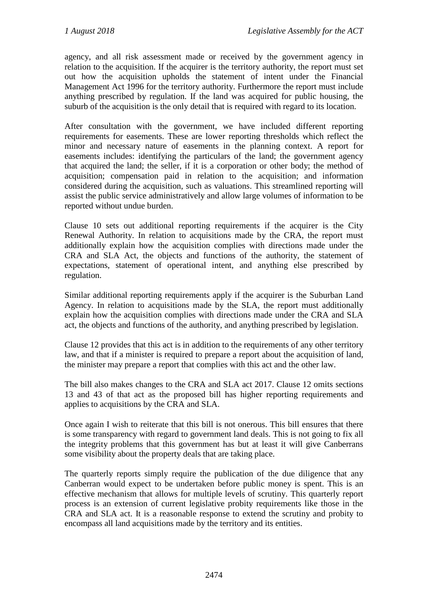agency, and all risk assessment made or received by the government agency in relation to the acquisition. If the acquirer is the territory authority, the report must set out how the acquisition upholds the statement of intent under the Financial Management Act 1996 for the territory authority. Furthermore the report must include anything prescribed by regulation. If the land was acquired for public housing, the suburb of the acquisition is the only detail that is required with regard to its location.

After consultation with the government, we have included different reporting requirements for easements. These are lower reporting thresholds which reflect the minor and necessary nature of easements in the planning context. A report for easements includes: identifying the particulars of the land; the government agency that acquired the land; the seller, if it is a corporation or other body; the method of acquisition; compensation paid in relation to the acquisition; and information considered during the acquisition, such as valuations. This streamlined reporting will assist the public service administratively and allow large volumes of information to be reported without undue burden.

Clause 10 sets out additional reporting requirements if the acquirer is the City Renewal Authority. In relation to acquisitions made by the CRA, the report must additionally explain how the acquisition complies with directions made under the CRA and SLA Act, the objects and functions of the authority, the statement of expectations, statement of operational intent, and anything else prescribed by regulation.

Similar additional reporting requirements apply if the acquirer is the Suburban Land Agency. In relation to acquisitions made by the SLA, the report must additionally explain how the acquisition complies with directions made under the CRA and SLA act, the objects and functions of the authority, and anything prescribed by legislation.

Clause 12 provides that this act is in addition to the requirements of any other territory law, and that if a minister is required to prepare a report about the acquisition of land, the minister may prepare a report that complies with this act and the other law.

The bill also makes changes to the CRA and SLA act 2017. Clause 12 omits sections 13 and 43 of that act as the proposed bill has higher reporting requirements and applies to acquisitions by the CRA and SLA.

Once again I wish to reiterate that this bill is not onerous. This bill ensures that there is some transparency with regard to government land deals. This is not going to fix all the integrity problems that this government has but at least it will give Canberrans some visibility about the property deals that are taking place.

The quarterly reports simply require the publication of the due diligence that any Canberran would expect to be undertaken before public money is spent. This is an effective mechanism that allows for multiple levels of scrutiny. This quarterly report process is an extension of current legislative probity requirements like those in the CRA and SLA act. It is a reasonable response to extend the scrutiny and probity to encompass all land acquisitions made by the territory and its entities.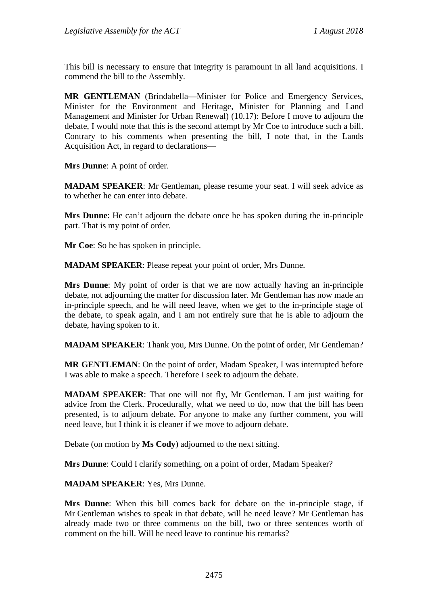This bill is necessary to ensure that integrity is paramount in all land acquisitions. I commend the bill to the Assembly.

**MR GENTLEMAN** (Brindabella—Minister for Police and Emergency Services, Minister for the Environment and Heritage, Minister for Planning and Land Management and Minister for Urban Renewal) (10.17): Before I move to adjourn the debate, I would note that this is the second attempt by Mr Coe to introduce such a bill. Contrary to his comments when presenting the bill, I note that, in the Lands Acquisition Act, in regard to declarations—

**Mrs Dunne**: A point of order.

**MADAM SPEAKER**: Mr Gentleman, please resume your seat. I will seek advice as to whether he can enter into debate.

**Mrs Dunne**: He can't adjourn the debate once he has spoken during the in-principle part. That is my point of order.

**Mr Coe**: So he has spoken in principle.

**MADAM SPEAKER**: Please repeat your point of order, Mrs Dunne.

**Mrs Dunne**: My point of order is that we are now actually having an in-principle debate, not adjourning the matter for discussion later. Mr Gentleman has now made an in-principle speech, and he will need leave, when we get to the in-principle stage of the debate, to speak again, and I am not entirely sure that he is able to adjourn the debate, having spoken to it.

**MADAM SPEAKER**: Thank you, Mrs Dunne. On the point of order, Mr Gentleman?

**MR GENTLEMAN**: On the point of order, Madam Speaker, I was interrupted before I was able to make a speech. Therefore I seek to adjourn the debate.

**MADAM SPEAKER**: That one will not fly, Mr Gentleman. I am just waiting for advice from the Clerk. Procedurally, what we need to do, now that the bill has been presented, is to adjourn debate. For anyone to make any further comment, you will need leave, but I think it is cleaner if we move to adjourn debate.

Debate (on motion by **Ms Cody**) adjourned to the next sitting.

**Mrs Dunne**: Could I clarify something, on a point of order, Madam Speaker?

**MADAM SPEAKER**: Yes, Mrs Dunne.

**Mrs Dunne**: When this bill comes back for debate on the in-principle stage, if Mr Gentleman wishes to speak in that debate, will he need leave? Mr Gentleman has already made two or three comments on the bill, two or three sentences worth of comment on the bill. Will he need leave to continue his remarks?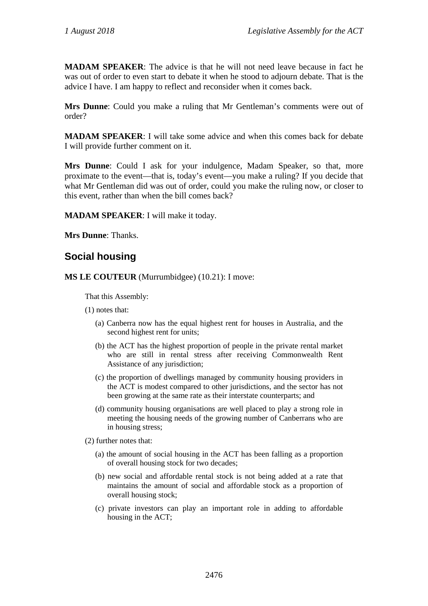**MADAM SPEAKER**: The advice is that he will not need leave because in fact he was out of order to even start to debate it when he stood to adjourn debate. That is the advice I have. I am happy to reflect and reconsider when it comes back.

**Mrs Dunne**: Could you make a ruling that Mr Gentleman's comments were out of order?

**MADAM SPEAKER**: I will take some advice and when this comes back for debate I will provide further comment on it.

**Mrs Dunne**: Could I ask for your indulgence, Madam Speaker, so that, more proximate to the event—that is, today's event—you make a ruling? If you decide that what Mr Gentleman did was out of order, could you make the ruling now, or closer to this event, rather than when the bill comes back?

**MADAM SPEAKER**: I will make it today.

**Mrs Dunne**: Thanks.

#### <span id="page-7-0"></span>**Social housing**

**MS LE COUTEUR** (Murrumbidgee) (10.21): I move:

That this Assembly:

- (1) notes that:
	- (a) Canberra now has the equal highest rent for houses in Australia, and the second highest rent for units;
	- (b) the ACT has the highest proportion of people in the private rental market who are still in rental stress after receiving Commonwealth Rent Assistance of any jurisdiction;
	- (c) the proportion of dwellings managed by community housing providers in the ACT is modest compared to other jurisdictions, and the sector has not been growing at the same rate as their interstate counterparts; and
	- (d) community housing organisations are well placed to play a strong role in meeting the housing needs of the growing number of Canberrans who are in housing stress;
- (2) further notes that:
	- (a) the amount of social housing in the ACT has been falling as a proportion of overall housing stock for two decades;
	- (b) new social and affordable rental stock is not being added at a rate that maintains the amount of social and affordable stock as a proportion of overall housing stock;
	- (c) private investors can play an important role in adding to affordable housing in the ACT;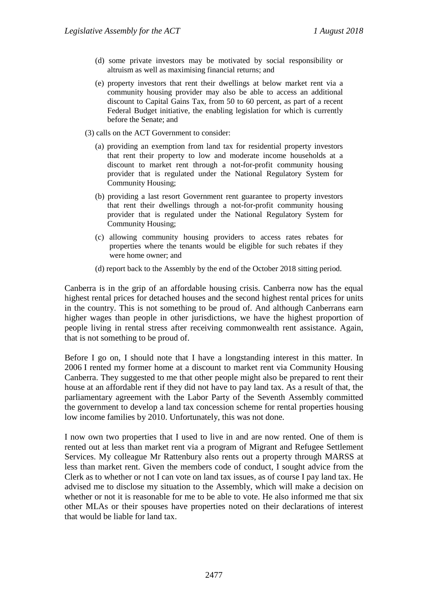- (d) some private investors may be motivated by social responsibility or altruism as well as maximising financial returns; and
- (e) property investors that rent their dwellings at below market rent via a community housing provider may also be able to access an additional discount to Capital Gains Tax, from 50 to 60 percent, as part of a recent Federal Budget initiative, the enabling legislation for which is currently before the Senate; and
- (3) calls on the ACT Government to consider:
	- (a) providing an exemption from land tax for residential property investors that rent their property to low and moderate income households at a discount to market rent through a not-for-profit community housing provider that is regulated under the National Regulatory System for Community Housing;
	- (b) providing a last resort Government rent guarantee to property investors that rent their dwellings through a not-for-profit community housing provider that is regulated under the National Regulatory System for Community Housing;
	- (c) allowing community housing providers to access rates rebates for properties where the tenants would be eligible for such rebates if they were home owner; and
	- (d) report back to the Assembly by the end of the October 2018 sitting period.

Canberra is in the grip of an affordable housing crisis. Canberra now has the equal highest rental prices for detached houses and the second highest rental prices for units in the country. This is not something to be proud of. And although Canberrans earn higher wages than people in other jurisdictions, we have the highest proportion of people living in rental stress after receiving commonwealth rent assistance. Again, that is not something to be proud of.

Before I go on, I should note that I have a longstanding interest in this matter. In 2006 I rented my former home at a discount to market rent via Community Housing Canberra. They suggested to me that other people might also be prepared to rent their house at an affordable rent if they did not have to pay land tax. As a result of that, the parliamentary agreement with the Labor Party of the Seventh Assembly committed the government to develop a land tax concession scheme for rental properties housing low income families by 2010. Unfortunately, this was not done.

I now own two properties that I used to live in and are now rented. One of them is rented out at less than market rent via a program of Migrant and Refugee Settlement Services. My colleague Mr Rattenbury also rents out a property through MARSS at less than market rent. Given the members code of conduct, I sought advice from the Clerk as to whether or not I can vote on land tax issues, as of course I pay land tax. He advised me to disclose my situation to the Assembly, which will make a decision on whether or not it is reasonable for me to be able to vote. He also informed me that six other MLAs or their spouses have properties noted on their declarations of interest that would be liable for land tax.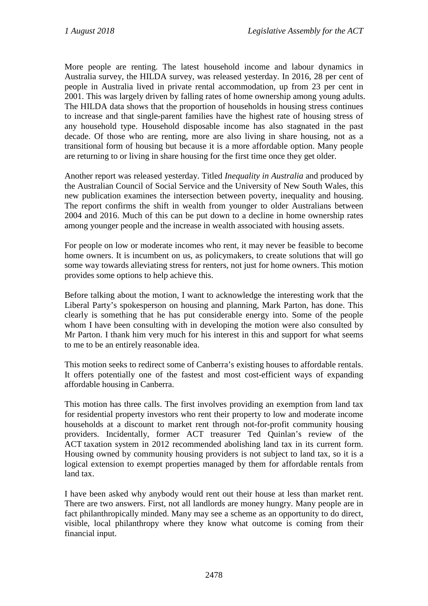More people are renting. The latest household income and labour dynamics in Australia survey, the HILDA survey, was released yesterday. In 2016, 28 per cent of people in Australia lived in private rental accommodation, up from 23 per cent in 2001. This was largely driven by falling rates of home ownership among young adults. The HILDA data shows that the proportion of households in housing stress continues to increase and that single-parent families have the highest rate of housing stress of any household type. Household disposable income has also stagnated in the past decade. Of those who are renting, more are also living in share housing, not as a transitional form of housing but because it is a more affordable option. Many people are returning to or living in share housing for the first time once they get older.

Another report was released yesterday. Titled *Inequality in Australia* and produced by the Australian Council of Social Service and the University of New South Wales, this new publication examines the intersection between poverty, inequality and housing. The report confirms the shift in wealth from younger to older Australians between 2004 and 2016. Much of this can be put down to a decline in home ownership rates among younger people and the increase in wealth associated with housing assets.

For people on low or moderate incomes who rent, it may never be feasible to become home owners. It is incumbent on us, as policymakers, to create solutions that will go some way towards alleviating stress for renters, not just for home owners. This motion provides some options to help achieve this.

Before talking about the motion, I want to acknowledge the interesting work that the Liberal Party's spokesperson on housing and planning, Mark Parton, has done. This clearly is something that he has put considerable energy into. Some of the people whom I have been consulting with in developing the motion were also consulted by Mr Parton. I thank him very much for his interest in this and support for what seems to me to be an entirely reasonable idea.

This motion seeks to redirect some of Canberra's existing houses to affordable rentals. It offers potentially one of the fastest and most cost-efficient ways of expanding affordable housing in Canberra.

This motion has three calls. The first involves providing an exemption from land tax for residential property investors who rent their property to low and moderate income households at a discount to market rent through not-for-profit community housing providers. Incidentally, former ACT treasurer Ted Quinlan's review of the ACT taxation system in 2012 recommended abolishing land tax in its current form. Housing owned by community housing providers is not subject to land tax, so it is a logical extension to exempt properties managed by them for affordable rentals from land tax.

I have been asked why anybody would rent out their house at less than market rent. There are two answers. First, not all landlords are money hungry. Many people are in fact philanthropically minded. Many may see a scheme as an opportunity to do direct, visible, local philanthropy where they know what outcome is coming from their financial input.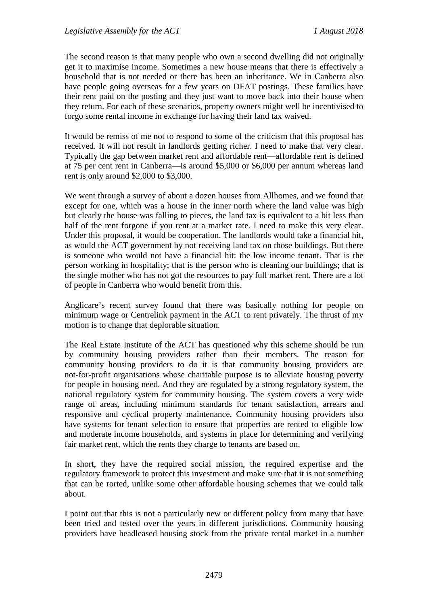The second reason is that many people who own a second dwelling did not originally get it to maximise income. Sometimes a new house means that there is effectively a household that is not needed or there has been an inheritance. We in Canberra also have people going overseas for a few years on DFAT postings. These families have their rent paid on the posting and they just want to move back into their house when they return. For each of these scenarios, property owners might well be incentivised to forgo some rental income in exchange for having their land tax waived.

It would be remiss of me not to respond to some of the criticism that this proposal has received. It will not result in landlords getting richer. I need to make that very clear. Typically the gap between market rent and affordable rent—affordable rent is defined at 75 per cent rent in Canberra—is around \$5,000 or \$6,000 per annum whereas land rent is only around \$2,000 to \$3,000.

We went through a survey of about a dozen houses from Allhomes, and we found that except for one, which was a house in the inner north where the land value was high but clearly the house was falling to pieces, the land tax is equivalent to a bit less than half of the rent forgone if you rent at a market rate. I need to make this very clear. Under this proposal, it would be cooperation. The landlords would take a financial hit, as would the ACT government by not receiving land tax on those buildings. But there is someone who would not have a financial hit: the low income tenant. That is the person working in hospitality; that is the person who is cleaning our buildings; that is the single mother who has not got the resources to pay full market rent. There are a lot of people in Canberra who would benefit from this.

Anglicare's recent survey found that there was basically nothing for people on minimum wage or Centrelink payment in the ACT to rent privately. The thrust of my motion is to change that deplorable situation.

The Real Estate Institute of the ACT has questioned why this scheme should be run by community housing providers rather than their members. The reason for community housing providers to do it is that community housing providers are not-for-profit organisations whose charitable purpose is to alleviate housing poverty for people in housing need. And they are regulated by a strong regulatory system, the national regulatory system for community housing. The system covers a very wide range of areas, including minimum standards for tenant satisfaction, arrears and responsive and cyclical property maintenance. Community housing providers also have systems for tenant selection to ensure that properties are rented to eligible low and moderate income households, and systems in place for determining and verifying fair market rent, which the rents they charge to tenants are based on.

In short, they have the required social mission, the required expertise and the regulatory framework to protect this investment and make sure that it is not something that can be rorted, unlike some other affordable housing schemes that we could talk about.

I point out that this is not a particularly new or different policy from many that have been tried and tested over the years in different jurisdictions. Community housing providers have headleased housing stock from the private rental market in a number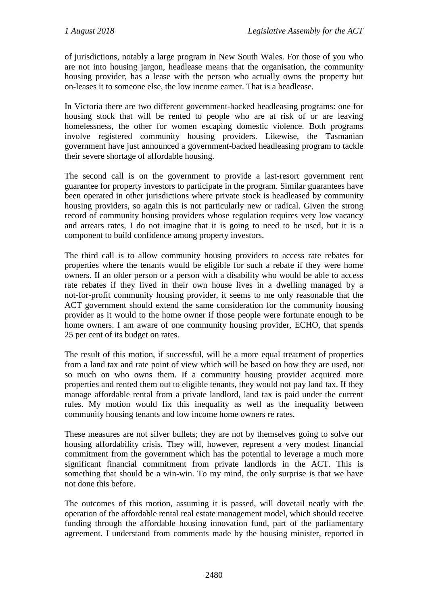of jurisdictions, notably a large program in New South Wales. For those of you who are not into housing jargon, headlease means that the organisation, the community housing provider, has a lease with the person who actually owns the property but on-leases it to someone else, the low income earner. That is a headlease.

In Victoria there are two different government-backed headleasing programs: one for housing stock that will be rented to people who are at risk of or are leaving homelessness, the other for women escaping domestic violence. Both programs involve registered community housing providers. Likewise, the Tasmanian government have just announced a government-backed headleasing program to tackle their severe shortage of affordable housing.

The second call is on the government to provide a last-resort government rent guarantee for property investors to participate in the program. Similar guarantees have been operated in other jurisdictions where private stock is headleased by community housing providers, so again this is not particularly new or radical. Given the strong record of community housing providers whose regulation requires very low vacancy and arrears rates, I do not imagine that it is going to need to be used, but it is a component to build confidence among property investors.

The third call is to allow community housing providers to access rate rebates for properties where the tenants would be eligible for such a rebate if they were home owners. If an older person or a person with a disability who would be able to access rate rebates if they lived in their own house lives in a dwelling managed by a not-for-profit community housing provider, it seems to me only reasonable that the ACT government should extend the same consideration for the community housing provider as it would to the home owner if those people were fortunate enough to be home owners. I am aware of one community housing provider, ECHO, that spends 25 per cent of its budget on rates.

The result of this motion, if successful, will be a more equal treatment of properties from a land tax and rate point of view which will be based on how they are used, not so much on who owns them. If a community housing provider acquired more properties and rented them out to eligible tenants, they would not pay land tax. If they manage affordable rental from a private landlord, land tax is paid under the current rules. My motion would fix this inequality as well as the inequality between community housing tenants and low income home owners re rates.

These measures are not silver bullets; they are not by themselves going to solve our housing affordability crisis. They will, however, represent a very modest financial commitment from the government which has the potential to leverage a much more significant financial commitment from private landlords in the ACT. This is something that should be a win-win. To my mind, the only surprise is that we have not done this before.

The outcomes of this motion, assuming it is passed, will dovetail neatly with the operation of the affordable rental real estate management model, which should receive funding through the affordable housing innovation fund, part of the parliamentary agreement. I understand from comments made by the housing minister, reported in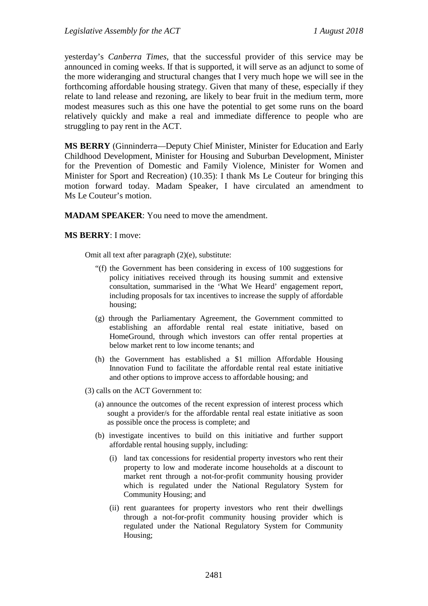yesterday's *Canberra Times*, that the successful provider of this service may be announced in coming weeks. If that is supported, it will serve as an adjunct to some of the more wideranging and structural changes that I very much hope we will see in the forthcoming affordable housing strategy. Given that many of these, especially if they relate to land release and rezoning, are likely to bear fruit in the medium term, more modest measures such as this one have the potential to get some runs on the board relatively quickly and make a real and immediate difference to people who are struggling to pay rent in the ACT.

**MS BERRY** (Ginninderra—Deputy Chief Minister, Minister for Education and Early Childhood Development, Minister for Housing and Suburban Development, Minister for the Prevention of Domestic and Family Violence, Minister for Women and Minister for Sport and Recreation) (10.35): I thank Ms Le Couteur for bringing this motion forward today. Madam Speaker, I have circulated an amendment to Ms Le Couteur's motion.

**MADAM SPEAKER**: You need to move the amendment.

#### **MS BERRY**: I move:

Omit all text after paragraph (2)(e), substitute:

- "(f) the Government has been considering in excess of 100 suggestions for policy initiatives received through its housing summit and extensive consultation, summarised in the 'What We Heard' engagement report, including proposals for tax incentives to increase the supply of affordable housing;
- (g) through the Parliamentary Agreement, the Government committed to establishing an affordable rental real estate initiative, based on HomeGround, through which investors can offer rental properties at below market rent to low income tenants; and
- (h) the Government has established a \$1 million Affordable Housing Innovation Fund to facilitate the affordable rental real estate initiative and other options to improve access to affordable housing; and
- (3) calls on the ACT Government to:
	- (a) announce the outcomes of the recent expression of interest process which sought a provider/s for the affordable rental real estate initiative as soon as possible once the process is complete; and
	- (b) investigate incentives to build on this initiative and further support affordable rental housing supply, including:
		- (i) land tax concessions for residential property investors who rent their property to low and moderate income households at a discount to market rent through a not-for-profit community housing provider which is regulated under the National Regulatory System for Community Housing; and
		- (ii) rent guarantees for property investors who rent their dwellings through a not-for-profit community housing provider which is regulated under the National Regulatory System for Community Housing;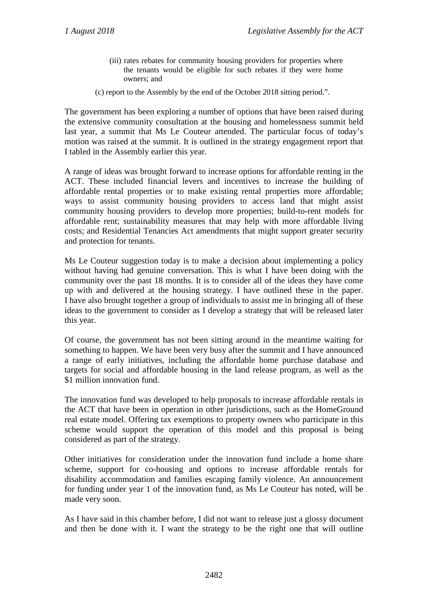- (iii) rates rebates for community housing providers for properties where the tenants would be eligible for such rebates if they were home owners; and
- (c) report to the Assembly by the end of the October 2018 sitting period.".

The government has been exploring a number of options that have been raised during the extensive community consultation at the housing and homelessness summit held last year, a summit that Ms Le Couteur attended. The particular focus of today's motion was raised at the summit. It is outlined in the strategy engagement report that I tabled in the Assembly earlier this year.

A range of ideas was brought forward to increase options for affordable renting in the ACT. These included financial levers and incentives to increase the building of affordable rental properties or to make existing rental properties more affordable; ways to assist community housing providers to access land that might assist community housing providers to develop more properties; build-to-rent models for affordable rent; sustainability measures that may help with more affordable living costs; and Residential Tenancies Act amendments that might support greater security and protection for tenants.

Ms Le Couteur suggestion today is to make a decision about implementing a policy without having had genuine conversation. This is what I have been doing with the community over the past 18 months. It is to consider all of the ideas they have come up with and delivered at the housing strategy. I have outlined these in the paper. I have also brought together a group of individuals to assist me in bringing all of these ideas to the government to consider as I develop a strategy that will be released later this year.

Of course, the government has not been sitting around in the meantime waiting for something to happen. We have been very busy after the summit and I have announced a range of early initiatives, including the affordable home purchase database and targets for social and affordable housing in the land release program, as well as the \$1 million innovation fund.

The innovation fund was developed to help proposals to increase affordable rentals in the ACT that have been in operation in other jurisdictions, such as the HomeGround real estate model. Offering tax exemptions to property owners who participate in this scheme would support the operation of this model and this proposal is being considered as part of the strategy.

Other initiatives for consideration under the innovation fund include a home share scheme, support for co-housing and options to increase affordable rentals for disability accommodation and families escaping family violence. An announcement for funding under year 1 of the innovation fund, as Ms Le Couteur has noted, will be made very soon.

As I have said in this chamber before, I did not want to release just a glossy document and then be done with it. I want the strategy to be the right one that will outline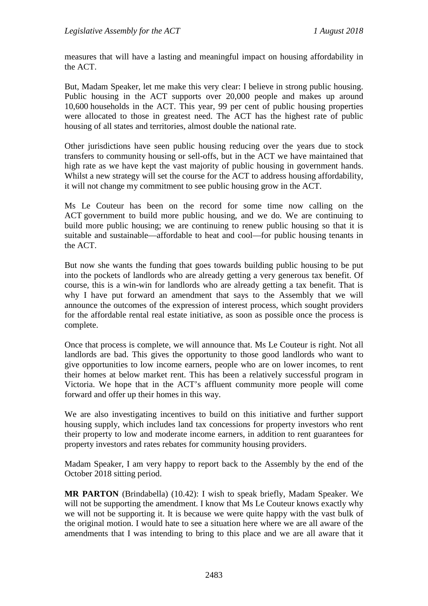measures that will have a lasting and meaningful impact on housing affordability in the ACT.

But, Madam Speaker, let me make this very clear: I believe in strong public housing. Public housing in the ACT supports over 20,000 people and makes up around 10,600 households in the ACT. This year, 99 per cent of public housing properties were allocated to those in greatest need. The ACT has the highest rate of public housing of all states and territories, almost double the national rate.

Other jurisdictions have seen public housing reducing over the years due to stock transfers to community housing or sell-offs, but in the ACT we have maintained that high rate as we have kept the vast majority of public housing in government hands. Whilst a new strategy will set the course for the ACT to address housing affordability, it will not change my commitment to see public housing grow in the ACT.

Ms Le Couteur has been on the record for some time now calling on the ACT government to build more public housing, and we do. We are continuing to build more public housing; we are continuing to renew public housing so that it is suitable and sustainable—affordable to heat and cool—for public housing tenants in the ACT.

But now she wants the funding that goes towards building public housing to be put into the pockets of landlords who are already getting a very generous tax benefit. Of course, this is a win-win for landlords who are already getting a tax benefit. That is why I have put forward an amendment that says to the Assembly that we will announce the outcomes of the expression of interest process, which sought providers for the affordable rental real estate initiative, as soon as possible once the process is complete.

Once that process is complete, we will announce that. Ms Le Couteur is right. Not all landlords are bad. This gives the opportunity to those good landlords who want to give opportunities to low income earners, people who are on lower incomes, to rent their homes at below market rent. This has been a relatively successful program in Victoria. We hope that in the ACT's affluent community more people will come forward and offer up their homes in this way.

We are also investigating incentives to build on this initiative and further support housing supply, which includes land tax concessions for property investors who rent their property to low and moderate income earners, in addition to rent guarantees for property investors and rates rebates for community housing providers.

Madam Speaker, I am very happy to report back to the Assembly by the end of the October 2018 sitting period.

**MR PARTON** (Brindabella) (10.42): I wish to speak briefly, Madam Speaker. We will not be supporting the amendment. I know that Ms Le Couteur knows exactly why we will not be supporting it. It is because we were quite happy with the vast bulk of the original motion. I would hate to see a situation here where we are all aware of the amendments that I was intending to bring to this place and we are all aware that it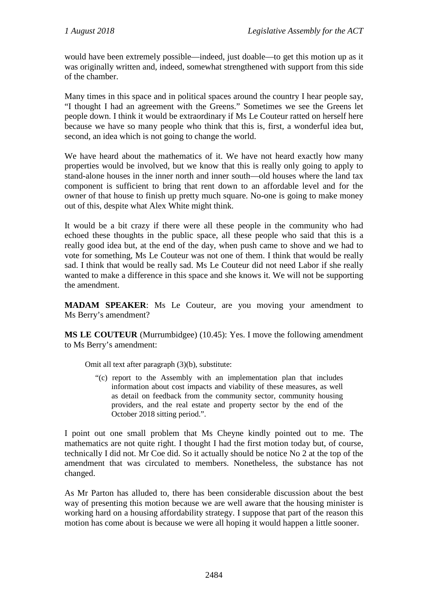would have been extremely possible—indeed, just doable—to get this motion up as it was originally written and, indeed, somewhat strengthened with support from this side of the chamber.

Many times in this space and in political spaces around the country I hear people say, "I thought I had an agreement with the Greens." Sometimes we see the Greens let people down. I think it would be extraordinary if Ms Le Couteur ratted on herself here because we have so many people who think that this is, first, a wonderful idea but, second, an idea which is not going to change the world.

We have heard about the mathematics of it. We have not heard exactly how many properties would be involved, but we know that this is really only going to apply to stand-alone houses in the inner north and inner south—old houses where the land tax component is sufficient to bring that rent down to an affordable level and for the owner of that house to finish up pretty much square. No-one is going to make money out of this, despite what Alex White might think.

It would be a bit crazy if there were all these people in the community who had echoed these thoughts in the public space, all these people who said that this is a really good idea but, at the end of the day, when push came to shove and we had to vote for something, Ms Le Couteur was not one of them. I think that would be really sad. I think that would be really sad. Ms Le Couteur did not need Labor if she really wanted to make a difference in this space and she knows it. We will not be supporting the amendment.

**MADAM SPEAKER**: Ms Le Couteur, are you moving your amendment to Ms Berry's amendment?

**MS LE COUTEUR** (Murrumbidgee) (10.45): Yes. I move the following amendment to Ms Berry's amendment:

Omit all text after paragraph (3)(b), substitute:

"(c) report to the Assembly with an implementation plan that includes information about cost impacts and viability of these measures, as well as detail on feedback from the community sector, community housing providers, and the real estate and property sector by the end of the October 2018 sitting period.".

I point out one small problem that Ms Cheyne kindly pointed out to me. The mathematics are not quite right. I thought I had the first motion today but, of course, technically I did not. Mr Coe did. So it actually should be notice No 2 at the top of the amendment that was circulated to members. Nonetheless, the substance has not changed.

As Mr Parton has alluded to, there has been considerable discussion about the best way of presenting this motion because we are well aware that the housing minister is working hard on a housing affordability strategy. I suppose that part of the reason this motion has come about is because we were all hoping it would happen a little sooner.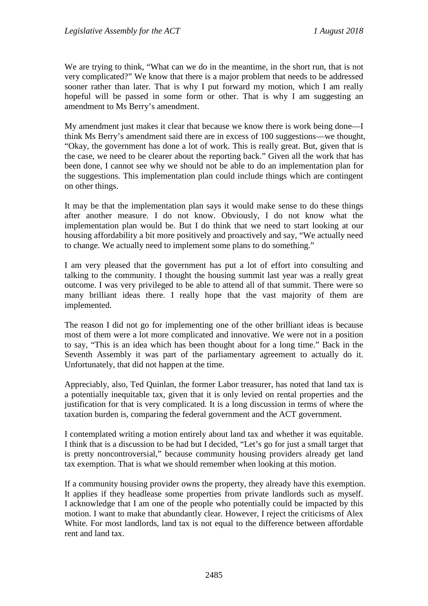We are trying to think, "What can we do in the meantime, in the short run, that is not very complicated?" We know that there is a major problem that needs to be addressed sooner rather than later. That is why I put forward my motion, which I am really hopeful will be passed in some form or other. That is why I am suggesting an amendment to Ms Berry's amendment.

My amendment just makes it clear that because we know there is work being done—I think Ms Berry's amendment said there are in excess of 100 suggestions—we thought, "Okay, the government has done a lot of work. This is really great. But, given that is the case, we need to be clearer about the reporting back." Given all the work that has been done, I cannot see why we should not be able to do an implementation plan for the suggestions. This implementation plan could include things which are contingent on other things.

It may be that the implementation plan says it would make sense to do these things after another measure. I do not know. Obviously, I do not know what the implementation plan would be. But I do think that we need to start looking at our housing affordability a bit more positively and proactively and say, "We actually need to change. We actually need to implement some plans to do something."

I am very pleased that the government has put a lot of effort into consulting and talking to the community. I thought the housing summit last year was a really great outcome. I was very privileged to be able to attend all of that summit. There were so many brilliant ideas there. I really hope that the vast majority of them are implemented.

The reason I did not go for implementing one of the other brilliant ideas is because most of them were a lot more complicated and innovative. We were not in a position to say, "This is an idea which has been thought about for a long time." Back in the Seventh Assembly it was part of the parliamentary agreement to actually do it. Unfortunately, that did not happen at the time.

Appreciably, also, Ted Quinlan, the former Labor treasurer, has noted that land tax is a potentially inequitable tax, given that it is only levied on rental properties and the justification for that is very complicated. It is a long discussion in terms of where the taxation burden is, comparing the federal government and the ACT government.

I contemplated writing a motion entirely about land tax and whether it was equitable. I think that is a discussion to be had but I decided, "Let's go for just a small target that is pretty noncontroversial," because community housing providers already get land tax exemption. That is what we should remember when looking at this motion.

If a community housing provider owns the property, they already have this exemption. It applies if they headlease some properties from private landlords such as myself. I acknowledge that I am one of the people who potentially could be impacted by this motion. I want to make that abundantly clear. However, I reject the criticisms of Alex White. For most landlords, land tax is not equal to the difference between affordable rent and land tax.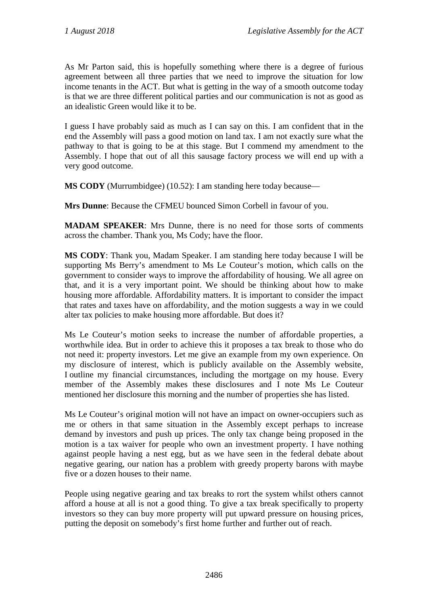As Mr Parton said, this is hopefully something where there is a degree of furious agreement between all three parties that we need to improve the situation for low income tenants in the ACT. But what is getting in the way of a smooth outcome today is that we are three different political parties and our communication is not as good as an idealistic Green would like it to be.

I guess I have probably said as much as I can say on this. I am confident that in the end the Assembly will pass a good motion on land tax. I am not exactly sure what the pathway to that is going to be at this stage. But I commend my amendment to the Assembly. I hope that out of all this sausage factory process we will end up with a very good outcome.

**MS CODY** (Murrumbidgee) (10.52): I am standing here today because—

**Mrs Dunne**: Because the CFMEU bounced Simon Corbell in favour of you.

**MADAM SPEAKER**: Mrs Dunne, there is no need for those sorts of comments across the chamber. Thank you, Ms Cody; have the floor.

**MS CODY**: Thank you, Madam Speaker. I am standing here today because I will be supporting Ms Berry's amendment to Ms Le Couteur's motion, which calls on the government to consider ways to improve the affordability of housing. We all agree on that, and it is a very important point. We should be thinking about how to make housing more affordable. Affordability matters. It is important to consider the impact that rates and taxes have on affordability, and the motion suggests a way in we could alter tax policies to make housing more affordable. But does it?

Ms Le Couteur's motion seeks to increase the number of affordable properties, a worthwhile idea. But in order to achieve this it proposes a tax break to those who do not need it: property investors. Let me give an example from my own experience. On my disclosure of interest, which is publicly available on the Assembly website, I outline my financial circumstances, including the mortgage on my house. Every member of the Assembly makes these disclosures and I note Ms Le Couteur mentioned her disclosure this morning and the number of properties she has listed.

Ms Le Couteur's original motion will not have an impact on owner-occupiers such as me or others in that same situation in the Assembly except perhaps to increase demand by investors and push up prices. The only tax change being proposed in the motion is a tax waiver for people who own an investment property. I have nothing against people having a nest egg, but as we have seen in the federal debate about negative gearing, our nation has a problem with greedy property barons with maybe five or a dozen houses to their name.

People using negative gearing and tax breaks to rort the system whilst others cannot afford a house at all is not a good thing. To give a tax break specifically to property investors so they can buy more property will put upward pressure on housing prices, putting the deposit on somebody's first home further and further out of reach.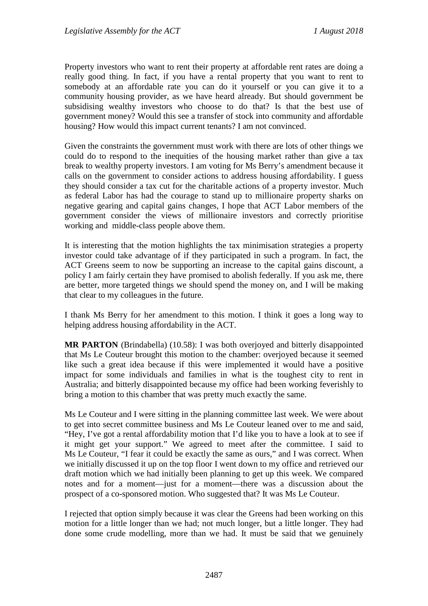Property investors who want to rent their property at affordable rent rates are doing a really good thing. In fact, if you have a rental property that you want to rent to somebody at an affordable rate you can do it yourself or you can give it to a community housing provider, as we have heard already. But should government be subsidising wealthy investors who choose to do that? Is that the best use of government money? Would this see a transfer of stock into community and affordable housing? How would this impact current tenants? I am not convinced.

Given the constraints the government must work with there are lots of other things we could do to respond to the inequities of the housing market rather than give a tax break to wealthy property investors. I am voting for Ms Berry's amendment because it calls on the government to consider actions to address housing affordability. I guess they should consider a tax cut for the charitable actions of a property investor. Much as federal Labor has had the courage to stand up to millionaire property sharks on negative gearing and capital gains changes, I hope that ACT Labor members of the government consider the views of millionaire investors and correctly prioritise working and middle-class people above them.

It is interesting that the motion highlights the tax minimisation strategies a property investor could take advantage of if they participated in such a program. In fact, the ACT Greens seem to now be supporting an increase to the capital gains discount, a policy I am fairly certain they have promised to abolish federally. If you ask me, there are better, more targeted things we should spend the money on, and I will be making that clear to my colleagues in the future.

I thank Ms Berry for her amendment to this motion. I think it goes a long way to helping address housing affordability in the ACT.

**MR PARTON** (Brindabella) (10.58): I was both overjoyed and bitterly disappointed that Ms Le Couteur brought this motion to the chamber: overjoyed because it seemed like such a great idea because if this were implemented it would have a positive impact for some individuals and families in what is the toughest city to rent in Australia; and bitterly disappointed because my office had been working feverishly to bring a motion to this chamber that was pretty much exactly the same.

Ms Le Couteur and I were sitting in the planning committee last week. We were about to get into secret committee business and Ms Le Couteur leaned over to me and said, "Hey, I've got a rental affordability motion that I'd like you to have a look at to see if it might get your support." We agreed to meet after the committee. I said to Ms Le Couteur, "I fear it could be exactly the same as ours," and I was correct. When we initially discussed it up on the top floor I went down to my office and retrieved our draft motion which we had initially been planning to get up this week. We compared notes and for a moment—just for a moment—there was a discussion about the prospect of a co-sponsored motion. Who suggested that? It was Ms Le Couteur.

I rejected that option simply because it was clear the Greens had been working on this motion for a little longer than we had; not much longer, but a little longer. They had done some crude modelling, more than we had. It must be said that we genuinely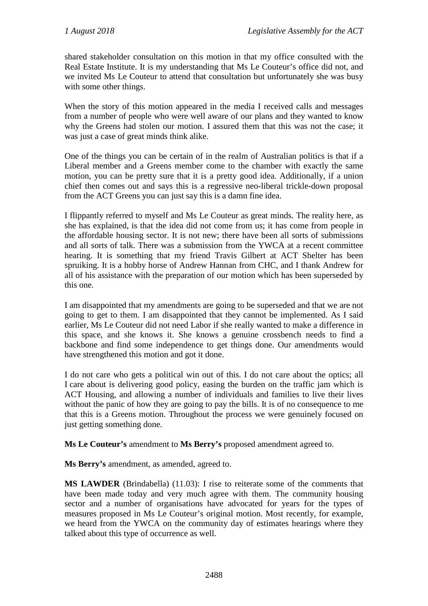shared stakeholder consultation on this motion in that my office consulted with the Real Estate Institute. It is my understanding that Ms Le Couteur's office did not, and we invited Ms Le Couteur to attend that consultation but unfortunately she was busy with some other things.

When the story of this motion appeared in the media I received calls and messages from a number of people who were well aware of our plans and they wanted to know why the Greens had stolen our motion. I assured them that this was not the case; it was just a case of great minds think alike.

One of the things you can be certain of in the realm of Australian politics is that if a Liberal member and a Greens member come to the chamber with exactly the same motion, you can be pretty sure that it is a pretty good idea. Additionally, if a union chief then comes out and says this is a regressive neo-liberal trickle-down proposal from the ACT Greens you can just say this is a damn fine idea.

I flippantly referred to myself and Ms Le Couteur as great minds. The reality here, as she has explained, is that the idea did not come from us; it has come from people in the affordable housing sector. It is not new; there have been all sorts of submissions and all sorts of talk. There was a submission from the YWCA at a recent committee hearing. It is something that my friend Travis Gilbert at ACT Shelter has been spruiking. It is a hobby horse of Andrew Hannan from CHC, and I thank Andrew for all of his assistance with the preparation of our motion which has been superseded by this one.

I am disappointed that my amendments are going to be superseded and that we are not going to get to them. I am disappointed that they cannot be implemented. As I said earlier, Ms Le Couteur did not need Labor if she really wanted to make a difference in this space, and she knows it. She knows a genuine crossbench needs to find a backbone and find some independence to get things done. Our amendments would have strengthened this motion and got it done.

I do not care who gets a political win out of this. I do not care about the optics; all I care about is delivering good policy, easing the burden on the traffic jam which is ACT Housing, and allowing a number of individuals and families to live their lives without the panic of how they are going to pay the bills. It is of no consequence to me that this is a Greens motion. Throughout the process we were genuinely focused on just getting something done.

**Ms Le Couteur's** amendment to **Ms Berry's** proposed amendment agreed to.

**Ms Berry's** amendment, as amended, agreed to.

**MS LAWDER** (Brindabella) (11.03): I rise to reiterate some of the comments that have been made today and very much agree with them. The community housing sector and a number of organisations have advocated for years for the types of measures proposed in Ms Le Couteur's original motion. Most recently, for example, we heard from the YWCA on the community day of estimates hearings where they talked about this type of occurrence as well.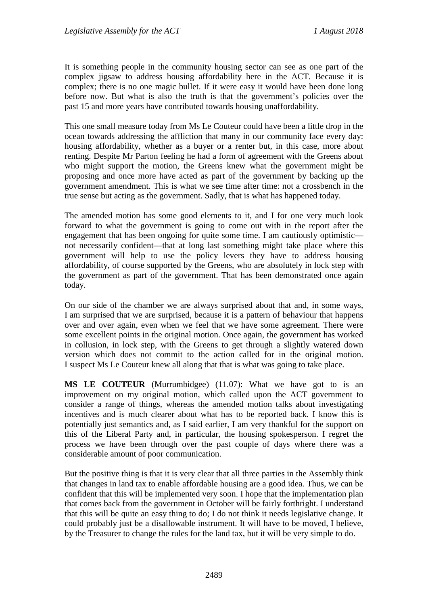It is something people in the community housing sector can see as one part of the complex jigsaw to address housing affordability here in the ACT. Because it is complex; there is no one magic bullet. If it were easy it would have been done long before now. But what is also the truth is that the government's policies over the past 15 and more years have contributed towards housing unaffordability.

This one small measure today from Ms Le Couteur could have been a little drop in the ocean towards addressing the affliction that many in our community face every day: housing affordability, whether as a buyer or a renter but, in this case, more about renting. Despite Mr Parton feeling he had a form of agreement with the Greens about who might support the motion, the Greens knew what the government might be proposing and once more have acted as part of the government by backing up the government amendment. This is what we see time after time: not a crossbench in the true sense but acting as the government. Sadly, that is what has happened today.

The amended motion has some good elements to it, and I for one very much look forward to what the government is going to come out with in the report after the engagement that has been ongoing for quite some time. I am cautiously optimistic not necessarily confident—that at long last something might take place where this government will help to use the policy levers they have to address housing affordability, of course supported by the Greens, who are absolutely in lock step with the government as part of the government. That has been demonstrated once again today.

On our side of the chamber we are always surprised about that and, in some ways, I am surprised that we are surprised, because it is a pattern of behaviour that happens over and over again, even when we feel that we have some agreement. There were some excellent points in the original motion. Once again, the government has worked in collusion, in lock step, with the Greens to get through a slightly watered down version which does not commit to the action called for in the original motion. I suspect Ms Le Couteur knew all along that that is what was going to take place.

**MS LE COUTEUR** (Murrumbidgee) (11.07): What we have got to is an improvement on my original motion, which called upon the ACT government to consider a range of things, whereas the amended motion talks about investigating incentives and is much clearer about what has to be reported back. I know this is potentially just semantics and, as I said earlier, I am very thankful for the support on this of the Liberal Party and, in particular, the housing spokesperson. I regret the process we have been through over the past couple of days where there was a considerable amount of poor communication.

But the positive thing is that it is very clear that all three parties in the Assembly think that changes in land tax to enable affordable housing are a good idea. Thus, we can be confident that this will be implemented very soon. I hope that the implementation plan that comes back from the government in October will be fairly forthright. I understand that this will be quite an easy thing to do; I do not think it needs legislative change. It could probably just be a disallowable instrument. It will have to be moved, I believe, by the Treasurer to change the rules for the land tax, but it will be very simple to do.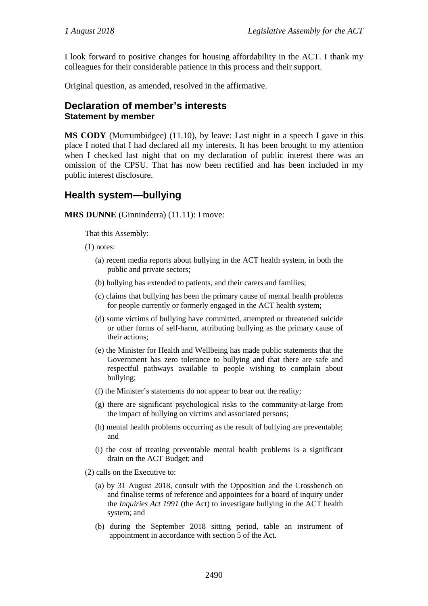I look forward to positive changes for housing affordability in the ACT. I thank my colleagues for their considerable patience in this process and their support.

Original question, as amended, resolved in the affirmative.

#### <span id="page-21-0"></span>**Declaration of member's interests Statement by member**

**MS CODY** (Murrumbidgee) (11.10), by leave: Last night in a speech I gave in this place I noted that I had declared all my interests. It has been brought to my attention when I checked last night that on my declaration of public interest there was an omission of the CPSU. That has now been rectified and has been included in my public interest disclosure.

## <span id="page-21-1"></span>**Health system—bullying**

#### **MRS DUNNE** (Ginninderra) (11.11): I move:

That this Assembly:

- (1) notes:
	- (a) recent media reports about bullying in the ACT health system, in both the public and private sectors;
	- (b) bullying has extended to patients, and their carers and families;
	- (c) claims that bullying has been the primary cause of mental health problems for people currently or formerly engaged in the ACT health system;
	- (d) some victims of bullying have committed, attempted or threatened suicide or other forms of self-harm, attributing bullying as the primary cause of their actions;
	- (e) the Minister for Health and Wellbeing has made public statements that the Government has zero tolerance to bullying and that there are safe and respectful pathways available to people wishing to complain about bullying;
	- (f) the Minister's statements do not appear to bear out the reality;
	- (g) there are significant psychological risks to the community-at-large from the impact of bullying on victims and associated persons;
	- (h) mental health problems occurring as the result of bullying are preventable; and
	- (i) the cost of treating preventable mental health problems is a significant drain on the ACT Budget; and
- (2) calls on the Executive to:
	- (a) by 31 August 2018, consult with the Opposition and the Crossbench on and finalise terms of reference and appointees for a board of inquiry under the *Inquiries Act 1991* (the Act) to investigate bullying in the ACT health system; and
	- (b) during the September 2018 sitting period, table an instrument of appointment in accordance with section 5 of the Act.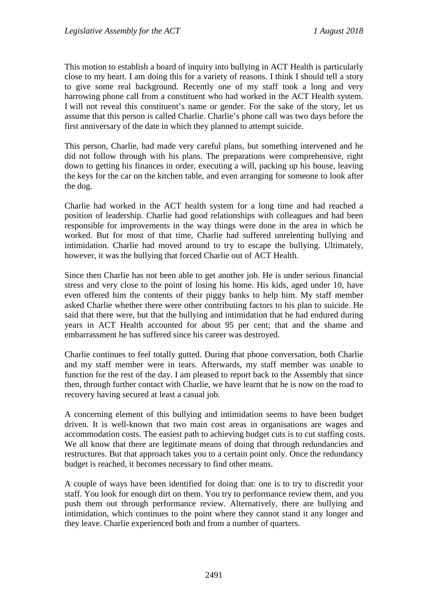This motion to establish a board of inquiry into bullying in ACT Health is particularly close to my heart. I am doing this for a variety of reasons. I think I should tell a story to give some real background. Recently one of my staff took a long and very harrowing phone call from a constituent who had worked in the ACT Health system. I will not reveal this constituent's name or gender. For the sake of the story, let us assume that this person is called Charlie. Charlie's phone call was two days before the first anniversary of the date in which they planned to attempt suicide.

This person, Charlie, had made very careful plans, but something intervened and he did not follow through with his plans. The preparations were comprehensive, right down to getting his finances in order, executing a will, packing up his house, leaving the keys for the car on the kitchen table, and even arranging for someone to look after the dog.

Charlie had worked in the ACT health system for a long time and had reached a position of leadership. Charlie had good relationships with colleagues and had been responsible for improvements in the way things were done in the area in which he worked. But for most of that time, Charlie had suffered unrelenting bullying and intimidation. Charlie had moved around to try to escape the bullying. Ultimately, however, it was the bullying that forced Charlie out of ACT Health.

Since then Charlie has not been able to get another job. He is under serious financial stress and very close to the point of losing his home. His kids, aged under 10, have even offered him the contents of their piggy banks to help him. My staff member asked Charlie whether there were other contributing factors to his plan to suicide. He said that there were, but that the bullying and intimidation that he had endured during years in ACT Health accounted for about 95 per cent; that and the shame and embarrassment he has suffered since his career was destroyed.

Charlie continues to feel totally gutted. During that phone conversation, both Charlie and my staff member were in tears. Afterwards, my staff member was unable to function for the rest of the day. I am pleased to report back to the Assembly that since then, through further contact with Charlie, we have learnt that he is now on the road to recovery having secured at least a casual job.

A concerning element of this bullying and intimidation seems to have been budget driven. It is well-known that two main cost areas in organisations are wages and accommodation costs. The easiest path to achieving budget cuts is to cut staffing costs. We all know that there are legitimate means of doing that through redundancies and restructures. But that approach takes you to a certain point only. Once the redundancy budget is reached, it becomes necessary to find other means.

A couple of ways have been identified for doing that: one is to try to discredit your staff. You look for enough dirt on them. You try to performance review them, and you push them out through performance review. Alternatively, there are bullying and intimidation, which continues to the point where they cannot stand it any longer and they leave. Charlie experienced both and from a number of quarters.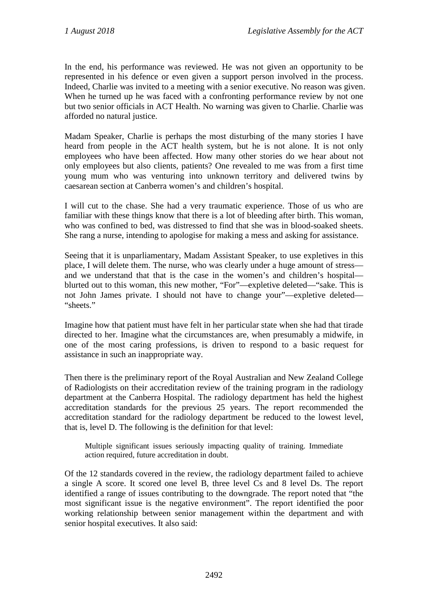In the end, his performance was reviewed. He was not given an opportunity to be represented in his defence or even given a support person involved in the process. Indeed, Charlie was invited to a meeting with a senior executive. No reason was given. When he turned up he was faced with a confronting performance review by not one but two senior officials in ACT Health. No warning was given to Charlie. Charlie was afforded no natural justice.

Madam Speaker, Charlie is perhaps the most disturbing of the many stories I have heard from people in the ACT health system, but he is not alone. It is not only employees who have been affected. How many other stories do we hear about not only employees but also clients, patients? One revealed to me was from a first time young mum who was venturing into unknown territory and delivered twins by caesarean section at Canberra women's and children's hospital.

I will cut to the chase. She had a very traumatic experience. Those of us who are familiar with these things know that there is a lot of bleeding after birth. This woman, who was confined to bed, was distressed to find that she was in blood-soaked sheets. She rang a nurse, intending to apologise for making a mess and asking for assistance.

Seeing that it is unparliamentary, Madam Assistant Speaker, to use expletives in this place, I will delete them. The nurse, who was clearly under a huge amount of stress and we understand that that is the case in the women's and children's hospital blurted out to this woman, this new mother, "For"—expletive deleted—"sake. This is not John James private. I should not have to change your"—expletive deleted— "sheets."

Imagine how that patient must have felt in her particular state when she had that tirade directed to her. Imagine what the circumstances are, when presumably a midwife, in one of the most caring professions, is driven to respond to a basic request for assistance in such an inappropriate way.

Then there is the preliminary report of the Royal Australian and New Zealand College of Radiologists on their accreditation review of the training program in the radiology department at the Canberra Hospital. The radiology department has held the highest accreditation standards for the previous 25 years. The report recommended the accreditation standard for the radiology department be reduced to the lowest level, that is, level D. The following is the definition for that level:

Multiple significant issues seriously impacting quality of training. Immediate action required, future accreditation in doubt.

Of the 12 standards covered in the review, the radiology department failed to achieve a single A score. It scored one level B, three level Cs and 8 level Ds. The report identified a range of issues contributing to the downgrade. The report noted that "the most significant issue is the negative environment". The report identified the poor working relationship between senior management within the department and with senior hospital executives. It also said: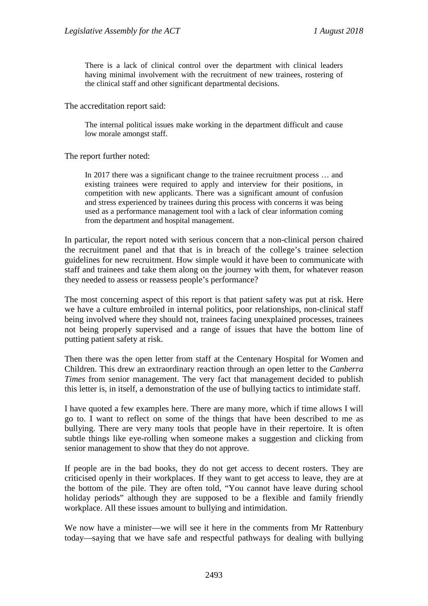There is a lack of clinical control over the department with clinical leaders having minimal involvement with the recruitment of new trainees, rostering of the clinical staff and other significant departmental decisions.

The accreditation report said:

The internal political issues make working in the department difficult and cause low morale amongst staff.

The report further noted:

In 2017 there was a significant change to the trainee recruitment process … and existing trainees were required to apply and interview for their positions, in competition with new applicants. There was a significant amount of confusion and stress experienced by trainees during this process with concerns it was being used as a performance management tool with a lack of clear information coming from the department and hospital management.

In particular, the report noted with serious concern that a non-clinical person chaired the recruitment panel and that that is in breach of the college's trainee selection guidelines for new recruitment. How simple would it have been to communicate with staff and trainees and take them along on the journey with them, for whatever reason they needed to assess or reassess people's performance?

The most concerning aspect of this report is that patient safety was put at risk. Here we have a culture embroiled in internal politics, poor relationships, non-clinical staff being involved where they should not, trainees facing unexplained processes, trainees not being properly supervised and a range of issues that have the bottom line of putting patient safety at risk.

Then there was the open letter from staff at the Centenary Hospital for Women and Children. This drew an extraordinary reaction through an open letter to the *Canberra Times* from senior management. The very fact that management decided to publish this letter is, in itself, a demonstration of the use of bullying tactics to intimidate staff.

I have quoted a few examples here. There are many more, which if time allows I will go to. I want to reflect on some of the things that have been described to me as bullying. There are very many tools that people have in their repertoire. It is often subtle things like eye-rolling when someone makes a suggestion and clicking from senior management to show that they do not approve.

If people are in the bad books, they do not get access to decent rosters. They are criticised openly in their workplaces. If they want to get access to leave, they are at the bottom of the pile. They are often told, "You cannot have leave during school holiday periods" although they are supposed to be a flexible and family friendly workplace. All these issues amount to bullying and intimidation.

We now have a minister—we will see it here in the comments from Mr Rattenbury today—saying that we have safe and respectful pathways for dealing with bullying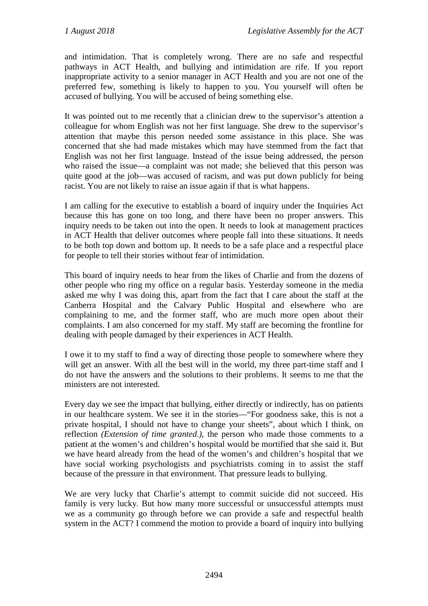and intimidation. That is completely wrong. There are no safe and respectful pathways in ACT Health, and bullying and intimidation are rife. If you report inappropriate activity to a senior manager in ACT Health and you are not one of the preferred few, something is likely to happen to you. You yourself will often be accused of bullying. You will be accused of being something else.

It was pointed out to me recently that a clinician drew to the supervisor's attention a colleague for whom English was not her first language. She drew to the supervisor's attention that maybe this person needed some assistance in this place. She was concerned that she had made mistakes which may have stemmed from the fact that English was not her first language. Instead of the issue being addressed, the person who raised the issue—a complaint was not made; she believed that this person was quite good at the job—was accused of racism, and was put down publicly for being racist. You are not likely to raise an issue again if that is what happens.

I am calling for the executive to establish a board of inquiry under the Inquiries Act because this has gone on too long, and there have been no proper answers. This inquiry needs to be taken out into the open. It needs to look at management practices in ACT Health that deliver outcomes where people fall into these situations. It needs to be both top down and bottom up. It needs to be a safe place and a respectful place for people to tell their stories without fear of intimidation.

This board of inquiry needs to hear from the likes of Charlie and from the dozens of other people who ring my office on a regular basis. Yesterday someone in the media asked me why I was doing this, apart from the fact that I care about the staff at the Canberra Hospital and the Calvary Public Hospital and elsewhere who are complaining to me, and the former staff, who are much more open about their complaints. I am also concerned for my staff. My staff are becoming the frontline for dealing with people damaged by their experiences in ACT Health.

I owe it to my staff to find a way of directing those people to somewhere where they will get an answer. With all the best will in the world, my three part-time staff and I do not have the answers and the solutions to their problems. It seems to me that the ministers are not interested.

Every day we see the impact that bullying, either directly or indirectly, has on patients in our healthcare system. We see it in the stories—"For goodness sake, this is not a private hospital, I should not have to change your sheets", about which I think, on reflection *(Extension of time granted.)*, the person who made those comments to a patient at the women's and children's hospital would be mortified that she said it. But we have heard already from the head of the women's and children's hospital that we have social working psychologists and psychiatrists coming in to assist the staff because of the pressure in that environment. That pressure leads to bullying.

We are very lucky that Charlie's attempt to commit suicide did not succeed. His family is very lucky. But how many more successful or unsuccessful attempts must we as a community go through before we can provide a safe and respectful health system in the ACT? I commend the motion to provide a board of inquiry into bullying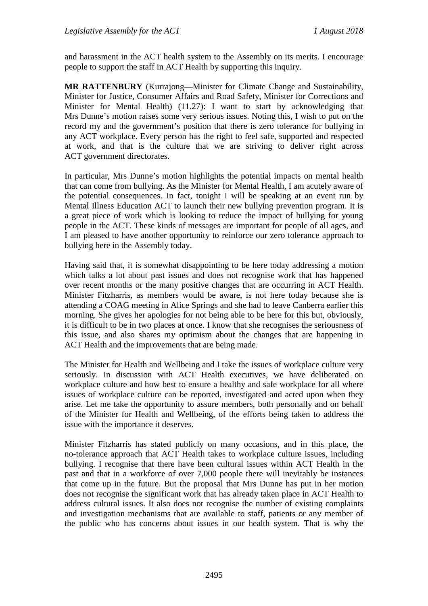and harassment in the ACT health system to the Assembly on its merits. I encourage people to support the staff in ACT Health by supporting this inquiry.

**MR RATTENBURY** (Kurrajong—Minister for Climate Change and Sustainability, Minister for Justice, Consumer Affairs and Road Safety, Minister for Corrections and Minister for Mental Health) (11.27): I want to start by acknowledging that Mrs Dunne's motion raises some very serious issues. Noting this, I wish to put on the record my and the government's position that there is zero tolerance for bullying in any ACT workplace. Every person has the right to feel safe, supported and respected at work, and that is the culture that we are striving to deliver right across ACT government directorates.

In particular, Mrs Dunne's motion highlights the potential impacts on mental health that can come from bullying. As the Minister for Mental Health, I am acutely aware of the potential consequences. In fact, tonight I will be speaking at an event run by Mental Illness Education ACT to launch their new bullying prevention program. It is a great piece of work which is looking to reduce the impact of bullying for young people in the ACT. These kinds of messages are important for people of all ages, and I am pleased to have another opportunity to reinforce our zero tolerance approach to bullying here in the Assembly today.

Having said that, it is somewhat disappointing to be here today addressing a motion which talks a lot about past issues and does not recognise work that has happened over recent months or the many positive changes that are occurring in ACT Health. Minister Fitzharris, as members would be aware, is not here today because she is attending a COAG meeting in Alice Springs and she had to leave Canberra earlier this morning. She gives her apologies for not being able to be here for this but, obviously, it is difficult to be in two places at once. I know that she recognises the seriousness of this issue, and also shares my optimism about the changes that are happening in ACT Health and the improvements that are being made.

The Minister for Health and Wellbeing and I take the issues of workplace culture very seriously. In discussion with ACT Health executives, we have deliberated on workplace culture and how best to ensure a healthy and safe workplace for all where issues of workplace culture can be reported, investigated and acted upon when they arise. Let me take the opportunity to assure members, both personally and on behalf of the Minister for Health and Wellbeing, of the efforts being taken to address the issue with the importance it deserves.

Minister Fitzharris has stated publicly on many occasions, and in this place, the no-tolerance approach that ACT Health takes to workplace culture issues, including bullying. I recognise that there have been cultural issues within ACT Health in the past and that in a workforce of over 7,000 people there will inevitably be instances that come up in the future. But the proposal that Mrs Dunne has put in her motion does not recognise the significant work that has already taken place in ACT Health to address cultural issues. It also does not recognise the number of existing complaints and investigation mechanisms that are available to staff, patients or any member of the public who has concerns about issues in our health system. That is why the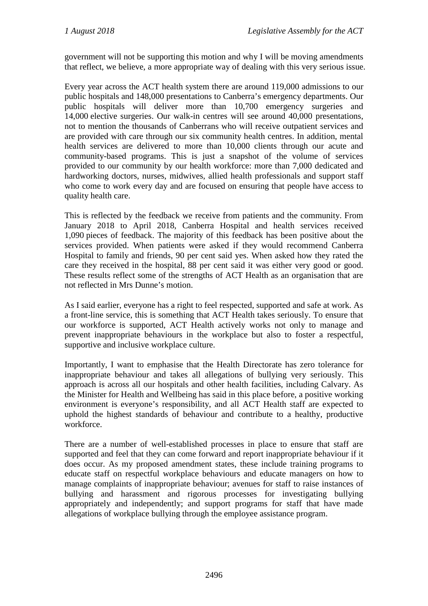government will not be supporting this motion and why I will be moving amendments that reflect, we believe, a more appropriate way of dealing with this very serious issue.

Every year across the ACT health system there are around 119,000 admissions to our public hospitals and 148,000 presentations to Canberra's emergency departments. Our public hospitals will deliver more than 10,700 emergency surgeries and 14,000 elective surgeries. Our walk-in centres will see around 40,000 presentations, not to mention the thousands of Canberrans who will receive outpatient services and are provided with care through our six community health centres. In addition, mental health services are delivered to more than 10,000 clients through our acute and community-based programs. This is just a snapshot of the volume of services provided to our community by our health workforce: more than 7,000 dedicated and hardworking doctors, nurses, midwives, allied health professionals and support staff who come to work every day and are focused on ensuring that people have access to quality health care.

This is reflected by the feedback we receive from patients and the community. From January 2018 to April 2018, Canberra Hospital and health services received 1,090 pieces of feedback. The majority of this feedback has been positive about the services provided. When patients were asked if they would recommend Canberra Hospital to family and friends, 90 per cent said yes. When asked how they rated the care they received in the hospital, 88 per cent said it was either very good or good. These results reflect some of the strengths of ACT Health as an organisation that are not reflected in Mrs Dunne's motion.

As I said earlier, everyone has a right to feel respected, supported and safe at work. As a front-line service, this is something that ACT Health takes seriously. To ensure that our workforce is supported, ACT Health actively works not only to manage and prevent inappropriate behaviours in the workplace but also to foster a respectful, supportive and inclusive workplace culture.

Importantly, I want to emphasise that the Health Directorate has zero tolerance for inappropriate behaviour and takes all allegations of bullying very seriously. This approach is across all our hospitals and other health facilities, including Calvary. As the Minister for Health and Wellbeing has said in this place before, a positive working environment is everyone's responsibility, and all ACT Health staff are expected to uphold the highest standards of behaviour and contribute to a healthy, productive workforce.

There are a number of well-established processes in place to ensure that staff are supported and feel that they can come forward and report inappropriate behaviour if it does occur. As my proposed amendment states, these include training programs to educate staff on respectful workplace behaviours and educate managers on how to manage complaints of inappropriate behaviour; avenues for staff to raise instances of bullying and harassment and rigorous processes for investigating bullying appropriately and independently; and support programs for staff that have made allegations of workplace bullying through the employee assistance program.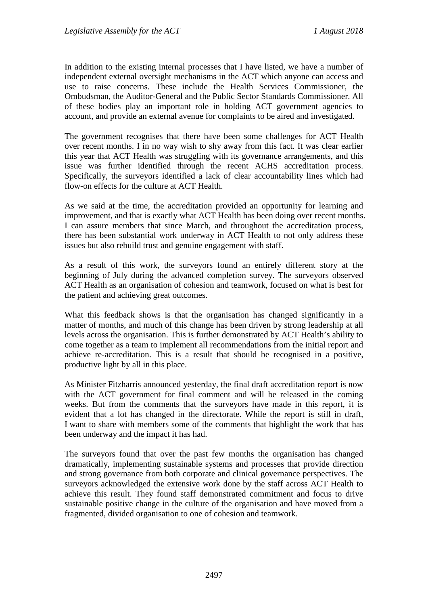In addition to the existing internal processes that I have listed, we have a number of independent external oversight mechanisms in the ACT which anyone can access and use to raise concerns. These include the Health Services Commissioner, the Ombudsman, the Auditor-General and the Public Sector Standards Commissioner. All of these bodies play an important role in holding ACT government agencies to account, and provide an external avenue for complaints to be aired and investigated.

The government recognises that there have been some challenges for ACT Health over recent months. I in no way wish to shy away from this fact. It was clear earlier this year that ACT Health was struggling with its governance arrangements, and this issue was further identified through the recent ACHS accreditation process. Specifically, the surveyors identified a lack of clear accountability lines which had flow-on effects for the culture at ACT Health.

As we said at the time, the accreditation provided an opportunity for learning and improvement, and that is exactly what ACT Health has been doing over recent months. I can assure members that since March, and throughout the accreditation process, there has been substantial work underway in ACT Health to not only address these issues but also rebuild trust and genuine engagement with staff.

As a result of this work, the surveyors found an entirely different story at the beginning of July during the advanced completion survey. The surveyors observed ACT Health as an organisation of cohesion and teamwork, focused on what is best for the patient and achieving great outcomes.

What this feedback shows is that the organisation has changed significantly in a matter of months, and much of this change has been driven by strong leadership at all levels across the organisation. This is further demonstrated by ACT Health's ability to come together as a team to implement all recommendations from the initial report and achieve re-accreditation. This is a result that should be recognised in a positive, productive light by all in this place.

As Minister Fitzharris announced yesterday, the final draft accreditation report is now with the ACT government for final comment and will be released in the coming weeks. But from the comments that the surveyors have made in this report, it is evident that a lot has changed in the directorate. While the report is still in draft, I want to share with members some of the comments that highlight the work that has been underway and the impact it has had.

The surveyors found that over the past few months the organisation has changed dramatically, implementing sustainable systems and processes that provide direction and strong governance from both corporate and clinical governance perspectives. The surveyors acknowledged the extensive work done by the staff across ACT Health to achieve this result. They found staff demonstrated commitment and focus to drive sustainable positive change in the culture of the organisation and have moved from a fragmented, divided organisation to one of cohesion and teamwork.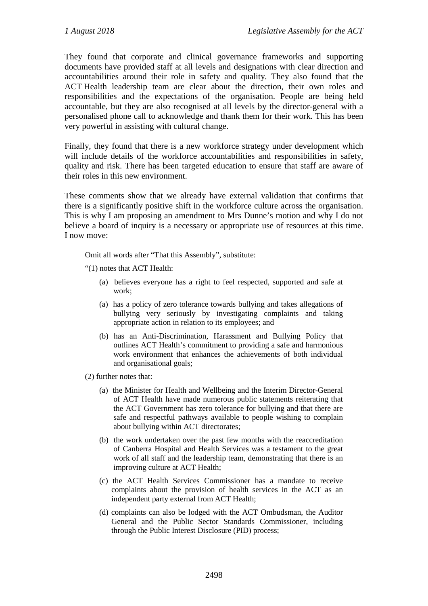They found that corporate and clinical governance frameworks and supporting documents have provided staff at all levels and designations with clear direction and accountabilities around their role in safety and quality. They also found that the ACT Health leadership team are clear about the direction, their own roles and responsibilities and the expectations of the organisation. People are being held accountable, but they are also recognised at all levels by the director-general with a personalised phone call to acknowledge and thank them for their work. This has been very powerful in assisting with cultural change.

Finally, they found that there is a new workforce strategy under development which will include details of the workforce accountabilities and responsibilities in safety, quality and risk. There has been targeted education to ensure that staff are aware of their roles in this new environment.

These comments show that we already have external validation that confirms that there is a significantly positive shift in the workforce culture across the organisation. This is why I am proposing an amendment to Mrs Dunne's motion and why I do not believe a board of inquiry is a necessary or appropriate use of resources at this time. I now move:

Omit all words after "That this Assembly", substitute:

"(1) notes that ACT Health:

- (a) believes everyone has a right to feel respected, supported and safe at work;
- (a) has a policy of zero tolerance towards bullying and takes allegations of bullying very seriously by investigating complaints and taking appropriate action in relation to its employees; and
- (b) has an Anti-Discrimination, Harassment and Bullying Policy that outlines ACT Health's commitment to providing a safe and harmonious work environment that enhances the achievements of both individual and organisational goals;

(2) further notes that:

- (a) the Minister for Health and Wellbeing and the Interim Director-General of ACT Health have made numerous public statements reiterating that the ACT Government has zero tolerance for bullying and that there are safe and respectful pathways available to people wishing to complain about bullying within ACT directorates;
- (b) the work undertaken over the past few months with the reaccreditation of Canberra Hospital and Health Services was a testament to the great work of all staff and the leadership team, demonstrating that there is an improving culture at ACT Health;
- (c) the ACT Health Services Commissioner has a mandate to receive complaints about the provision of health services in the ACT as an independent party external from ACT Health;
- (d) complaints can also be lodged with the ACT Ombudsman, the Auditor General and the Public Sector Standards Commissioner, including through the Public Interest Disclosure (PID) process;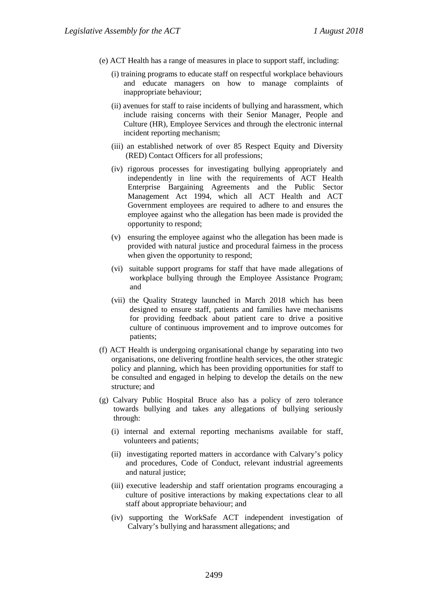- (e) ACT Health has a range of measures in place to support staff, including:
	- (i) training programs to educate staff on respectful workplace behaviours and educate managers on how to manage complaints of inappropriate behaviour;
	- (ii) avenues for staff to raise incidents of bullying and harassment, which include raising concerns with their Senior Manager, People and Culture (HR), Employee Services and through the electronic internal incident reporting mechanism;
	- (iii) an established network of over 85 Respect Equity and Diversity (RED) Contact Officers for all professions;
	- (iv) rigorous processes for investigating bullying appropriately and independently in line with the requirements of ACT Health Enterprise Bargaining Agreements and the Public Sector Management Act 1994, which all ACT Health and ACT Government employees are required to adhere to and ensures the employee against who the allegation has been made is provided the opportunity to respond;
	- (v) ensuring the employee against who the allegation has been made is provided with natural justice and procedural fairness in the process when given the opportunity to respond;
	- (vi) suitable support programs for staff that have made allegations of workplace bullying through the Employee Assistance Program; and
	- (vii) the Quality Strategy launched in March 2018 which has been designed to ensure staff, patients and families have mechanisms for providing feedback about patient care to drive a positive culture of continuous improvement and to improve outcomes for patients;
- (f) ACT Health is undergoing organisational change by separating into two organisations, one delivering frontline health services, the other strategic policy and planning, which has been providing opportunities for staff to be consulted and engaged in helping to develop the details on the new structure; and
- (g) Calvary Public Hospital Bruce also has a policy of zero tolerance towards bullying and takes any allegations of bullying seriously through:
	- (i) internal and external reporting mechanisms available for staff, volunteers and patients;
	- (ii) investigating reported matters in accordance with Calvary's policy and procedures, Code of Conduct, relevant industrial agreements and natural justice;
	- (iii) executive leadership and staff orientation programs encouraging a culture of positive interactions by making expectations clear to all staff about appropriate behaviour; and
	- (iv) supporting the WorkSafe ACT independent investigation of Calvary's bullying and harassment allegations; and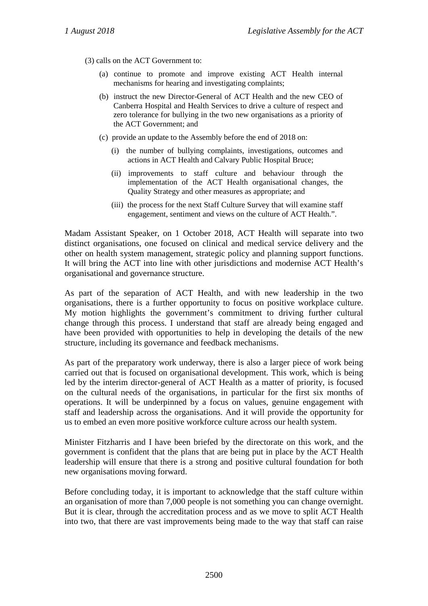(3) calls on the ACT Government to:

- (a) continue to promote and improve existing ACT Health internal mechanisms for hearing and investigating complaints;
- (b) instruct the new Director-General of ACT Health and the new CEO of Canberra Hospital and Health Services to drive a culture of respect and zero tolerance for bullying in the two new organisations as a priority of the ACT Government; and
- (c) provide an update to the Assembly before the end of 2018 on:
	- (i) the number of bullying complaints, investigations, outcomes and actions in ACT Health and Calvary Public Hospital Bruce;
	- (ii) improvements to staff culture and behaviour through the implementation of the ACT Health organisational changes, the Quality Strategy and other measures as appropriate; and
	- (iii) the process for the next Staff Culture Survey that will examine staff engagement, sentiment and views on the culture of ACT Health.".

Madam Assistant Speaker, on 1 October 2018, ACT Health will separate into two distinct organisations, one focused on clinical and medical service delivery and the other on health system management, strategic policy and planning support functions. It will bring the ACT into line with other jurisdictions and modernise ACT Health's organisational and governance structure.

As part of the separation of ACT Health, and with new leadership in the two organisations, there is a further opportunity to focus on positive workplace culture. My motion highlights the government's commitment to driving further cultural change through this process. I understand that staff are already being engaged and have been provided with opportunities to help in developing the details of the new structure, including its governance and feedback mechanisms.

As part of the preparatory work underway, there is also a larger piece of work being carried out that is focused on organisational development. This work, which is being led by the interim director-general of ACT Health as a matter of priority, is focused on the cultural needs of the organisations, in particular for the first six months of operations. It will be underpinned by a focus on values, genuine engagement with staff and leadership across the organisations. And it will provide the opportunity for us to embed an even more positive workforce culture across our health system.

Minister Fitzharris and I have been briefed by the directorate on this work, and the government is confident that the plans that are being put in place by the ACT Health leadership will ensure that there is a strong and positive cultural foundation for both new organisations moving forward.

Before concluding today, it is important to acknowledge that the staff culture within an organisation of more than 7,000 people is not something you can change overnight. But it is clear, through the accreditation process and as we move to split ACT Health into two, that there are vast improvements being made to the way that staff can raise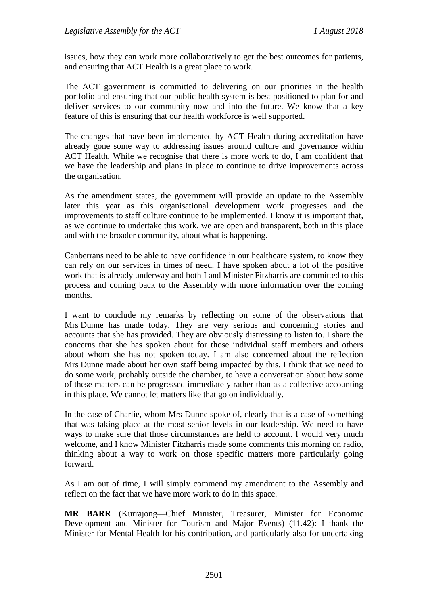issues, how they can work more collaboratively to get the best outcomes for patients, and ensuring that ACT Health is a great place to work.

The ACT government is committed to delivering on our priorities in the health portfolio and ensuring that our public health system is best positioned to plan for and deliver services to our community now and into the future. We know that a key feature of this is ensuring that our health workforce is well supported.

The changes that have been implemented by ACT Health during accreditation have already gone some way to addressing issues around culture and governance within ACT Health. While we recognise that there is more work to do, I am confident that we have the leadership and plans in place to continue to drive improvements across the organisation.

As the amendment states, the government will provide an update to the Assembly later this year as this organisational development work progresses and the improvements to staff culture continue to be implemented. I know it is important that, as we continue to undertake this work, we are open and transparent, both in this place and with the broader community, about what is happening.

Canberrans need to be able to have confidence in our healthcare system, to know they can rely on our services in times of need. I have spoken about a lot of the positive work that is already underway and both I and Minister Fitzharris are committed to this process and coming back to the Assembly with more information over the coming months.

I want to conclude my remarks by reflecting on some of the observations that Mrs Dunne has made today. They are very serious and concerning stories and accounts that she has provided. They are obviously distressing to listen to. I share the concerns that she has spoken about for those individual staff members and others about whom she has not spoken today. I am also concerned about the reflection Mrs Dunne made about her own staff being impacted by this. I think that we need to do some work, probably outside the chamber, to have a conversation about how some of these matters can be progressed immediately rather than as a collective accounting in this place. We cannot let matters like that go on individually.

In the case of Charlie, whom Mrs Dunne spoke of, clearly that is a case of something that was taking place at the most senior levels in our leadership. We need to have ways to make sure that those circumstances are held to account. I would very much welcome, and I know Minister Fitzharris made some comments this morning on radio, thinking about a way to work on those specific matters more particularly going forward.

As I am out of time, I will simply commend my amendment to the Assembly and reflect on the fact that we have more work to do in this space.

**MR BARR** (Kurrajong—Chief Minister, Treasurer, Minister for Economic Development and Minister for Tourism and Major Events) (11.42): I thank the Minister for Mental Health for his contribution, and particularly also for undertaking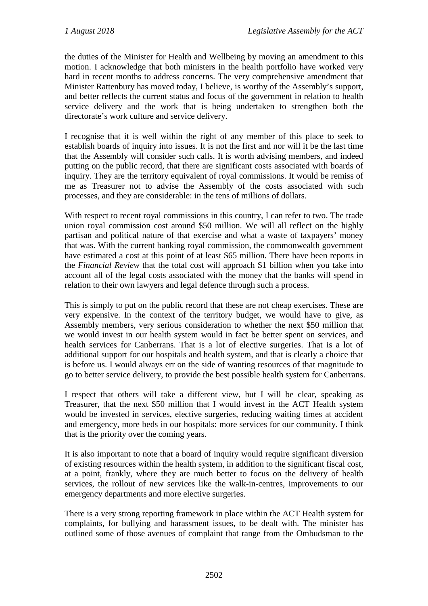the duties of the Minister for Health and Wellbeing by moving an amendment to this motion. I acknowledge that both ministers in the health portfolio have worked very hard in recent months to address concerns. The very comprehensive amendment that Minister Rattenbury has moved today, I believe, is worthy of the Assembly's support, and better reflects the current status and focus of the government in relation to health service delivery and the work that is being undertaken to strengthen both the directorate's work culture and service delivery.

I recognise that it is well within the right of any member of this place to seek to establish boards of inquiry into issues. It is not the first and nor will it be the last time that the Assembly will consider such calls. It is worth advising members, and indeed putting on the public record, that there are significant costs associated with boards of inquiry. They are the territory equivalent of royal commissions. It would be remiss of me as Treasurer not to advise the Assembly of the costs associated with such processes, and they are considerable: in the tens of millions of dollars.

With respect to recent royal commissions in this country, I can refer to two. The trade union royal commission cost around \$50 million. We will all reflect on the highly partisan and political nature of that exercise and what a waste of taxpayers' money that was. With the current banking royal commission, the commonwealth government have estimated a cost at this point of at least \$65 million. There have been reports in the *Financial Review* that the total cost will approach \$1 billion when you take into account all of the legal costs associated with the money that the banks will spend in relation to their own lawyers and legal defence through such a process.

This is simply to put on the public record that these are not cheap exercises. These are very expensive. In the context of the territory budget, we would have to give, as Assembly members, very serious consideration to whether the next \$50 million that we would invest in our health system would in fact be better spent on services, and health services for Canberrans. That is a lot of elective surgeries. That is a lot of additional support for our hospitals and health system, and that is clearly a choice that is before us. I would always err on the side of wanting resources of that magnitude to go to better service delivery, to provide the best possible health system for Canberrans.

I respect that others will take a different view, but I will be clear, speaking as Treasurer, that the next \$50 million that I would invest in the ACT Health system would be invested in services, elective surgeries, reducing waiting times at accident and emergency, more beds in our hospitals: more services for our community. I think that is the priority over the coming years.

It is also important to note that a board of inquiry would require significant diversion of existing resources within the health system, in addition to the significant fiscal cost, at a point, frankly, where they are much better to focus on the delivery of health services, the rollout of new services like the walk-in-centres, improvements to our emergency departments and more elective surgeries.

There is a very strong reporting framework in place within the ACT Health system for complaints, for bullying and harassment issues, to be dealt with. The minister has outlined some of those avenues of complaint that range from the Ombudsman to the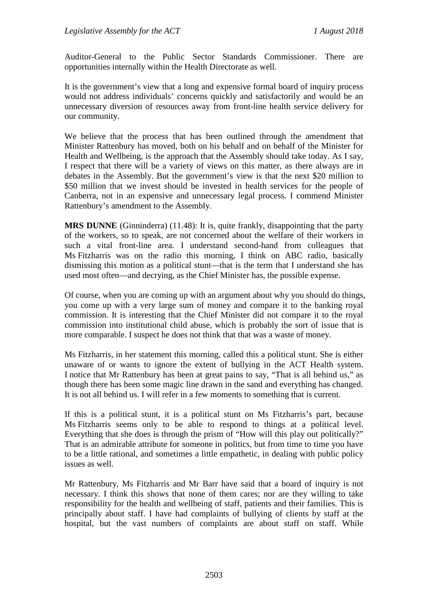Auditor-General to the Public Sector Standards Commissioner. There are opportunities internally within the Health Directorate as well.

It is the government's view that a long and expensive formal board of inquiry process would not address individuals' concerns quickly and satisfactorily and would be an unnecessary diversion of resources away from front-line health service delivery for our community.

We believe that the process that has been outlined through the amendment that Minister Rattenbury has moved, both on his behalf and on behalf of the Minister for Health and Wellbeing, is the approach that the Assembly should take today. As I say, I respect that there will be a variety of views on this matter, as there always are in debates in the Assembly. But the government's view is that the next \$20 million to \$50 million that we invest should be invested in health services for the people of Canberra, not in an expensive and unnecessary legal process. I commend Minister Rattenbury's amendment to the Assembly.

**MRS DUNNE** (Ginninderra) (11.48): It is, quite frankly, disappointing that the party of the workers, so to speak, are not concerned about the welfare of their workers in such a vital front-line area. I understand second-hand from colleagues that Ms Fitzharris was on the radio this morning, I think on ABC radio, basically dismissing this motion as a political stunt—that is the term that I understand she has used most often—and decrying, as the Chief Minister has, the possible expense.

Of course, when you are coming up with an argument about why you should do things, you come up with a very large sum of money and compare it to the banking royal commission. It is interesting that the Chief Minister did not compare it to the royal commission into institutional child abuse, which is probably the sort of issue that is more comparable. I suspect he does not think that that was a waste of money.

Ms Fitzharris, in her statement this morning, called this a political stunt. She is either unaware of or wants to ignore the extent of bullying in the ACT Health system. I notice that Mr Rattenbury has been at great pains to say, "That is all behind us," as though there has been some magic line drawn in the sand and everything has changed. It is not all behind us. I will refer in a few moments to something that is current.

If this is a political stunt, it is a political stunt on Ms Fitzharris's part, because Ms Fitzharris seems only to be able to respond to things at a political level. Everything that she does is through the prism of "How will this play out politically?" That is an admirable attribute for someone in politics, but from time to time you have to be a little rational, and sometimes a little empathetic, in dealing with public policy issues as well.

Mr Rattenbury, Ms Fitzharris and Mr Barr have said that a board of inquiry is not necessary. I think this shows that none of them cares; nor are they willing to take responsibility for the health and wellbeing of staff, patients and their families. This is principally about staff. I have had complaints of bullying of clients by staff at the hospital, but the vast numbers of complaints are about staff on staff. While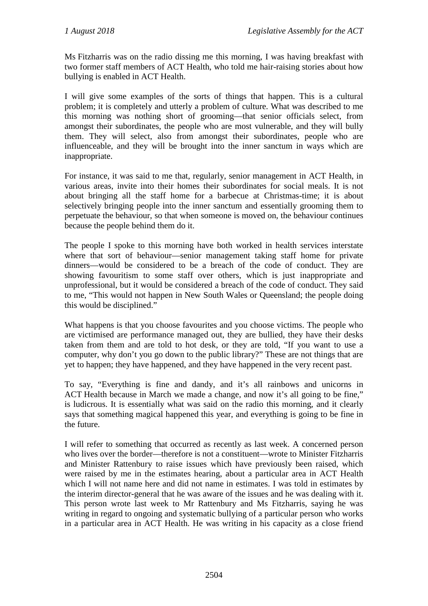Ms Fitzharris was on the radio dissing me this morning, I was having breakfast with two former staff members of ACT Health, who told me hair-raising stories about how bullying is enabled in ACT Health.

I will give some examples of the sorts of things that happen. This is a cultural problem; it is completely and utterly a problem of culture. What was described to me this morning was nothing short of grooming—that senior officials select, from amongst their subordinates, the people who are most vulnerable, and they will bully them. They will select, also from amongst their subordinates, people who are influenceable, and they will be brought into the inner sanctum in ways which are inappropriate.

For instance, it was said to me that, regularly, senior management in ACT Health, in various areas, invite into their homes their subordinates for social meals. It is not about bringing all the staff home for a barbecue at Christmas-time; it is about selectively bringing people into the inner sanctum and essentially grooming them to perpetuate the behaviour, so that when someone is moved on, the behaviour continues because the people behind them do it.

The people I spoke to this morning have both worked in health services interstate where that sort of behaviour—senior management taking staff home for private dinners—would be considered to be a breach of the code of conduct. They are showing favouritism to some staff over others, which is just inappropriate and unprofessional, but it would be considered a breach of the code of conduct. They said to me, "This would not happen in New South Wales or Queensland; the people doing this would be disciplined."

What happens is that you choose favourites and you choose victims. The people who are victimised are performance managed out, they are bullied, they have their desks taken from them and are told to hot desk, or they are told, "If you want to use a computer, why don't you go down to the public library?" These are not things that are yet to happen; they have happened, and they have happened in the very recent past.

To say, "Everything is fine and dandy, and it's all rainbows and unicorns in ACT Health because in March we made a change, and now it's all going to be fine," is ludicrous. It is essentially what was said on the radio this morning, and it clearly says that something magical happened this year, and everything is going to be fine in the future.

I will refer to something that occurred as recently as last week. A concerned person who lives over the border—therefore is not a constituent—wrote to Minister Fitzharris and Minister Rattenbury to raise issues which have previously been raised, which were raised by me in the estimates hearing, about a particular area in ACT Health which I will not name here and did not name in estimates. I was told in estimates by the interim director-general that he was aware of the issues and he was dealing with it. This person wrote last week to Mr Rattenbury and Ms Fitzharris, saying he was writing in regard to ongoing and systematic bullying of a particular person who works in a particular area in ACT Health. He was writing in his capacity as a close friend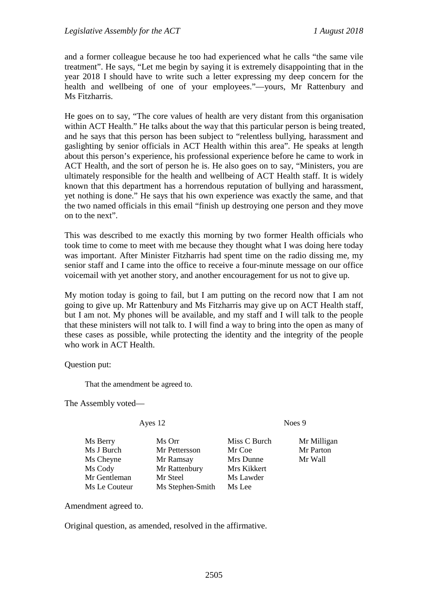and a former colleague because he too had experienced what he calls "the same vile treatment". He says, "Let me begin by saying it is extremely disappointing that in the year 2018 I should have to write such a letter expressing my deep concern for the health and wellbeing of one of your employees."—yours, Mr Rattenbury and Ms Fitzharris.

He goes on to say, "The core values of health are very distant from this organisation within ACT Health." He talks about the way that this particular person is being treated, and he says that this person has been subject to "relentless bullying, harassment and gaslighting by senior officials in ACT Health within this area". He speaks at length about this person's experience, his professional experience before he came to work in ACT Health, and the sort of person he is. He also goes on to say, "Ministers, you are ultimately responsible for the health and wellbeing of ACT Health staff. It is widely known that this department has a horrendous reputation of bullying and harassment, yet nothing is done." He says that his own experience was exactly the same, and that the two named officials in this email "finish up destroying one person and they move on to the next".

This was described to me exactly this morning by two former Health officials who took time to come to meet with me because they thought what I was doing here today was important. After Minister Fitzharris had spent time on the radio dissing me, my senior staff and I came into the office to receive a four-minute message on our office voicemail with yet another story, and another encouragement for us not to give up.

My motion today is going to fail, but I am putting on the record now that I am not going to give up. Mr Rattenbury and Ms Fitzharris may give up on ACT Health staff, but I am not. My phones will be available, and my staff and I will talk to the people that these ministers will not talk to. I will find a way to bring into the open as many of these cases as possible, while protecting the identity and the integrity of the people who work in ACT Health.

Question put:

That the amendment be agreed to.

The Assembly voted—

Ms Berry Ms Orr Miss C Burch Mr Milligan Ms J Burch Mr Pettersson Mr Coe Mr Parton Ms Cheyne Mr Ramsay Mrs Dunne Mr Wall Ms Cody Mr Rattenbury Mrs Kikkert Mr Gentleman Mr Steel Ms Lawder Ms Le Couteur Ms Stephen-Smith Ms Lee

Ayes 12 Noes 9

Amendment agreed to.

Original question, as amended, resolved in the affirmative.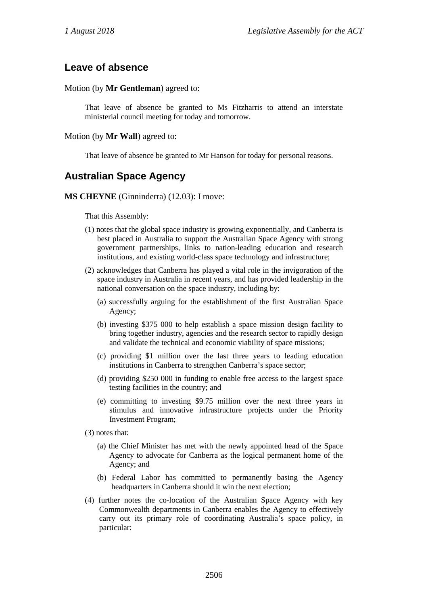## **Leave of absence**

#### Motion (by **Mr Gentleman**) agreed to:

That leave of absence be granted to Ms Fitzharris to attend an interstate ministerial council meeting for today and tomorrow.

#### Motion (by **Mr Wall**) agreed to:

That leave of absence be granted to Mr Hanson for today for personal reasons.

# **Australian Space Agency**

**MS CHEYNE** (Ginninderra) (12.03): I move:

That this Assembly:

- (1) notes that the global space industry is growing exponentially, and Canberra is best placed in Australia to support the Australian Space Agency with strong government partnerships, links to nation-leading education and research institutions, and existing world-class space technology and infrastructure;
- (2) acknowledges that Canberra has played a vital role in the invigoration of the space industry in Australia in recent years, and has provided leadership in the national conversation on the space industry, including by:
	- (a) successfully arguing for the establishment of the first Australian Space Agency;
	- (b) investing \$375 000 to help establish a space mission design facility to bring together industry, agencies and the research sector to rapidly design and validate the technical and economic viability of space missions;
	- (c) providing \$1 million over the last three years to leading education institutions in Canberra to strengthen Canberra's space sector;
	- (d) providing \$250 000 in funding to enable free access to the largest space testing facilities in the country; and
	- (e) committing to investing \$9.75 million over the next three years in stimulus and innovative infrastructure projects under the Priority Investment Program;

(3) notes that:

- (a) the Chief Minister has met with the newly appointed head of the Space Agency to advocate for Canberra as the logical permanent home of the Agency; and
- (b) Federal Labor has committed to permanently basing the Agency headquarters in Canberra should it win the next election;
- (4) further notes the co-location of the Australian Space Agency with key Commonwealth departments in Canberra enables the Agency to effectively carry out its primary role of coordinating Australia's space policy, in particular: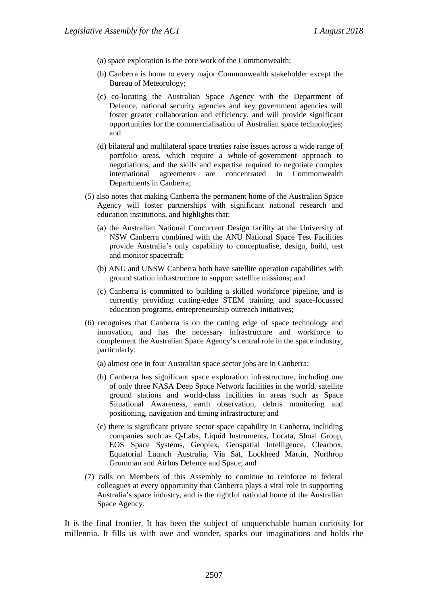- (a) space exploration is the core work of the Commonwealth;
- (b) Canberra is home to every major Commonwealth stakeholder except the Bureau of Meteorology;
- (c) co-locating the Australian Space Agency with the Department of Defence, national security agencies and key government agencies will foster greater collaboration and efficiency, and will provide significant opportunities for the commercialisation of Australian space technologies; and
- (d) bilateral and multilateral space treaties raise issues across a wide range of portfolio areas, which require a whole-of-government approach to negotiations, and the skills and expertise required to negotiate complex international agreements are concentrated in Commonwealth Departments in Canberra;
- (5) also notes that making Canberra the permanent home of the Australian Space Agency will foster partnerships with significant national research and education institutions, and highlights that:
	- (a) the Australian National Concurrent Design facility at the University of NSW Canberra combined with the ANU National Space Test Facilities provide Australia's only capability to conceptualise, design, build, test and monitor spacecraft;
	- (b) ANU and UNSW Canberra both have satellite operation capabilities with ground station infrastructure to support satellite missions; and
	- (c) Canberra is committed to building a skilled workforce pipeline, and is currently providing cutting-edge STEM training and space-focussed education programs, entrepreneurship outreach initiatives;
- (6) recognises that Canberra is on the cutting edge of space technology and innovation, and has the necessary infrastructure and workforce to complement the Australian Space Agency's central role in the space industry, particularly:
	- (a) almost one in four Australian space sector jobs are in Canberra;
	- (b) Canberra has significant space exploration infrastructure, including one of only three NASA Deep Space Network facilities in the world, satellite ground stations and world-class facilities in areas such as Space Situational Awareness, earth observation, debris monitoring and positioning, navigation and timing infrastructure; and
	- (c) there is significant private sector space capability in Canberra, including companies such as Q-Labs, Liquid Instruments, Locata, Shoal Group, EOS Space Systems, Geoplex, Geospatial Intelligence, Clearbox, Equatorial Launch Australia, Via Sat, Lockheed Martin, Northrop Grumman and Airbus Defence and Space; and
- (7) calls on Members of this Assembly to continue to reinforce to federal colleagues at every opportunity that Canberra plays a vital role in supporting Australia's space industry, and is the rightful national home of the Australian Space Agency.

It is the final frontier. It has been the subject of unquenchable human curiosity for millennia. It fills us with awe and wonder, sparks our imaginations and holds the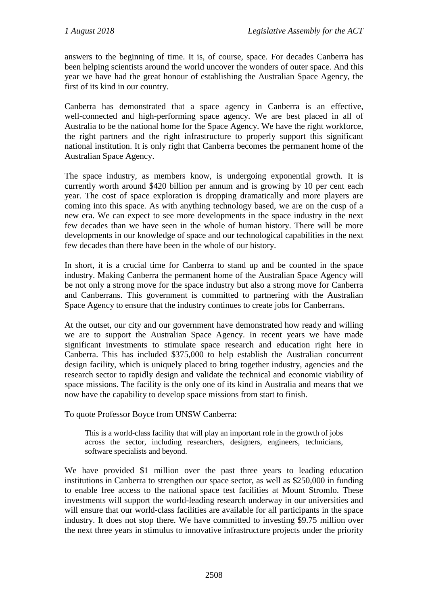answers to the beginning of time. It is, of course, space. For decades Canberra has been helping scientists around the world uncover the wonders of outer space. And this year we have had the great honour of establishing the Australian Space Agency, the first of its kind in our country.

Canberra has demonstrated that a space agency in Canberra is an effective, well-connected and high-performing space agency. We are best placed in all of Australia to be the national home for the Space Agency. We have the right workforce, the right partners and the right infrastructure to properly support this significant national institution. It is only right that Canberra becomes the permanent home of the Australian Space Agency.

The space industry, as members know, is undergoing exponential growth. It is currently worth around \$420 billion per annum and is growing by 10 per cent each year. The cost of space exploration is dropping dramatically and more players are coming into this space. As with anything technology based, we are on the cusp of a new era. We can expect to see more developments in the space industry in the next few decades than we have seen in the whole of human history. There will be more developments in our knowledge of space and our technological capabilities in the next few decades than there have been in the whole of our history.

In short, it is a crucial time for Canberra to stand up and be counted in the space industry. Making Canberra the permanent home of the Australian Space Agency will be not only a strong move for the space industry but also a strong move for Canberra and Canberrans. This government is committed to partnering with the Australian Space Agency to ensure that the industry continues to create jobs for Canberrans.

At the outset, our city and our government have demonstrated how ready and willing we are to support the Australian Space Agency. In recent years we have made significant investments to stimulate space research and education right here in Canberra. This has included \$375,000 to help establish the Australian concurrent design facility, which is uniquely placed to bring together industry, agencies and the research sector to rapidly design and validate the technical and economic viability of space missions. The facility is the only one of its kind in Australia and means that we now have the capability to develop space missions from start to finish.

To quote Professor Boyce from UNSW Canberra:

This is a world-class facility that will play an important role in the growth of jobs across the sector, including researchers, designers, engineers, technicians, software specialists and beyond.

We have provided \$1 million over the past three years to leading education institutions in Canberra to strengthen our space sector, as well as \$250,000 in funding to enable free access to the national space test facilities at Mount Stromlo. These investments will support the world-leading research underway in our universities and will ensure that our world-class facilities are available for all participants in the space industry. It does not stop there. We have committed to investing \$9.75 million over the next three years in stimulus to innovative infrastructure projects under the priority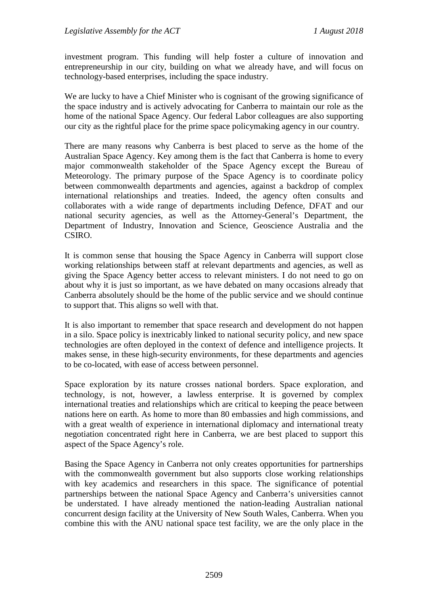investment program. This funding will help foster a culture of innovation and entrepreneurship in our city, building on what we already have, and will focus on technology-based enterprises, including the space industry.

We are lucky to have a Chief Minister who is cognisant of the growing significance of the space industry and is actively advocating for Canberra to maintain our role as the home of the national Space Agency. Our federal Labor colleagues are also supporting our city as the rightful place for the prime space policymaking agency in our country.

There are many reasons why Canberra is best placed to serve as the home of the Australian Space Agency. Key among them is the fact that Canberra is home to every major commonwealth stakeholder of the Space Agency except the Bureau of Meteorology. The primary purpose of the Space Agency is to coordinate policy between commonwealth departments and agencies, against a backdrop of complex international relationships and treaties. Indeed, the agency often consults and collaborates with a wide range of departments including Defence, DFAT and our national security agencies, as well as the Attorney-General's Department, the Department of Industry, Innovation and Science, Geoscience Australia and the CSIRO.

It is common sense that housing the Space Agency in Canberra will support close working relationships between staff at relevant departments and agencies, as well as giving the Space Agency better access to relevant ministers. I do not need to go on about why it is just so important, as we have debated on many occasions already that Canberra absolutely should be the home of the public service and we should continue to support that. This aligns so well with that.

It is also important to remember that space research and development do not happen in a silo. Space policy is inextricably linked to national security policy, and new space technologies are often deployed in the context of defence and intelligence projects. It makes sense, in these high-security environments, for these departments and agencies to be co-located, with ease of access between personnel.

Space exploration by its nature crosses national borders. Space exploration, and technology, is not, however, a lawless enterprise. It is governed by complex international treaties and relationships which are critical to keeping the peace between nations here on earth. As home to more than 80 embassies and high commissions, and with a great wealth of experience in international diplomacy and international treaty negotiation concentrated right here in Canberra, we are best placed to support this aspect of the Space Agency's role.

Basing the Space Agency in Canberra not only creates opportunities for partnerships with the commonwealth government but also supports close working relationships with key academics and researchers in this space. The significance of potential partnerships between the national Space Agency and Canberra's universities cannot be understated. I have already mentioned the nation-leading Australian national concurrent design facility at the University of New South Wales, Canberra. When you combine this with the ANU national space test facility, we are the only place in the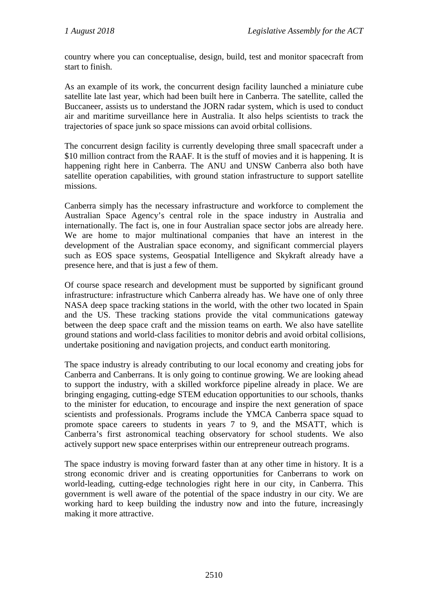country where you can conceptualise, design, build, test and monitor spacecraft from start to finish.

As an example of its work, the concurrent design facility launched a miniature cube satellite late last year, which had been built here in Canberra. The satellite, called the Buccaneer, assists us to understand the JORN radar system, which is used to conduct air and maritime surveillance here in Australia. It also helps scientists to track the trajectories of space junk so space missions can avoid orbital collisions.

The concurrent design facility is currently developing three small spacecraft under a \$10 million contract from the RAAF. It is the stuff of movies and it is happening. It is happening right here in Canberra. The ANU and UNSW Canberra also both have satellite operation capabilities, with ground station infrastructure to support satellite missions.

Canberra simply has the necessary infrastructure and workforce to complement the Australian Space Agency's central role in the space industry in Australia and internationally. The fact is, one in four Australian space sector jobs are already here. We are home to major multinational companies that have an interest in the development of the Australian space economy, and significant commercial players such as EOS space systems, Geospatial Intelligence and Skykraft already have a presence here, and that is just a few of them.

Of course space research and development must be supported by significant ground infrastructure: infrastructure which Canberra already has. We have one of only three NASA deep space tracking stations in the world, with the other two located in Spain and the US. These tracking stations provide the vital communications gateway between the deep space craft and the mission teams on earth. We also have satellite ground stations and world-class facilities to monitor debris and avoid orbital collisions, undertake positioning and navigation projects, and conduct earth monitoring.

The space industry is already contributing to our local economy and creating jobs for Canberra and Canberrans. It is only going to continue growing. We are looking ahead to support the industry, with a skilled workforce pipeline already in place. We are bringing engaging, cutting-edge STEM education opportunities to our schools, thanks to the minister for education, to encourage and inspire the next generation of space scientists and professionals. Programs include the YMCA Canberra space squad to promote space careers to students in years 7 to 9, and the MSATT, which is Canberra's first astronomical teaching observatory for school students. We also actively support new space enterprises within our entrepreneur outreach programs.

The space industry is moving forward faster than at any other time in history. It is a strong economic driver and is creating opportunities for Canberrans to work on world-leading, cutting-edge technologies right here in our city, in Canberra. This government is well aware of the potential of the space industry in our city. We are working hard to keep building the industry now and into the future, increasingly making it more attractive.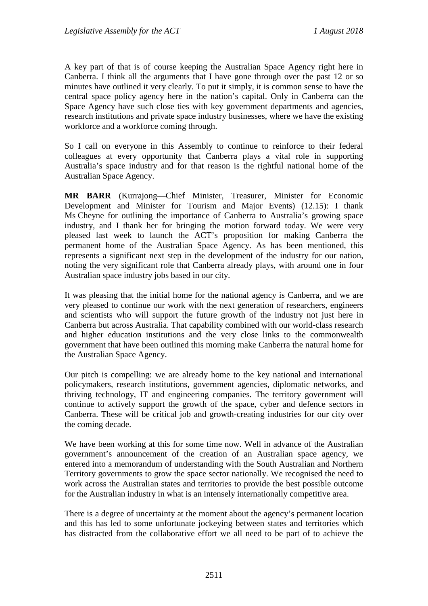A key part of that is of course keeping the Australian Space Agency right here in Canberra. I think all the arguments that I have gone through over the past 12 or so minutes have outlined it very clearly. To put it simply, it is common sense to have the central space policy agency here in the nation's capital. Only in Canberra can the Space Agency have such close ties with key government departments and agencies, research institutions and private space industry businesses, where we have the existing workforce and a workforce coming through.

So I call on everyone in this Assembly to continue to reinforce to their federal colleagues at every opportunity that Canberra plays a vital role in supporting Australia's space industry and for that reason is the rightful national home of the Australian Space Agency.

**MR BARR** (Kurrajong—Chief Minister, Treasurer, Minister for Economic Development and Minister for Tourism and Major Events) (12.15): I thank Ms Cheyne for outlining the importance of Canberra to Australia's growing space industry, and I thank her for bringing the motion forward today. We were very pleased last week to launch the ACT's proposition for making Canberra the permanent home of the Australian Space Agency. As has been mentioned, this represents a significant next step in the development of the industry for our nation, noting the very significant role that Canberra already plays, with around one in four Australian space industry jobs based in our city.

It was pleasing that the initial home for the national agency is Canberra, and we are very pleased to continue our work with the next generation of researchers, engineers and scientists who will support the future growth of the industry not just here in Canberra but across Australia. That capability combined with our world-class research and higher education institutions and the very close links to the commonwealth government that have been outlined this morning make Canberra the natural home for the Australian Space Agency.

Our pitch is compelling: we are already home to the key national and international policymakers, research institutions, government agencies, diplomatic networks, and thriving technology, IT and engineering companies. The territory government will continue to actively support the growth of the space, cyber and defence sectors in Canberra. These will be critical job and growth-creating industries for our city over the coming decade.

We have been working at this for some time now. Well in advance of the Australian government's announcement of the creation of an Australian space agency, we entered into a memorandum of understanding with the South Australian and Northern Territory governments to grow the space sector nationally. We recognised the need to work across the Australian states and territories to provide the best possible outcome for the Australian industry in what is an intensely internationally competitive area.

There is a degree of uncertainty at the moment about the agency's permanent location and this has led to some unfortunate jockeying between states and territories which has distracted from the collaborative effort we all need to be part of to achieve the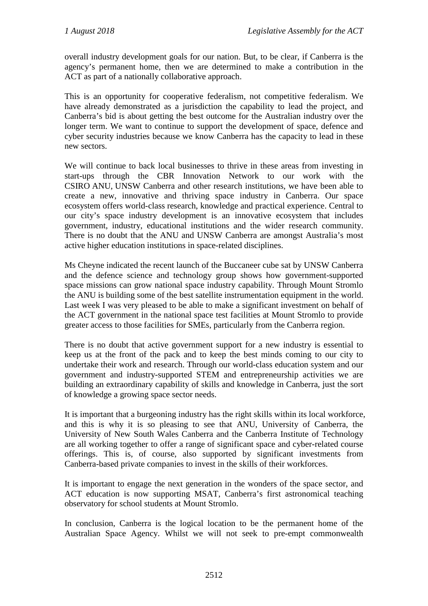overall industry development goals for our nation. But, to be clear, if Canberra is the agency's permanent home, then we are determined to make a contribution in the ACT as part of a nationally collaborative approach.

This is an opportunity for cooperative federalism, not competitive federalism. We have already demonstrated as a jurisdiction the capability to lead the project, and Canberra's bid is about getting the best outcome for the Australian industry over the longer term. We want to continue to support the development of space, defence and cyber security industries because we know Canberra has the capacity to lead in these new sectors.

We will continue to back local businesses to thrive in these areas from investing in start-ups through the CBR Innovation Network to our work with the CSIRO ANU, UNSW Canberra and other research institutions, we have been able to create a new, innovative and thriving space industry in Canberra. Our space ecosystem offers world-class research, knowledge and practical experience. Central to our city's space industry development is an innovative ecosystem that includes government, industry, educational institutions and the wider research community. There is no doubt that the ANU and UNSW Canberra are amongst Australia's most active higher education institutions in space-related disciplines.

Ms Cheyne indicated the recent launch of the Buccaneer cube sat by UNSW Canberra and the defence science and technology group shows how government-supported space missions can grow national space industry capability. Through Mount Stromlo the ANU is building some of the best satellite instrumentation equipment in the world. Last week I was very pleased to be able to make a significant investment on behalf of the ACT government in the national space test facilities at Mount Stromlo to provide greater access to those facilities for SMEs, particularly from the Canberra region.

There is no doubt that active government support for a new industry is essential to keep us at the front of the pack and to keep the best minds coming to our city to undertake their work and research. Through our world-class education system and our government and industry-supported STEM and entrepreneurship activities we are building an extraordinary capability of skills and knowledge in Canberra, just the sort of knowledge a growing space sector needs.

It is important that a burgeoning industry has the right skills within its local workforce, and this is why it is so pleasing to see that ANU, University of Canberra, the University of New South Wales Canberra and the Canberra Institute of Technology are all working together to offer a range of significant space and cyber-related course offerings. This is, of course, also supported by significant investments from Canberra-based private companies to invest in the skills of their workforces.

It is important to engage the next generation in the wonders of the space sector, and ACT education is now supporting MSAT, Canberra's first astronomical teaching observatory for school students at Mount Stromlo.

In conclusion, Canberra is the logical location to be the permanent home of the Australian Space Agency. Whilst we will not seek to pre-empt commonwealth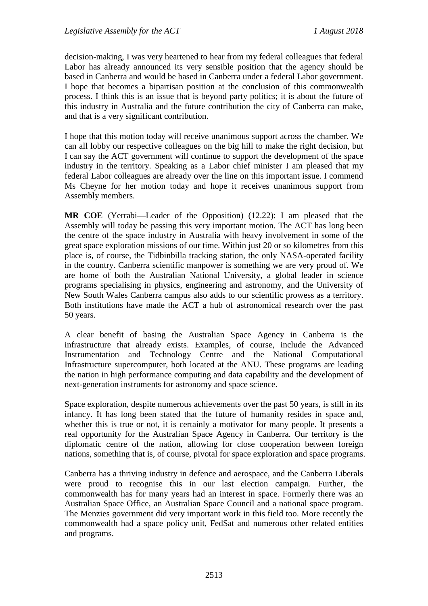decision-making, I was very heartened to hear from my federal colleagues that federal Labor has already announced its very sensible position that the agency should be based in Canberra and would be based in Canberra under a federal Labor government. I hope that becomes a bipartisan position at the conclusion of this commonwealth process. I think this is an issue that is beyond party politics; it is about the future of this industry in Australia and the future contribution the city of Canberra can make, and that is a very significant contribution.

I hope that this motion today will receive unanimous support across the chamber. We can all lobby our respective colleagues on the big hill to make the right decision, but I can say the ACT government will continue to support the development of the space industry in the territory. Speaking as a Labor chief minister I am pleased that my federal Labor colleagues are already over the line on this important issue. I commend Ms Cheyne for her motion today and hope it receives unanimous support from Assembly members.

**MR COE** (Yerrabi—Leader of the Opposition) (12.22): I am pleased that the Assembly will today be passing this very important motion. The ACT has long been the centre of the space industry in Australia with heavy involvement in some of the great space exploration missions of our time. Within just 20 or so kilometres from this place is, of course, the Tidbinbilla tracking station, the only NASA-operated facility in the country. Canberra scientific manpower is something we are very proud of. We are home of both the Australian National University, a global leader in science programs specialising in physics, engineering and astronomy, and the University of New South Wales Canberra campus also adds to our scientific prowess as a territory. Both institutions have made the ACT a hub of astronomical research over the past 50 years.

A clear benefit of basing the Australian Space Agency in Canberra is the infrastructure that already exists. Examples, of course, include the Advanced Instrumentation and Technology Centre and the National Computational Infrastructure supercomputer, both located at the ANU. These programs are leading the nation in high performance computing and data capability and the development of next-generation instruments for astronomy and space science.

Space exploration, despite numerous achievements over the past 50 years, is still in its infancy. It has long been stated that the future of humanity resides in space and, whether this is true or not, it is certainly a motivator for many people. It presents a real opportunity for the Australian Space Agency in Canberra. Our territory is the diplomatic centre of the nation, allowing for close cooperation between foreign nations, something that is, of course, pivotal for space exploration and space programs.

Canberra has a thriving industry in defence and aerospace, and the Canberra Liberals were proud to recognise this in our last election campaign. Further, the commonwealth has for many years had an interest in space. Formerly there was an Australian Space Office, an Australian Space Council and a national space program. The Menzies government did very important work in this field too. More recently the commonwealth had a space policy unit, FedSat and numerous other related entities and programs.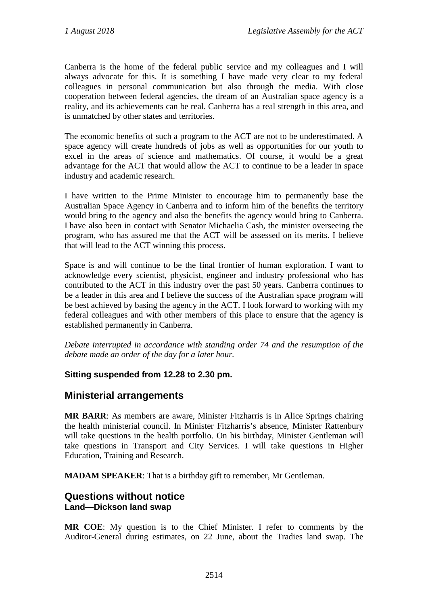Canberra is the home of the federal public service and my colleagues and I will always advocate for this. It is something I have made very clear to my federal colleagues in personal communication but also through the media. With close cooperation between federal agencies, the dream of an Australian space agency is a reality, and its achievements can be real. Canberra has a real strength in this area, and is unmatched by other states and territories.

The economic benefits of such a program to the ACT are not to be underestimated. A space agency will create hundreds of jobs as well as opportunities for our youth to excel in the areas of science and mathematics. Of course, it would be a great advantage for the ACT that would allow the ACT to continue to be a leader in space industry and academic research.

I have written to the Prime Minister to encourage him to permanently base the Australian Space Agency in Canberra and to inform him of the benefits the territory would bring to the agency and also the benefits the agency would bring to Canberra. I have also been in contact with Senator Michaelia Cash, the minister overseeing the program, who has assured me that the ACT will be assessed on its merits. I believe that will lead to the ACT winning this process.

Space is and will continue to be the final frontier of human exploration. I want to acknowledge every scientist, physicist, engineer and industry professional who has contributed to the ACT in this industry over the past 50 years. Canberra continues to be a leader in this area and I believe the success of the Australian space program will be best achieved by basing the agency in the ACT. I look forward to working with my federal colleagues and with other members of this place to ensure that the agency is established permanently in Canberra.

*Debate interrupted in accordance with standing order 74 and the resumption of the debate made an order of the day for a later hour.*

### **Sitting suspended from 12.28 to 2.30 pm.**

## **Ministerial arrangements**

**MR BARR**: As members are aware, Minister Fitzharris is in Alice Springs chairing the health ministerial council. In Minister Fitzharris's absence, Minister Rattenbury will take questions in the health portfolio. On his birthday, Minister Gentleman will take questions in Transport and City Services. I will take questions in Higher Education, Training and Research.

**MADAM SPEAKER**: That is a birthday gift to remember, Mr Gentleman.

## **Questions without notice Land—Dickson land swap**

**MR COE**: My question is to the Chief Minister. I refer to comments by the Auditor-General during estimates, on 22 June, about the Tradies land swap. The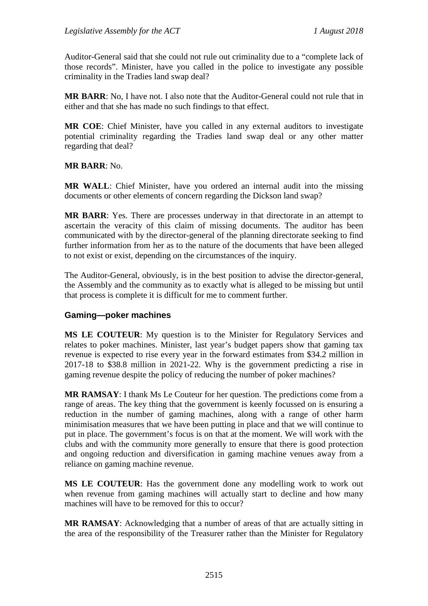Auditor-General said that she could not rule out criminality due to a "complete lack of those records". Minister, have you called in the police to investigate any possible criminality in the Tradies land swap deal?

**MR BARR**: No, I have not. I also note that the Auditor-General could not rule that in either and that she has made no such findings to that effect.

**MR COE**: Chief Minister, have you called in any external auditors to investigate potential criminality regarding the Tradies land swap deal or any other matter regarding that deal?

**MR BARR**: No.

**MR WALL**: Chief Minister, have you ordered an internal audit into the missing documents or other elements of concern regarding the Dickson land swap?

**MR BARR**: Yes. There are processes underway in that directorate in an attempt to ascertain the veracity of this claim of missing documents. The auditor has been communicated with by the director-general of the planning directorate seeking to find further information from her as to the nature of the documents that have been alleged to not exist or exist, depending on the circumstances of the inquiry.

The Auditor-General, obviously, is in the best position to advise the director-general, the Assembly and the community as to exactly what is alleged to be missing but until that process is complete it is difficult for me to comment further.

### **Gaming—poker machines**

**MS LE COUTEUR**: My question is to the Minister for Regulatory Services and relates to poker machines. Minister, last year's budget papers show that gaming tax revenue is expected to rise every year in the forward estimates from \$34.2 million in 2017-18 to \$38.8 million in 2021-22. Why is the government predicting a rise in gaming revenue despite the policy of reducing the number of poker machines?

**MR RAMSAY**: I thank Ms Le Couteur for her question. The predictions come from a range of areas. The key thing that the government is keenly focussed on is ensuring a reduction in the number of gaming machines, along with a range of other harm minimisation measures that we have been putting in place and that we will continue to put in place. The government's focus is on that at the moment. We will work with the clubs and with the community more generally to ensure that there is good protection and ongoing reduction and diversification in gaming machine venues away from a reliance on gaming machine revenue.

**MS LE COUTEUR**: Has the government done any modelling work to work out when revenue from gaming machines will actually start to decline and how many machines will have to be removed for this to occur?

**MR RAMSAY**: Acknowledging that a number of areas of that are actually sitting in the area of the responsibility of the Treasurer rather than the Minister for Regulatory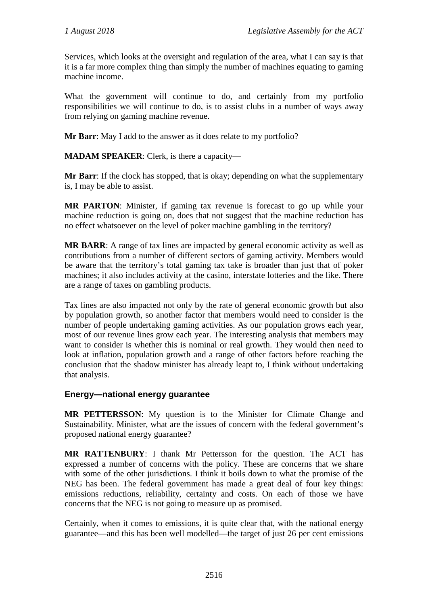Services, which looks at the oversight and regulation of the area, what I can say is that it is a far more complex thing than simply the number of machines equating to gaming machine income.

What the government will continue to do, and certainly from my portfolio responsibilities we will continue to do, is to assist clubs in a number of ways away from relying on gaming machine revenue.

**Mr Barr**: May I add to the answer as it does relate to my portfolio?

**MADAM SPEAKER**: Clerk, is there a capacity—

**Mr Barr**: If the clock has stopped, that is okay; depending on what the supplementary is, I may be able to assist.

**MR PARTON**: Minister, if gaming tax revenue is forecast to go up while your machine reduction is going on, does that not suggest that the machine reduction has no effect whatsoever on the level of poker machine gambling in the territory?

**MR BARR**: A range of tax lines are impacted by general economic activity as well as contributions from a number of different sectors of gaming activity. Members would be aware that the territory's total gaming tax take is broader than just that of poker machines; it also includes activity at the casino, interstate lotteries and the like. There are a range of taxes on gambling products.

Tax lines are also impacted not only by the rate of general economic growth but also by population growth, so another factor that members would need to consider is the number of people undertaking gaming activities. As our population grows each year, most of our revenue lines grow each year. The interesting analysis that members may want to consider is whether this is nominal or real growth. They would then need to look at inflation, population growth and a range of other factors before reaching the conclusion that the shadow minister has already leapt to, I think without undertaking that analysis.

### **Energy—national energy guarantee**

**MR PETTERSSON**: My question is to the Minister for Climate Change and Sustainability. Minister, what are the issues of concern with the federal government's proposed national energy guarantee?

**MR RATTENBURY**: I thank Mr Pettersson for the question. The ACT has expressed a number of concerns with the policy. These are concerns that we share with some of the other jurisdictions. I think it boils down to what the promise of the NEG has been. The federal government has made a great deal of four key things: emissions reductions, reliability, certainty and costs. On each of those we have concerns that the NEG is not going to measure up as promised.

Certainly, when it comes to emissions, it is quite clear that, with the national energy guarantee—and this has been well modelled—the target of just 26 per cent emissions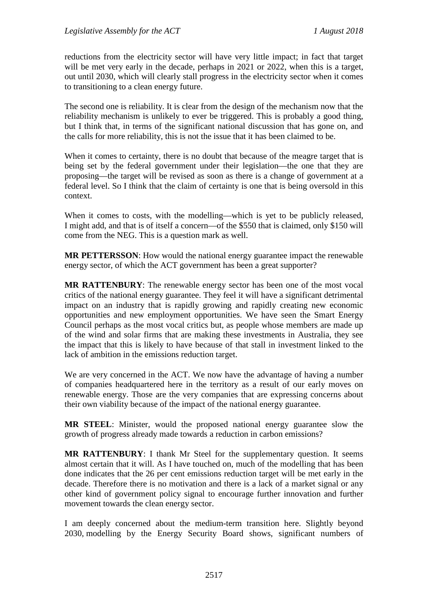reductions from the electricity sector will have very little impact; in fact that target will be met very early in the decade, perhaps in 2021 or 2022, when this is a target, out until 2030, which will clearly stall progress in the electricity sector when it comes to transitioning to a clean energy future.

The second one is reliability. It is clear from the design of the mechanism now that the reliability mechanism is unlikely to ever be triggered. This is probably a good thing, but I think that, in terms of the significant national discussion that has gone on, and the calls for more reliability, this is not the issue that it has been claimed to be.

When it comes to certainty, there is no doubt that because of the meagre target that is being set by the federal government under their legislation—the one that they are proposing—the target will be revised as soon as there is a change of government at a federal level. So I think that the claim of certainty is one that is being oversold in this context.

When it comes to costs, with the modelling—which is yet to be publicly released, I might add, and that is of itself a concern—of the \$550 that is claimed, only \$150 will come from the NEG. This is a question mark as well.

**MR PETTERSSON**: How would the national energy guarantee impact the renewable energy sector, of which the ACT government has been a great supporter?

**MR RATTENBURY**: The renewable energy sector has been one of the most vocal critics of the national energy guarantee. They feel it will have a significant detrimental impact on an industry that is rapidly growing and rapidly creating new economic opportunities and new employment opportunities. We have seen the Smart Energy Council perhaps as the most vocal critics but, as people whose members are made up of the wind and solar firms that are making these investments in Australia, they see the impact that this is likely to have because of that stall in investment linked to the lack of ambition in the emissions reduction target.

We are very concerned in the ACT. We now have the advantage of having a number of companies headquartered here in the territory as a result of our early moves on renewable energy. Those are the very companies that are expressing concerns about their own viability because of the impact of the national energy guarantee.

**MR STEEL**: Minister, would the proposed national energy guarantee slow the growth of progress already made towards a reduction in carbon emissions?

**MR RATTENBURY**: I thank Mr Steel for the supplementary question. It seems almost certain that it will. As I have touched on, much of the modelling that has been done indicates that the 26 per cent emissions reduction target will be met early in the decade. Therefore there is no motivation and there is a lack of a market signal or any other kind of government policy signal to encourage further innovation and further movement towards the clean energy sector.

I am deeply concerned about the medium-term transition here. Slightly beyond 2030, modelling by the Energy Security Board shows, significant numbers of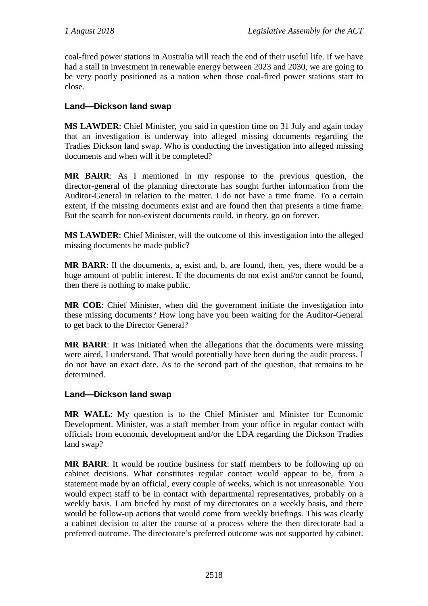coal-fired power stations in Australia will reach the end of their useful life. If we have had a stall in investment in renewable energy between 2023 and 2030, we are going to be very poorly positioned as a nation when those coal-fired power stations start to close.

## **Land—Dickson land swap**

**MS LAWDER**: Chief Minister, you said in question time on 31 July and again today that an investigation is underway into alleged missing documents regarding the Tradies Dickson land swap. Who is conducting the investigation into alleged missing documents and when will it be completed?

**MR BARR**: As I mentioned in my response to the previous question, the director-general of the planning directorate has sought further information from the Auditor-General in relation to the matter. I do not have a time frame. To a certain extent, if the missing documents exist and are found then that presents a time frame. But the search for non-existent documents could, in theory, go on forever.

**MS LAWDER**: Chief Minister, will the outcome of this investigation into the alleged missing documents be made public?

**MR BARR**: If the documents, a, exist and, b, are found, then, yes, there would be a huge amount of public interest. If the documents do not exist and/or cannot be found, then there is nothing to make public.

**MR COE**: Chief Minister, when did the government initiate the investigation into these missing documents? How long have you been waiting for the Auditor-General to get back to the Director General?

**MR BARR**: It was initiated when the allegations that the documents were missing were aired, I understand. That would potentially have been during the audit process. I do not have an exact date. As to the second part of the question, that remains to be determined.

### **Land—Dickson land swap**

**MR WALL**: My question is to the Chief Minister and Minister for Economic Development. Minister, was a staff member from your office in regular contact with officials from economic development and/or the LDA regarding the Dickson Tradies land swap?

**MR BARR**: It would be routine business for staff members to be following up on cabinet decisions. What constitutes regular contact would appear to be, from a statement made by an official, every couple of weeks, which is not unreasonable. You would expect staff to be in contact with departmental representatives, probably on a weekly basis. I am briefed by most of my directorates on a weekly basis, and there would be follow-up actions that would come from weekly briefings. This was clearly a cabinet decision to alter the course of a process where the then directorate had a preferred outcome. The directorate's preferred outcome was not supported by cabinet.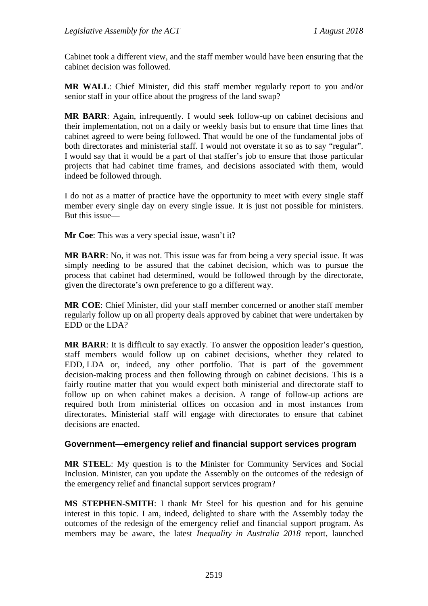Cabinet took a different view, and the staff member would have been ensuring that the cabinet decision was followed.

**MR WALL**: Chief Minister, did this staff member regularly report to you and/or senior staff in your office about the progress of the land swap?

**MR BARR**: Again, infrequently. I would seek follow-up on cabinet decisions and their implementation, not on a daily or weekly basis but to ensure that time lines that cabinet agreed to were being followed. That would be one of the fundamental jobs of both directorates and ministerial staff. I would not overstate it so as to say "regular". I would say that it would be a part of that staffer's job to ensure that those particular projects that had cabinet time frames, and decisions associated with them, would indeed be followed through.

I do not as a matter of practice have the opportunity to meet with every single staff member every single day on every single issue. It is just not possible for ministers. But this issue—

**Mr Coe**: This was a very special issue, wasn't it?

**MR BARR**: No, it was not. This issue was far from being a very special issue. It was simply needing to be assured that the cabinet decision, which was to pursue the process that cabinet had determined, would be followed through by the directorate, given the directorate's own preference to go a different way.

**MR COE**: Chief Minister, did your staff member concerned or another staff member regularly follow up on all property deals approved by cabinet that were undertaken by EDD or the LDA?

**MR BARR**: It is difficult to say exactly. To answer the opposition leader's question, staff members would follow up on cabinet decisions, whether they related to EDD, LDA or, indeed, any other portfolio. That is part of the government decision-making process and then following through on cabinet decisions. This is a fairly routine matter that you would expect both ministerial and directorate staff to follow up on when cabinet makes a decision. A range of follow-up actions are required both from ministerial offices on occasion and in most instances from directorates. Ministerial staff will engage with directorates to ensure that cabinet decisions are enacted.

### **Government—emergency relief and financial support services program**

**MR STEEL**: My question is to the Minister for Community Services and Social Inclusion. Minister, can you update the Assembly on the outcomes of the redesign of the emergency relief and financial support services program?

**MS STEPHEN-SMITH**: I thank Mr Steel for his question and for his genuine interest in this topic. I am, indeed, delighted to share with the Assembly today the outcomes of the redesign of the emergency relief and financial support program. As members may be aware, the latest *Inequality in Australia 2018* report, launched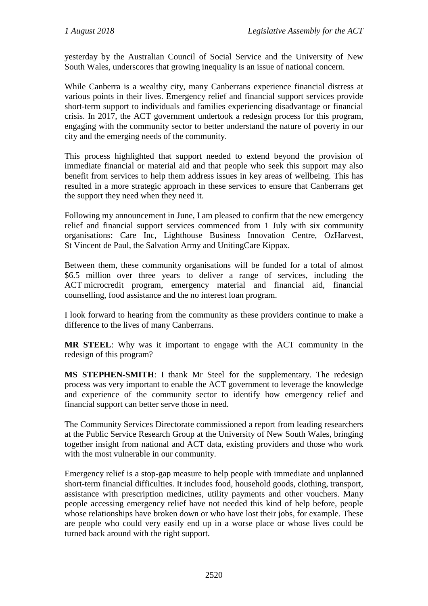yesterday by the Australian Council of Social Service and the University of New South Wales, underscores that growing inequality is an issue of national concern.

While Canberra is a wealthy city, many Canberrans experience financial distress at various points in their lives. Emergency relief and financial support services provide short-term support to individuals and families experiencing disadvantage or financial crisis. In 2017, the ACT government undertook a redesign process for this program, engaging with the community sector to better understand the nature of poverty in our city and the emerging needs of the community.

This process highlighted that support needed to extend beyond the provision of immediate financial or material aid and that people who seek this support may also benefit from services to help them address issues in key areas of wellbeing. This has resulted in a more strategic approach in these services to ensure that Canberrans get the support they need when they need it.

Following my announcement in June, I am pleased to confirm that the new emergency relief and financial support services commenced from 1 July with six community organisations: Care Inc, Lighthouse Business Innovation Centre, OzHarvest, St Vincent de Paul, the Salvation Army and UnitingCare Kippax.

Between them, these community organisations will be funded for a total of almost \$6.5 million over three years to deliver a range of services, including the ACT microcredit program, emergency material and financial aid, financial counselling, food assistance and the no interest loan program.

I look forward to hearing from the community as these providers continue to make a difference to the lives of many Canberrans.

**MR STEEL**: Why was it important to engage with the ACT community in the redesign of this program?

**MS STEPHEN-SMITH**: I thank Mr Steel for the supplementary. The redesign process was very important to enable the ACT government to leverage the knowledge and experience of the community sector to identify how emergency relief and financial support can better serve those in need.

The Community Services Directorate commissioned a report from leading researchers at the Public Service Research Group at the University of New South Wales, bringing together insight from national and ACT data, existing providers and those who work with the most vulnerable in our community.

Emergency relief is a stop-gap measure to help people with immediate and unplanned short-term financial difficulties. It includes food, household goods, clothing, transport, assistance with prescription medicines, utility payments and other vouchers. Many people accessing emergency relief have not needed this kind of help before, people whose relationships have broken down or who have lost their jobs, for example. These are people who could very easily end up in a worse place or whose lives could be turned back around with the right support.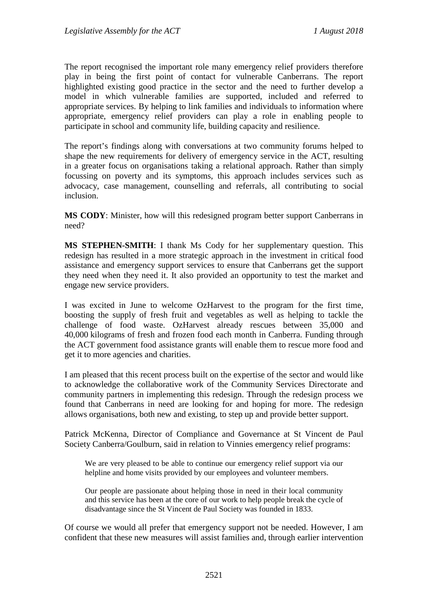The report recognised the important role many emergency relief providers therefore play in being the first point of contact for vulnerable Canberrans. The report highlighted existing good practice in the sector and the need to further develop a model in which vulnerable families are supported, included and referred to appropriate services. By helping to link families and individuals to information where appropriate, emergency relief providers can play a role in enabling people to participate in school and community life, building capacity and resilience.

The report's findings along with conversations at two community forums helped to shape the new requirements for delivery of emergency service in the ACT, resulting in a greater focus on organisations taking a relational approach. Rather than simply focussing on poverty and its symptoms, this approach includes services such as advocacy, case management, counselling and referrals, all contributing to social inclusion.

**MS CODY**: Minister, how will this redesigned program better support Canberrans in need?

**MS STEPHEN-SMITH**: I thank Ms Cody for her supplementary question. This redesign has resulted in a more strategic approach in the investment in critical food assistance and emergency support services to ensure that Canberrans get the support they need when they need it. It also provided an opportunity to test the market and engage new service providers.

I was excited in June to welcome OzHarvest to the program for the first time, boosting the supply of fresh fruit and vegetables as well as helping to tackle the challenge of food waste. OzHarvest already rescues between 35,000 and 40,000 kilograms of fresh and frozen food each month in Canberra. Funding through the ACT government food assistance grants will enable them to rescue more food and get it to more agencies and charities.

I am pleased that this recent process built on the expertise of the sector and would like to acknowledge the collaborative work of the Community Services Directorate and community partners in implementing this redesign. Through the redesign process we found that Canberrans in need are looking for and hoping for more. The redesign allows organisations, both new and existing, to step up and provide better support.

Patrick McKenna, Director of Compliance and Governance at St Vincent de Paul Society Canberra/Goulburn, said in relation to Vinnies emergency relief programs:

We are very pleased to be able to continue our emergency relief support via our helpline and home visits provided by our employees and volunteer members.

Our people are passionate about helping those in need in their local community and this service has been at the core of our work to help people break the cycle of disadvantage since the St Vincent de Paul Society was founded in 1833.

Of course we would all prefer that emergency support not be needed. However, I am confident that these new measures will assist families and, through earlier intervention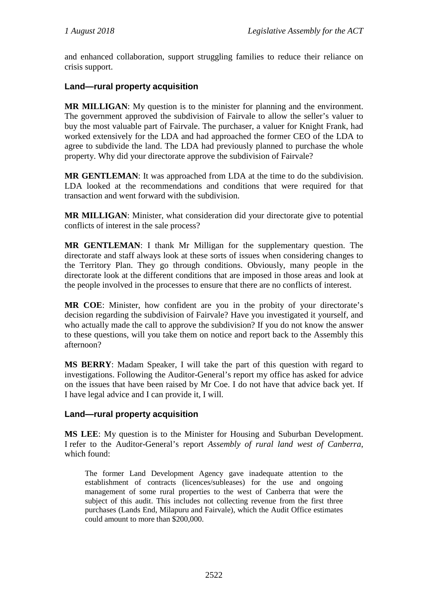and enhanced collaboration, support struggling families to reduce their reliance on crisis support.

### **Land—rural property acquisition**

**MR MILLIGAN**: My question is to the minister for planning and the environment. The government approved the subdivision of Fairvale to allow the seller's valuer to buy the most valuable part of Fairvale. The purchaser, a valuer for Knight Frank, had worked extensively for the LDA and had approached the former CEO of the LDA to agree to subdivide the land. The LDA had previously planned to purchase the whole property. Why did your directorate approve the subdivision of Fairvale?

**MR GENTLEMAN**: It was approached from LDA at the time to do the subdivision. LDA looked at the recommendations and conditions that were required for that transaction and went forward with the subdivision.

**MR MILLIGAN**: Minister, what consideration did your directorate give to potential conflicts of interest in the sale process?

**MR GENTLEMAN**: I thank Mr Milligan for the supplementary question. The directorate and staff always look at these sorts of issues when considering changes to the Territory Plan. They go through conditions. Obviously, many people in the directorate look at the different conditions that are imposed in those areas and look at the people involved in the processes to ensure that there are no conflicts of interest.

**MR COE**: Minister, how confident are you in the probity of your directorate's decision regarding the subdivision of Fairvale? Have you investigated it yourself, and who actually made the call to approve the subdivision? If you do not know the answer to these questions, will you take them on notice and report back to the Assembly this afternoon?

**MS BERRY**: Madam Speaker, I will take the part of this question with regard to investigations. Following the Auditor-General's report my office has asked for advice on the issues that have been raised by Mr Coe. I do not have that advice back yet. If I have legal advice and I can provide it, I will.

### **Land—rural property acquisition**

**MS LEE**: My question is to the Minister for Housing and Suburban Development. I refer to the Auditor-General's report *Assembly of rural land west of Canberra*, which found:

The former Land Development Agency gave inadequate attention to the establishment of contracts (licences/subleases) for the use and ongoing management of some rural properties to the west of Canberra that were the subject of this audit. This includes not collecting revenue from the first three purchases (Lands End, Milapuru and Fairvale), which the Audit Office estimates could amount to more than \$200,000.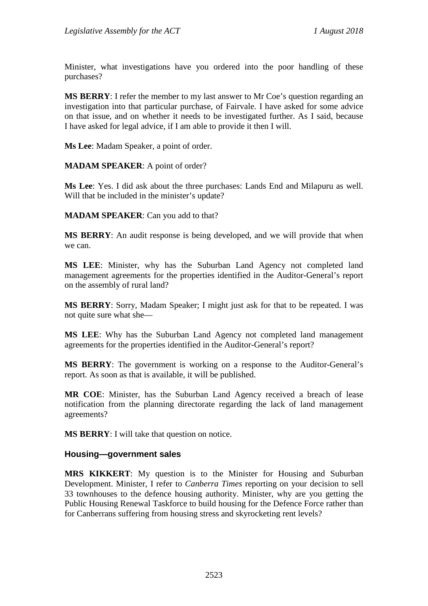Minister, what investigations have you ordered into the poor handling of these purchases?

**MS BERRY**: I refer the member to my last answer to Mr Coe's question regarding an investigation into that particular purchase, of Fairvale. I have asked for some advice on that issue, and on whether it needs to be investigated further. As I said, because I have asked for legal advice, if I am able to provide it then I will.

**Ms Lee**: Madam Speaker, a point of order.

**MADAM SPEAKER**: A point of order?

**Ms Lee**: Yes. I did ask about the three purchases: Lands End and Milapuru as well. Will that be included in the minister's update?

**MADAM SPEAKER**: Can you add to that?

**MS BERRY**: An audit response is being developed, and we will provide that when we can.

**MS LEE**: Minister, why has the Suburban Land Agency not completed land management agreements for the properties identified in the Auditor-General's report on the assembly of rural land?

**MS BERRY**: Sorry, Madam Speaker; I might just ask for that to be repeated. I was not quite sure what she—

**MS LEE**: Why has the Suburban Land Agency not completed land management agreements for the properties identified in the Auditor-General's report?

**MS BERRY**: The government is working on a response to the Auditor-General's report. As soon as that is available, it will be published.

**MR COE**: Minister, has the Suburban Land Agency received a breach of lease notification from the planning directorate regarding the lack of land management agreements?

**MS BERRY**: I will take that question on notice.

#### **Housing—government sales**

**MRS KIKKERT**: My question is to the Minister for Housing and Suburban Development. Minister, I refer to *Canberra Times* reporting on your decision to sell 33 townhouses to the defence housing authority. Minister, why are you getting the Public Housing Renewal Taskforce to build housing for the Defence Force rather than for Canberrans suffering from housing stress and skyrocketing rent levels?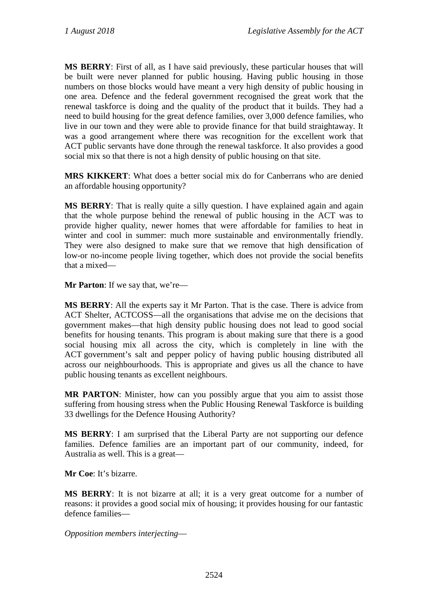**MS BERRY**: First of all, as I have said previously, these particular houses that will be built were never planned for public housing. Having public housing in those numbers on those blocks would have meant a very high density of public housing in one area. Defence and the federal government recognised the great work that the renewal taskforce is doing and the quality of the product that it builds. They had a need to build housing for the great defence families, over 3,000 defence families, who live in our town and they were able to provide finance for that build straightaway. It was a good arrangement where there was recognition for the excellent work that ACT public servants have done through the renewal taskforce. It also provides a good social mix so that there is not a high density of public housing on that site.

**MRS KIKKERT**: What does a better social mix do for Canberrans who are denied an affordable housing opportunity?

**MS BERRY:** That is really quite a silly question. I have explained again and again that the whole purpose behind the renewal of public housing in the ACT was to provide higher quality, newer homes that were affordable for families to heat in winter and cool in summer: much more sustainable and environmentally friendly. They were also designed to make sure that we remove that high densification of low-or no-income people living together, which does not provide the social benefits that a mixed—

**Mr Parton**: If we say that, we're—

**MS BERRY**: All the experts say it Mr Parton. That is the case. There is advice from ACT Shelter, ACTCOSS—all the organisations that advise me on the decisions that government makes—that high density public housing does not lead to good social benefits for housing tenants. This program is about making sure that there is a good social housing mix all across the city, which is completely in line with the ACT government's salt and pepper policy of having public housing distributed all across our neighbourhoods. This is appropriate and gives us all the chance to have public housing tenants as excellent neighbours.

**MR PARTON**: Minister, how can you possibly argue that you aim to assist those suffering from housing stress when the Public Housing Renewal Taskforce is building 33 dwellings for the Defence Housing Authority?

**MS BERRY**: I am surprised that the Liberal Party are not supporting our defence families. Defence families are an important part of our community, indeed, for Australia as well. This is a great—

**Mr Coe**: It's bizarre.

**MS BERRY**: It is not bizarre at all; it is a very great outcome for a number of reasons: it provides a good social mix of housing; it provides housing for our fantastic defence families—

*Opposition members interjecting*—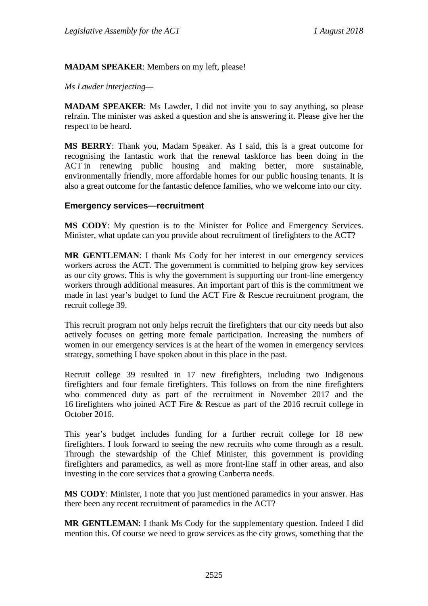### **MADAM SPEAKER**: Members on my left, please!

#### *Ms Lawder interjecting—*

**MADAM SPEAKER**: Ms Lawder, I did not invite you to say anything, so please refrain. The minister was asked a question and she is answering it. Please give her the respect to be heard.

**MS BERRY**: Thank you, Madam Speaker. As I said, this is a great outcome for recognising the fantastic work that the renewal taskforce has been doing in the ACT in renewing public housing and making better, more sustainable, environmentally friendly, more affordable homes for our public housing tenants. It is also a great outcome for the fantastic defence families, who we welcome into our city.

#### **Emergency services—recruitment**

**MS CODY**: My question is to the Minister for Police and Emergency Services. Minister, what update can you provide about recruitment of firefighters to the ACT?

**MR GENTLEMAN**: I thank Ms Cody for her interest in our emergency services workers across the ACT. The government is committed to helping grow key services as our city grows. This is why the government is supporting our front-line emergency workers through additional measures. An important part of this is the commitment we made in last year's budget to fund the ACT Fire & Rescue recruitment program, the recruit college 39.

This recruit program not only helps recruit the firefighters that our city needs but also actively focuses on getting more female participation. Increasing the numbers of women in our emergency services is at the heart of the women in emergency services strategy, something I have spoken about in this place in the past.

Recruit college 39 resulted in 17 new firefighters, including two Indigenous firefighters and four female firefighters. This follows on from the nine firefighters who commenced duty as part of the recruitment in November 2017 and the 16 firefighters who joined ACT Fire & Rescue as part of the 2016 recruit college in October 2016.

This year's budget includes funding for a further recruit college for 18 new firefighters. I look forward to seeing the new recruits who come through as a result. Through the stewardship of the Chief Minister, this government is providing firefighters and paramedics, as well as more front-line staff in other areas, and also investing in the core services that a growing Canberra needs.

**MS CODY**: Minister, I note that you just mentioned paramedics in your answer. Has there been any recent recruitment of paramedics in the ACT?

**MR GENTLEMAN**: I thank Ms Cody for the supplementary question. Indeed I did mention this. Of course we need to grow services as the city grows, something that the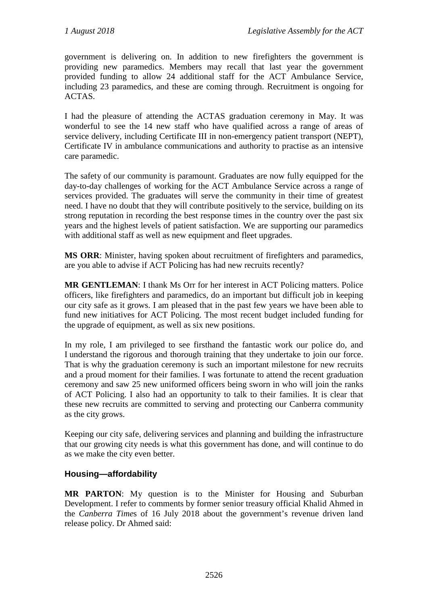government is delivering on. In addition to new firefighters the government is providing new paramedics. Members may recall that last year the government provided funding to allow 24 additional staff for the ACT Ambulance Service, including 23 paramedics, and these are coming through. Recruitment is ongoing for ACTAS.

I had the pleasure of attending the ACTAS graduation ceremony in May. It was wonderful to see the 14 new staff who have qualified across a range of areas of service delivery, including Certificate III in non-emergency patient transport (NEPT), Certificate IV in ambulance communications and authority to practise as an intensive care paramedic.

The safety of our community is paramount. Graduates are now fully equipped for the day-to-day challenges of working for the ACT Ambulance Service across a range of services provided. The graduates will serve the community in their time of greatest need. I have no doubt that they will contribute positively to the service, building on its strong reputation in recording the best response times in the country over the past six years and the highest levels of patient satisfaction. We are supporting our paramedics with additional staff as well as new equipment and fleet upgrades.

**MS ORR**: Minister, having spoken about recruitment of firefighters and paramedics, are you able to advise if ACT Policing has had new recruits recently?

**MR GENTLEMAN**: I thank Ms Orr for her interest in ACT Policing matters. Police officers, like firefighters and paramedics, do an important but difficult job in keeping our city safe as it grows. I am pleased that in the past few years we have been able to fund new initiatives for ACT Policing. The most recent budget included funding for the upgrade of equipment, as well as six new positions.

In my role, I am privileged to see firsthand the fantastic work our police do, and I understand the rigorous and thorough training that they undertake to join our force. That is why the graduation ceremony is such an important milestone for new recruits and a proud moment for their families. I was fortunate to attend the recent graduation ceremony and saw 25 new uniformed officers being sworn in who will join the ranks of ACT Policing. I also had an opportunity to talk to their families. It is clear that these new recruits are committed to serving and protecting our Canberra community as the city grows.

Keeping our city safe, delivering services and planning and building the infrastructure that our growing city needs is what this government has done, and will continue to do as we make the city even better.

### **Housing—affordability**

**MR PARTON**: My question is to the Minister for Housing and Suburban Development. I refer to comments by former senior treasury official Khalid Ahmed in the *Canberra Time*s of 16 July 2018 about the government's revenue driven land release policy. Dr Ahmed said: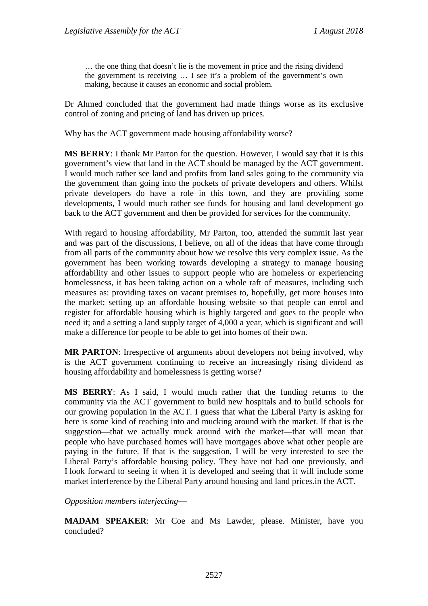… the one thing that doesn't lie is the movement in price and the rising dividend the government is receiving … I see it's a problem of the government's own making, because it causes an economic and social problem.

Dr Ahmed concluded that the government had made things worse as its exclusive control of zoning and pricing of land has driven up prices.

Why has the ACT government made housing affordability worse?

**MS BERRY**: I thank Mr Parton for the question. However, I would say that it is this government's view that land in the ACT should be managed by the ACT government. I would much rather see land and profits from land sales going to the community via the government than going into the pockets of private developers and others. Whilst private developers do have a role in this town, and they are providing some developments, I would much rather see funds for housing and land development go back to the ACT government and then be provided for services for the community.

With regard to housing affordability, Mr Parton, too, attended the summit last year and was part of the discussions, I believe, on all of the ideas that have come through from all parts of the community about how we resolve this very complex issue. As the government has been working towards developing a strategy to manage housing affordability and other issues to support people who are homeless or experiencing homelessness, it has been taking action on a whole raft of measures, including such measures as: providing taxes on vacant premises to, hopefully, get more houses into the market; setting up an affordable housing website so that people can enrol and register for affordable housing which is highly targeted and goes to the people who need it; and a setting a land supply target of 4,000 a year, which is significant and will make a difference for people to be able to get into homes of their own.

**MR PARTON**: Irrespective of arguments about developers not being involved, why is the ACT government continuing to receive an increasingly rising dividend as housing affordability and homelessness is getting worse?

**MS BERRY**: As I said, I would much rather that the funding returns to the community via the ACT government to build new hospitals and to build schools for our growing population in the ACT. I guess that what the Liberal Party is asking for here is some kind of reaching into and mucking around with the market. If that is the suggestion—that we actually muck around with the market—that will mean that people who have purchased homes will have mortgages above what other people are paying in the future. If that is the suggestion, I will be very interested to see the Liberal Party's affordable housing policy. They have not had one previously, and I look forward to seeing it when it is developed and seeing that it will include some market interference by the Liberal Party around housing and land prices.in the ACT.

*Opposition members interjecting*—

**MADAM SPEAKER**: Mr Coe and Ms Lawder, please. Minister, have you concluded?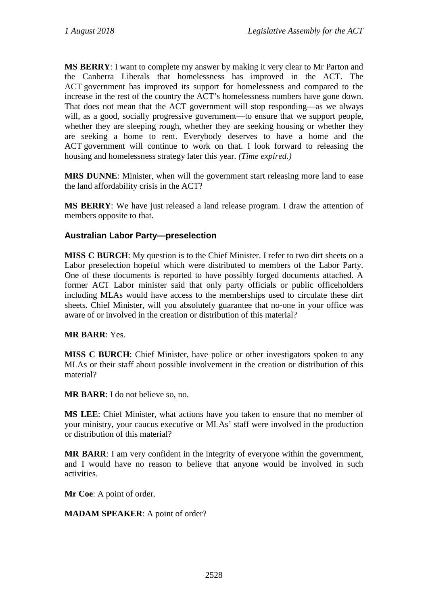**MS BERRY**: I want to complete my answer by making it very clear to Mr Parton and the Canberra Liberals that homelessness has improved in the ACT. The ACT government has improved its support for homelessness and compared to the increase in the rest of the country the ACT's homelessness numbers have gone down. That does not mean that the ACT government will stop responding—as we always will, as a good, socially progressive government—to ensure that we support people, whether they are sleeping rough, whether they are seeking housing or whether they are seeking a home to rent. Everybody deserves to have a home and the ACT government will continue to work on that. I look forward to releasing the housing and homelessness strategy later this year. *(Time expired.)*

**MRS DUNNE**: Minister, when will the government start releasing more land to ease the land affordability crisis in the ACT?

**MS BERRY**: We have just released a land release program. I draw the attention of members opposite to that.

### **Australian Labor Party—preselection**

**MISS C BURCH**: My question is to the Chief Minister. I refer to two dirt sheets on a Labor preselection hopeful which were distributed to members of the Labor Party. One of these documents is reported to have possibly forged documents attached. A former ACT Labor minister said that only party officials or public officeholders including MLAs would have access to the memberships used to circulate these dirt sheets. Chief Minister, will you absolutely guarantee that no-one in your office was aware of or involved in the creation or distribution of this material?

### **MR BARR**: Yes.

**MISS C BURCH**: Chief Minister, have police or other investigators spoken to any MLAs or their staff about possible involvement in the creation or distribution of this material?

**MR BARR**: I do not believe so, no.

**MS LEE**: Chief Minister, what actions have you taken to ensure that no member of your ministry, your caucus executive or MLAs' staff were involved in the production or distribution of this material?

**MR BARR**: I am very confident in the integrity of everyone within the government, and I would have no reason to believe that anyone would be involved in such activities.

**Mr Coe**: A point of order.

**MADAM SPEAKER**: A point of order?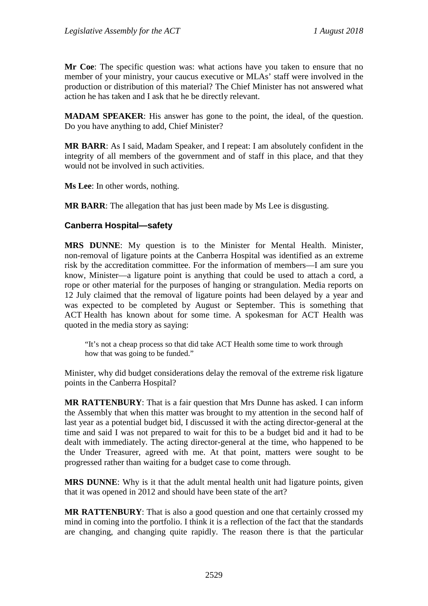**Mr Coe**: The specific question was: what actions have you taken to ensure that no member of your ministry, your caucus executive or MLAs' staff were involved in the production or distribution of this material? The Chief Minister has not answered what action he has taken and I ask that he be directly relevant.

**MADAM SPEAKER**: His answer has gone to the point, the ideal, of the question. Do you have anything to add, Chief Minister?

**MR BARR**: As I said, Madam Speaker, and I repeat: I am absolutely confident in the integrity of all members of the government and of staff in this place, and that they would not be involved in such activities.

**Ms Lee**: In other words, nothing.

**MR BARR:** The allegation that has just been made by Ms Lee is disgusting.

#### **Canberra Hospital—safety**

**MRS DUNNE**: My question is to the Minister for Mental Health. Minister, non-removal of ligature points at the Canberra Hospital was identified as an extreme risk by the accreditation committee. For the information of members—I am sure you know, Minister—a ligature point is anything that could be used to attach a cord, a rope or other material for the purposes of hanging or strangulation. Media reports on 12 July claimed that the removal of ligature points had been delayed by a year and was expected to be completed by August or September. This is something that ACT Health has known about for some time. A spokesman for ACT Health was quoted in the media story as saying:

"It's not a cheap process so that did take ACT Health some time to work through how that was going to be funded."

Minister, why did budget considerations delay the removal of the extreme risk ligature points in the Canberra Hospital?

**MR RATTENBURY**: That is a fair question that Mrs Dunne has asked. I can inform the Assembly that when this matter was brought to my attention in the second half of last year as a potential budget bid, I discussed it with the acting director-general at the time and said I was not prepared to wait for this to be a budget bid and it had to be dealt with immediately. The acting director-general at the time, who happened to be the Under Treasurer, agreed with me. At that point, matters were sought to be progressed rather than waiting for a budget case to come through.

**MRS DUNNE**: Why is it that the adult mental health unit had ligature points, given that it was opened in 2012 and should have been state of the art?

**MR RATTENBURY**: That is also a good question and one that certainly crossed my mind in coming into the portfolio. I think it is a reflection of the fact that the standards are changing, and changing quite rapidly. The reason there is that the particular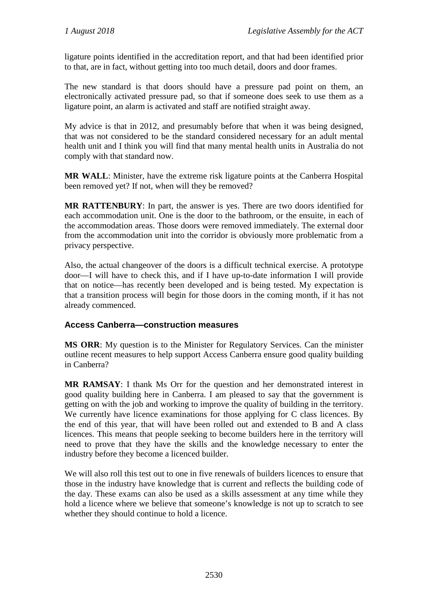ligature points identified in the accreditation report, and that had been identified prior to that, are in fact, without getting into too much detail, doors and door frames.

The new standard is that doors should have a pressure pad point on them, an electronically activated pressure pad, so that if someone does seek to use them as a ligature point, an alarm is activated and staff are notified straight away.

My advice is that in 2012, and presumably before that when it was being designed, that was not considered to be the standard considered necessary for an adult mental health unit and I think you will find that many mental health units in Australia do not comply with that standard now.

**MR WALL**: Minister, have the extreme risk ligature points at the Canberra Hospital been removed yet? If not, when will they be removed?

**MR RATTENBURY**: In part, the answer is yes. There are two doors identified for each accommodation unit. One is the door to the bathroom, or the ensuite, in each of the accommodation areas. Those doors were removed immediately. The external door from the accommodation unit into the corridor is obviously more problematic from a privacy perspective.

Also, the actual changeover of the doors is a difficult technical exercise. A prototype door—I will have to check this, and if I have up-to-date information I will provide that on notice—has recently been developed and is being tested. My expectation is that a transition process will begin for those doors in the coming month, if it has not already commenced.

### **Access Canberra—construction measures**

**MS ORR**: My question is to the Minister for Regulatory Services. Can the minister outline recent measures to help support Access Canberra ensure good quality building in Canberra?

**MR RAMSAY**: I thank Ms Orr for the question and her demonstrated interest in good quality building here in Canberra. I am pleased to say that the government is getting on with the job and working to improve the quality of building in the territory. We currently have licence examinations for those applying for C class licences. By the end of this year, that will have been rolled out and extended to B and A class licences. This means that people seeking to become builders here in the territory will need to prove that they have the skills and the knowledge necessary to enter the industry before they become a licenced builder.

We will also roll this test out to one in five renewals of builders licences to ensure that those in the industry have knowledge that is current and reflects the building code of the day. These exams can also be used as a skills assessment at any time while they hold a licence where we believe that someone's knowledge is not up to scratch to see whether they should continue to hold a licence.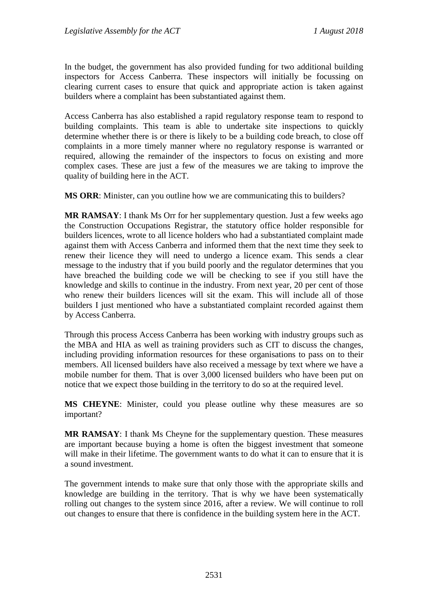In the budget, the government has also provided funding for two additional building inspectors for Access Canberra. These inspectors will initially be focussing on clearing current cases to ensure that quick and appropriate action is taken against builders where a complaint has been substantiated against them.

Access Canberra has also established a rapid regulatory response team to respond to building complaints. This team is able to undertake site inspections to quickly determine whether there is or there is likely to be a building code breach, to close off complaints in a more timely manner where no regulatory response is warranted or required, allowing the remainder of the inspectors to focus on existing and more complex cases. These are just a few of the measures we are taking to improve the quality of building here in the ACT.

**MS ORR**: Minister, can you outline how we are communicating this to builders?

**MR RAMSAY**: I thank Ms Orr for her supplementary question. Just a few weeks ago the Construction Occupations Registrar, the statutory office holder responsible for builders licences, wrote to all licence holders who had a substantiated complaint made against them with Access Canberra and informed them that the next time they seek to renew their licence they will need to undergo a licence exam. This sends a clear message to the industry that if you build poorly and the regulator determines that you have breached the building code we will be checking to see if you still have the knowledge and skills to continue in the industry. From next year, 20 per cent of those who renew their builders licences will sit the exam. This will include all of those builders I just mentioned who have a substantiated complaint recorded against them by Access Canberra.

Through this process Access Canberra has been working with industry groups such as the MBA and HIA as well as training providers such as CIT to discuss the changes, including providing information resources for these organisations to pass on to their members. All licensed builders have also received a message by text where we have a mobile number for them. That is over 3,000 licensed builders who have been put on notice that we expect those building in the territory to do so at the required level.

**MS CHEYNE**: Minister, could you please outline why these measures are so important?

**MR RAMSAY**: I thank Ms Cheyne for the supplementary question. These measures are important because buying a home is often the biggest investment that someone will make in their lifetime. The government wants to do what it can to ensure that it is a sound investment.

The government intends to make sure that only those with the appropriate skills and knowledge are building in the territory. That is why we have been systematically rolling out changes to the system since 2016, after a review. We will continue to roll out changes to ensure that there is confidence in the building system here in the ACT.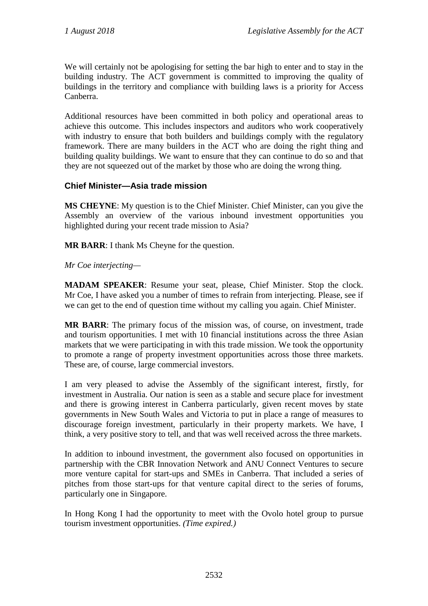We will certainly not be apologising for setting the bar high to enter and to stay in the building industry. The ACT government is committed to improving the quality of buildings in the territory and compliance with building laws is a priority for Access Canberra.

Additional resources have been committed in both policy and operational areas to achieve this outcome. This includes inspectors and auditors who work cooperatively with industry to ensure that both builders and buildings comply with the regulatory framework. There are many builders in the ACT who are doing the right thing and building quality buildings. We want to ensure that they can continue to do so and that they are not squeezed out of the market by those who are doing the wrong thing.

### **Chief Minister—Asia trade mission**

**MS CHEYNE**: My question is to the Chief Minister. Chief Minister, can you give the Assembly an overview of the various inbound investment opportunities you highlighted during your recent trade mission to Asia?

**MR BARR**: I thank Ms Cheyne for the question.

### *Mr Coe interjecting—*

**MADAM SPEAKER**: Resume your seat, please, Chief Minister. Stop the clock. Mr Coe, I have asked you a number of times to refrain from interjecting. Please, see if we can get to the end of question time without my calling you again. Chief Minister.

**MR BARR**: The primary focus of the mission was, of course, on investment, trade and tourism opportunities. I met with 10 financial institutions across the three Asian markets that we were participating in with this trade mission. We took the opportunity to promote a range of property investment opportunities across those three markets. These are, of course, large commercial investors.

I am very pleased to advise the Assembly of the significant interest, firstly, for investment in Australia. Our nation is seen as a stable and secure place for investment and there is growing interest in Canberra particularly, given recent moves by state governments in New South Wales and Victoria to put in place a range of measures to discourage foreign investment, particularly in their property markets. We have, I think, a very positive story to tell, and that was well received across the three markets.

In addition to inbound investment, the government also focused on opportunities in partnership with the CBR Innovation Network and ANU Connect Ventures to secure more venture capital for start-ups and SMEs in Canberra. That included a series of pitches from those start-ups for that venture capital direct to the series of forums, particularly one in Singapore.

In Hong Kong I had the opportunity to meet with the Ovolo hotel group to pursue tourism investment opportunities. *(Time expired.)*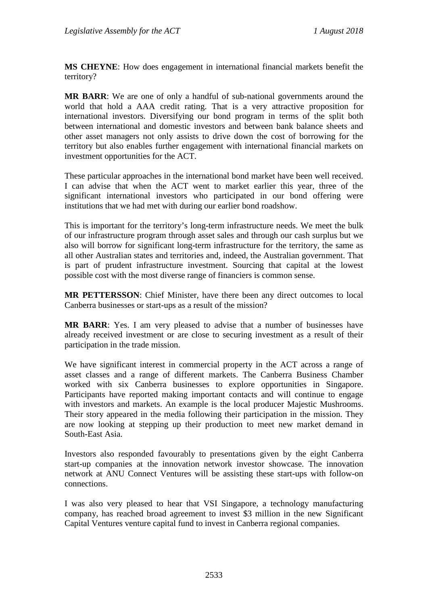**MS CHEYNE**: How does engagement in international financial markets benefit the territory?

**MR BARR**: We are one of only a handful of sub-national governments around the world that hold a AAA credit rating. That is a very attractive proposition for international investors. Diversifying our bond program in terms of the split both between international and domestic investors and between bank balance sheets and other asset managers not only assists to drive down the cost of borrowing for the territory but also enables further engagement with international financial markets on investment opportunities for the ACT.

These particular approaches in the international bond market have been well received. I can advise that when the ACT went to market earlier this year, three of the significant international investors who participated in our bond offering were institutions that we had met with during our earlier bond roadshow.

This is important for the territory's long-term infrastructure needs. We meet the bulk of our infrastructure program through asset sales and through our cash surplus but we also will borrow for significant long-term infrastructure for the territory, the same as all other Australian states and territories and, indeed, the Australian government. That is part of prudent infrastructure investment. Sourcing that capital at the lowest possible cost with the most diverse range of financiers is common sense.

**MR PETTERSSON**: Chief Minister, have there been any direct outcomes to local Canberra businesses or start-ups as a result of the mission?

**MR BARR**: Yes. I am very pleased to advise that a number of businesses have already received investment or are close to securing investment as a result of their participation in the trade mission.

We have significant interest in commercial property in the ACT across a range of asset classes and a range of different markets. The Canberra Business Chamber worked with six Canberra businesses to explore opportunities in Singapore. Participants have reported making important contacts and will continue to engage with investors and markets. An example is the local producer Majestic Mushrooms. Their story appeared in the media following their participation in the mission. They are now looking at stepping up their production to meet new market demand in South-East Asia.

Investors also responded favourably to presentations given by the eight Canberra start-up companies at the innovation network investor showcase. The innovation network at ANU Connect Ventures will be assisting these start-ups with follow-on connections.

I was also very pleased to hear that VSI Singapore, a technology manufacturing company, has reached broad agreement to invest \$3 million in the new Significant Capital Ventures venture capital fund to invest in Canberra regional companies.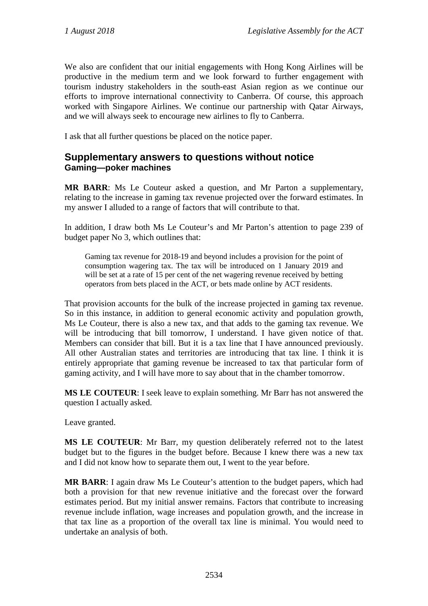We also are confident that our initial engagements with Hong Kong Airlines will be productive in the medium term and we look forward to further engagement with tourism industry stakeholders in the south-east Asian region as we continue our efforts to improve international connectivity to Canberra. Of course, this approach worked with Singapore Airlines. We continue our partnership with Qatar Airways, and we will always seek to encourage new airlines to fly to Canberra.

I ask that all further questions be placed on the notice paper.

## **Supplementary answers to questions without notice Gaming—poker machines**

**MR BARR**: Ms Le Couteur asked a question, and Mr Parton a supplementary, relating to the increase in gaming tax revenue projected over the forward estimates. In my answer I alluded to a range of factors that will contribute to that.

In addition, I draw both Ms Le Couteur's and Mr Parton's attention to page 239 of budget paper No 3, which outlines that:

Gaming tax revenue for 2018-19 and beyond includes a provision for the point of consumption wagering tax. The tax will be introduced on 1 January 2019 and will be set at a rate of 15 per cent of the net wagering revenue received by betting operators from bets placed in the ACT, or bets made online by ACT residents.

That provision accounts for the bulk of the increase projected in gaming tax revenue. So in this instance, in addition to general economic activity and population growth, Ms Le Couteur, there is also a new tax, and that adds to the gaming tax revenue. We will be introducing that bill tomorrow, I understand. I have given notice of that. Members can consider that bill. But it is a tax line that I have announced previously. All other Australian states and territories are introducing that tax line. I think it is entirely appropriate that gaming revenue be increased to tax that particular form of gaming activity, and I will have more to say about that in the chamber tomorrow.

**MS LE COUTEUR**: I seek leave to explain something. Mr Barr has not answered the question I actually asked.

Leave granted.

**MS LE COUTEUR**: Mr Barr, my question deliberately referred not to the latest budget but to the figures in the budget before. Because I knew there was a new tax and I did not know how to separate them out, I went to the year before.

**MR BARR**: I again draw Ms Le Couteur's attention to the budget papers, which had both a provision for that new revenue initiative and the forecast over the forward estimates period. But my initial answer remains. Factors that contribute to increasing revenue include inflation, wage increases and population growth, and the increase in that tax line as a proportion of the overall tax line is minimal. You would need to undertake an analysis of both.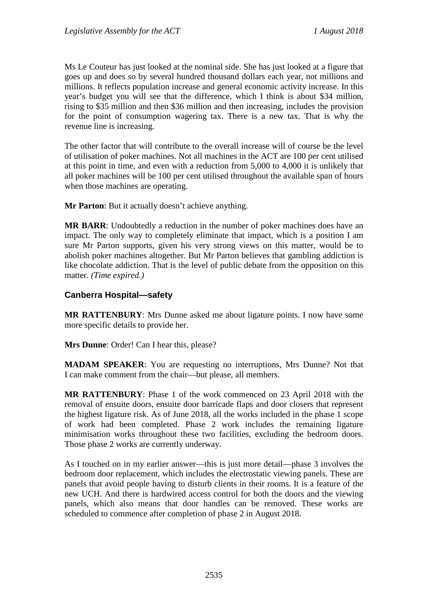Ms Le Couteur has just looked at the nominal side. She has just looked at a figure that goes up and does so by several hundred thousand dollars each year, not millions and millions. It reflects population increase and general economic activity increase. In this year's budget you will see that the difference, which I think is about \$34 million, rising to \$35 million and then \$36 million and then increasing, includes the provision for the point of consumption wagering tax. There is a new tax. That is why the revenue line is increasing.

The other factor that will contribute to the overall increase will of course be the level of utilisation of poker machines. Not all machines in the ACT are 100 per cent utilised at this point in time, and even with a reduction from 5,000 to 4,000 it is unlikely that all poker machines will be 100 per cent utilised throughout the available span of hours when those machines are operating.

**Mr Parton**: But it actually doesn't achieve anything.

**MR BARR**: Undoubtedly a reduction in the number of poker machines does have an impact. The only way to completely eliminate that impact, which is a position I am sure Mr Parton supports, given his very strong views on this matter, would be to abolish poker machines altogether. But Mr Parton believes that gambling addiction is like chocolate addiction. That is the level of public debate from the opposition on this matter. *(Time expired.)*

### **Canberra Hospital—safety**

**MR RATTENBURY**: Mrs Dunne asked me about ligature points. I now have some more specific details to provide her.

**Mrs Dunne**: Order! Can I hear this, please?

**MADAM SPEAKER**: You are requesting no interruptions, Mrs Dunne? Not that I can make comment from the chair—but please, all members.

**MR RATTENBURY**: Phase 1 of the work commenced on 23 April 2018 with the removal of ensuite doors, ensuite door barricade flaps and door closers that represent the highest ligature risk. As of June 2018, all the works included in the phase 1 scope of work had been completed. Phase 2 work includes the remaining ligature minimisation works throughout these two facilities, excluding the bedroom doors. Those phase 2 works are currently underway.

As I touched on in my earlier answer—this is just more detail—phase 3 involves the bedroom door replacement, which includes the electrostatic viewing panels. These are panels that avoid people having to disturb clients in their rooms. It is a feature of the new UCH. And there is hardwired access control for both the doors and the viewing panels, which also means that door handles can be removed. These works are scheduled to commence after completion of phase 2 in August 2018.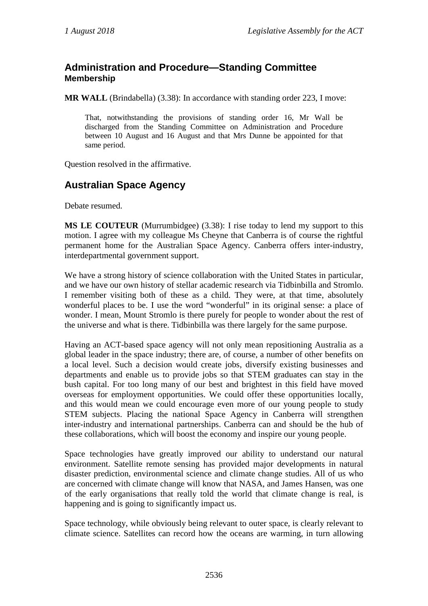## **Administration and Procedure—Standing Committee Membership**

**MR WALL** (Brindabella) (3.38): In accordance with standing order 223, I move:

That, notwithstanding the provisions of standing order 16, Mr Wall be discharged from the Standing Committee on Administration and Procedure between 10 August and 16 August and that Mrs Dunne be appointed for that same period.

Question resolved in the affirmative.

# **Australian Space Agency**

Debate resumed.

**MS LE COUTEUR** (Murrumbidgee) (3.38): I rise today to lend my support to this motion. I agree with my colleague Ms Cheyne that Canberra is of course the rightful permanent home for the Australian Space Agency. Canberra offers inter-industry, interdepartmental government support.

We have a strong history of science collaboration with the United States in particular, and we have our own history of stellar academic research via Tidbinbilla and Stromlo. I remember visiting both of these as a child. They were, at that time, absolutely wonderful places to be. I use the word "wonderful" in its original sense: a place of wonder. I mean, Mount Stromlo is there purely for people to wonder about the rest of the universe and what is there. Tidbinbilla was there largely for the same purpose.

Having an ACT-based space agency will not only mean repositioning Australia as a global leader in the space industry; there are, of course, a number of other benefits on a local level. Such a decision would create jobs, diversify existing businesses and departments and enable us to provide jobs so that STEM graduates can stay in the bush capital. For too long many of our best and brightest in this field have moved overseas for employment opportunities. We could offer these opportunities locally, and this would mean we could encourage even more of our young people to study STEM subjects. Placing the national Space Agency in Canberra will strengthen inter-industry and international partnerships. Canberra can and should be the hub of these collaborations, which will boost the economy and inspire our young people.

Space technologies have greatly improved our ability to understand our natural environment. Satellite remote sensing has provided major developments in natural disaster prediction, environmental science and climate change studies. All of us who are concerned with climate change will know that NASA, and James Hansen, was one of the early organisations that really told the world that climate change is real, is happening and is going to significantly impact us.

Space technology, while obviously being relevant to outer space, is clearly relevant to climate science. Satellites can record how the oceans are warming, in turn allowing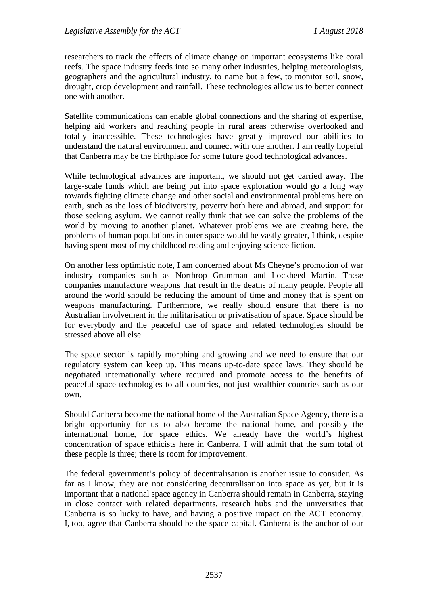researchers to track the effects of climate change on important ecosystems like coral reefs. The space industry feeds into so many other industries, helping meteorologists, geographers and the agricultural industry, to name but a few, to monitor soil, snow, drought, crop development and rainfall. These technologies allow us to better connect one with another.

Satellite communications can enable global connections and the sharing of expertise, helping aid workers and reaching people in rural areas otherwise overlooked and totally inaccessible. These technologies have greatly improved our abilities to understand the natural environment and connect with one another. I am really hopeful that Canberra may be the birthplace for some future good technological advances.

While technological advances are important, we should not get carried away. The large-scale funds which are being put into space exploration would go a long way towards fighting climate change and other social and environmental problems here on earth, such as the loss of biodiversity, poverty both here and abroad, and support for those seeking asylum. We cannot really think that we can solve the problems of the world by moving to another planet. Whatever problems we are creating here, the problems of human populations in outer space would be vastly greater, I think, despite having spent most of my childhood reading and enjoying science fiction.

On another less optimistic note, I am concerned about Ms Cheyne's promotion of war industry companies such as Northrop Grumman and Lockheed Martin. These companies manufacture weapons that result in the deaths of many people. People all around the world should be reducing the amount of time and money that is spent on weapons manufacturing. Furthermore, we really should ensure that there is no Australian involvement in the militarisation or privatisation of space. Space should be for everybody and the peaceful use of space and related technologies should be stressed above all else.

The space sector is rapidly morphing and growing and we need to ensure that our regulatory system can keep up. This means up-to-date space laws. They should be negotiated internationally where required and promote access to the benefits of peaceful space technologies to all countries, not just wealthier countries such as our own.

Should Canberra become the national home of the Australian Space Agency, there is a bright opportunity for us to also become the national home, and possibly the international home, for space ethics. We already have the world's highest concentration of space ethicists here in Canberra. I will admit that the sum total of these people is three; there is room for improvement.

The federal government's policy of decentralisation is another issue to consider. As far as I know, they are not considering decentralisation into space as yet, but it is important that a national space agency in Canberra should remain in Canberra, staying in close contact with related departments, research hubs and the universities that Canberra is so lucky to have, and having a positive impact on the ACT economy. I, too, agree that Canberra should be the space capital. Canberra is the anchor of our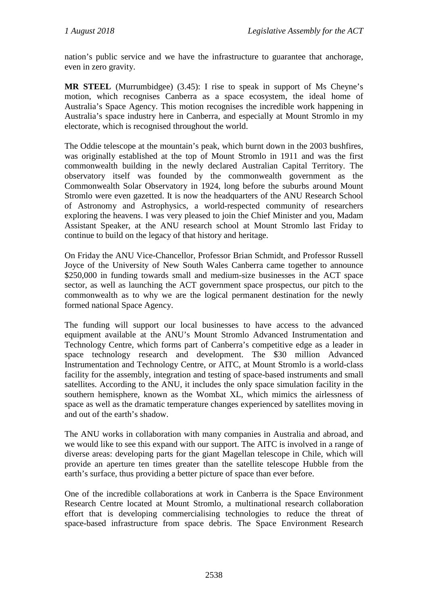nation's public service and we have the infrastructure to guarantee that anchorage, even in zero gravity.

**MR STEEL** (Murrumbidgee) (3.45): I rise to speak in support of Ms Cheyne's motion, which recognises Canberra as a space ecosystem, the ideal home of Australia's Space Agency. This motion recognises the incredible work happening in Australia's space industry here in Canberra, and especially at Mount Stromlo in my electorate, which is recognised throughout the world.

The Oddie telescope at the mountain's peak, which burnt down in the 2003 bushfires, was originally established at the top of Mount Stromlo in 1911 and was the first commonwealth building in the newly declared Australian Capital Territory. The observatory itself was founded by the commonwealth government as the Commonwealth Solar Observatory in 1924, long before the suburbs around Mount Stromlo were even gazetted. It is now the headquarters of the ANU Research School of Astronomy and Astrophysics, a world-respected community of researchers exploring the heavens. I was very pleased to join the Chief Minister and you, Madam Assistant Speaker, at the ANU research school at Mount Stromlo last Friday to continue to build on the legacy of that history and heritage.

On Friday the ANU Vice-Chancellor, Professor Brian Schmidt, and Professor Russell Joyce of the University of New South Wales Canberra came together to announce \$250,000 in funding towards small and medium-size businesses in the ACT space sector, as well as launching the ACT government space prospectus, our pitch to the commonwealth as to why we are the logical permanent destination for the newly formed national Space Agency.

The funding will support our local businesses to have access to the advanced equipment available at the ANU's Mount Stromlo Advanced Instrumentation and Technology Centre, which forms part of Canberra's competitive edge as a leader in space technology research and development. The \$30 million Advanced Instrumentation and Technology Centre, or AITC, at Mount Stromlo is a world-class facility for the assembly, integration and testing of space-based instruments and small satellites. According to the ANU, it includes the only space simulation facility in the southern hemisphere, known as the Wombat XL, which mimics the airlessness of space as well as the dramatic temperature changes experienced by satellites moving in and out of the earth's shadow.

The ANU works in collaboration with many companies in Australia and abroad, and we would like to see this expand with our support. The AITC is involved in a range of diverse areas: developing parts for the giant Magellan telescope in Chile, which will provide an aperture ten times greater than the satellite telescope Hubble from the earth's surface, thus providing a better picture of space than ever before.

One of the incredible collaborations at work in Canberra is the Space Environment Research Centre located at Mount Stromlo, a multinational research collaboration effort that is developing commercialising technologies to reduce the threat of space-based infrastructure from space debris. The Space Environment Research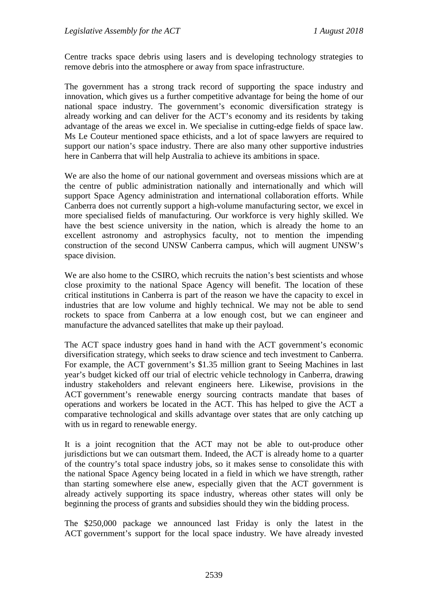Centre tracks space debris using lasers and is developing technology strategies to remove debris into the atmosphere or away from space infrastructure.

The government has a strong track record of supporting the space industry and innovation, which gives us a further competitive advantage for being the home of our national space industry. The government's economic diversification strategy is already working and can deliver for the ACT's economy and its residents by taking advantage of the areas we excel in. We specialise in cutting-edge fields of space law. Ms Le Couteur mentioned space ethicists, and a lot of space lawyers are required to support our nation's space industry. There are also many other supportive industries here in Canberra that will help Australia to achieve its ambitions in space.

We are also the home of our national government and overseas missions which are at the centre of public administration nationally and internationally and which will support Space Agency administration and international collaboration efforts. While Canberra does not currently support a high-volume manufacturing sector, we excel in more specialised fields of manufacturing. Our workforce is very highly skilled. We have the best science university in the nation, which is already the home to an excellent astronomy and astrophysics faculty, not to mention the impending construction of the second UNSW Canberra campus, which will augment UNSW's space division.

We are also home to the CSIRO, which recruits the nation's best scientists and whose close proximity to the national Space Agency will benefit. The location of these critical institutions in Canberra is part of the reason we have the capacity to excel in industries that are low volume and highly technical. We may not be able to send rockets to space from Canberra at a low enough cost, but we can engineer and manufacture the advanced satellites that make up their payload.

The ACT space industry goes hand in hand with the ACT government's economic diversification strategy, which seeks to draw science and tech investment to Canberra. For example, the ACT government's \$1.35 million grant to Seeing Machines in last year's budget kicked off our trial of electric vehicle technology in Canberra, drawing industry stakeholders and relevant engineers here. Likewise, provisions in the ACT government's renewable energy sourcing contracts mandate that bases of operations and workers be located in the ACT. This has helped to give the ACT a comparative technological and skills advantage over states that are only catching up with us in regard to renewable energy.

It is a joint recognition that the ACT may not be able to out-produce other jurisdictions but we can outsmart them. Indeed, the ACT is already home to a quarter of the country's total space industry jobs, so it makes sense to consolidate this with the national Space Agency being located in a field in which we have strength, rather than starting somewhere else anew, especially given that the ACT government is already actively supporting its space industry, whereas other states will only be beginning the process of grants and subsidies should they win the bidding process.

The \$250,000 package we announced last Friday is only the latest in the ACT government's support for the local space industry. We have already invested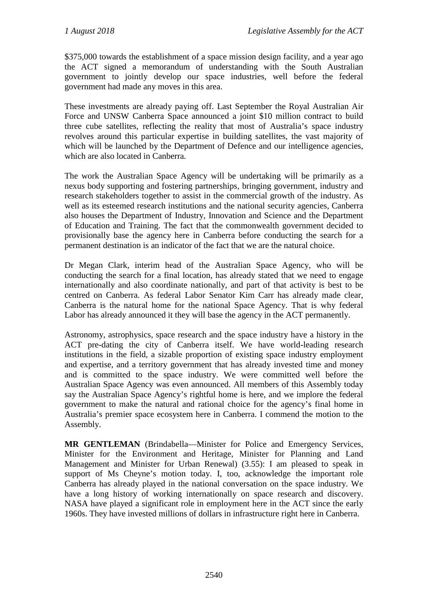\$375,000 towards the establishment of a space mission design facility, and a year ago the ACT signed a memorandum of understanding with the South Australian government to jointly develop our space industries, well before the federal government had made any moves in this area.

These investments are already paying off. Last September the Royal Australian Air Force and UNSW Canberra Space announced a joint \$10 million contract to build three cube satellites, reflecting the reality that most of Australia's space industry revolves around this particular expertise in building satellites, the vast majority of which will be launched by the Department of Defence and our intelligence agencies, which are also located in Canberra.

The work the Australian Space Agency will be undertaking will be primarily as a nexus body supporting and fostering partnerships, bringing government, industry and research stakeholders together to assist in the commercial growth of the industry. As well as its esteemed research institutions and the national security agencies, Canberra also houses the Department of Industry, Innovation and Science and the Department of Education and Training. The fact that the commonwealth government decided to provisionally base the agency here in Canberra before conducting the search for a permanent destination is an indicator of the fact that we are the natural choice.

Dr Megan Clark, interim head of the Australian Space Agency, who will be conducting the search for a final location, has already stated that we need to engage internationally and also coordinate nationally, and part of that activity is best to be centred on Canberra. As federal Labor Senator Kim Carr has already made clear, Canberra is the natural home for the national Space Agency. That is why federal Labor has already announced it they will base the agency in the ACT permanently.

Astronomy, astrophysics, space research and the space industry have a history in the ACT pre-dating the city of Canberra itself. We have world-leading research institutions in the field, a sizable proportion of existing space industry employment and expertise, and a territory government that has already invested time and money and is committed to the space industry. We were committed well before the Australian Space Agency was even announced. All members of this Assembly today say the Australian Space Agency's rightful home is here, and we implore the federal government to make the natural and rational choice for the agency's final home in Australia's premier space ecosystem here in Canberra. I commend the motion to the Assembly.

**MR GENTLEMAN** (Brindabella—Minister for Police and Emergency Services, Minister for the Environment and Heritage, Minister for Planning and Land Management and Minister for Urban Renewal) (3.55): I am pleased to speak in support of Ms Cheyne's motion today. I, too, acknowledge the important role Canberra has already played in the national conversation on the space industry. We have a long history of working internationally on space research and discovery. NASA have played a significant role in employment here in the ACT since the early 1960s. They have invested millions of dollars in infrastructure right here in Canberra.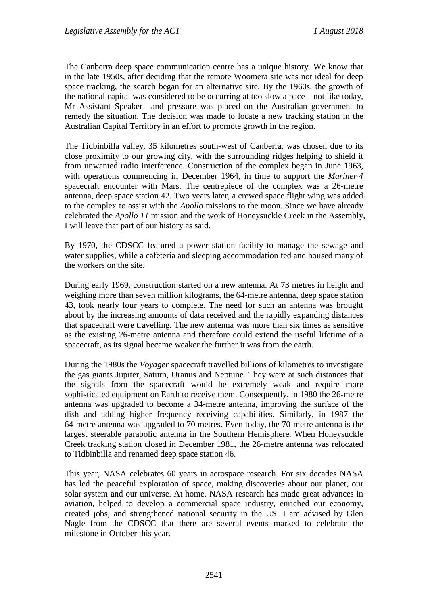The Canberra deep space communication centre has a unique history. We know that in the late 1950s, after deciding that the remote Woomera site was not ideal for deep space tracking, the search began for an alternative site. By the 1960s, the growth of the national capital was considered to be occurring at too slow a pace—not like today, Mr Assistant Speaker—and pressure was placed on the Australian government to remedy the situation. The decision was made to locate a new tracking station in the Australian Capital Territory in an effort to promote growth in the region.

The Tidbinbilla valley, 35 kilometres south-west of Canberra, was chosen due to its close proximity to our growing city, with the surrounding ridges helping to shield it from unwanted radio interference. Construction of the complex began in June 1963, with operations commencing in December 1964, in time to support the *Mariner 4* spacecraft encounter with Mars. The centrepiece of the complex was a 26-metre antenna, deep space station 42. Two years later, a crewed space flight wing was added to the complex to assist with the *Apollo* missions to the moon. Since we have already celebrated the *Apollo 11* mission and the work of Honeysuckle Creek in the Assembly, I will leave that part of our history as said.

By 1970, the CDSCC featured a power station facility to manage the sewage and water supplies, while a cafeteria and sleeping accommodation fed and housed many of the workers on the site.

During early 1969, construction started on a new antenna. At 73 metres in height and weighing more than seven million kilograms, the 64-metre antenna, deep space station 43, took nearly four years to complete. The need for such an antenna was brought about by the increasing amounts of data received and the rapidly expanding distances that spacecraft were travelling. The new antenna was more than six times as sensitive as the existing 26-metre antenna and therefore could extend the useful lifetime of a spacecraft, as its signal became weaker the further it was from the earth.

During the 1980s the *Voyager* spacecraft travelled billions of kilometres to investigate the gas giants Jupiter, Saturn, Uranus and Neptune. They were at such distances that the signals from the spacecraft would be extremely weak and require more sophisticated equipment on Earth to receive them. Consequently, in 1980 the 26-metre antenna was upgraded to become a 34-metre antenna, improving the surface of the dish and adding higher frequency receiving capabilities. Similarly, in 1987 the 64-metre antenna was upgraded to 70 metres. Even today, the 70-metre antenna is the largest steerable parabolic antenna in the Southern Hemisphere. When Honeysuckle Creek tracking station closed in December 1981, the 26-metre antenna was relocated to Tidbinbilla and renamed deep space station 46.

This year, NASA celebrates 60 years in aerospace research. For six decades NASA has led the peaceful exploration of space, making discoveries about our planet, our solar system and our universe. At home, NASA research has made great advances in aviation, helped to develop a commercial space industry, enriched our economy, created jobs, and strengthened national security in the US. I am advised by Glen Nagle from the CDSCC that there are several events marked to celebrate the milestone in October this year.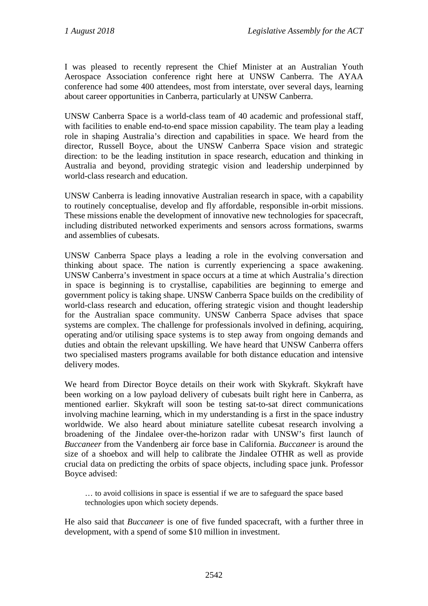I was pleased to recently represent the Chief Minister at an Australian Youth Aerospace Association conference right here at UNSW Canberra. The AYAA conference had some 400 attendees, most from interstate, over several days, learning about career opportunities in Canberra, particularly at UNSW Canberra.

UNSW Canberra Space is a world-class team of 40 academic and professional staff, with facilities to enable end-to-end space mission capability. The team play a leading role in shaping Australia's direction and capabilities in space. We heard from the director, Russell Boyce, about the UNSW Canberra Space vision and strategic direction: to be the leading institution in space research, education and thinking in Australia and beyond, providing strategic vision and leadership underpinned by world-class research and education.

UNSW Canberra is leading innovative Australian research in space, with a capability to routinely conceptualise, develop and fly affordable, responsible in-orbit missions. These missions enable the development of innovative new technologies for spacecraft, including distributed networked experiments and sensors across formations, swarms and assemblies of cubesats.

UNSW Canberra Space plays a leading a role in the evolving conversation and thinking about space. The nation is currently experiencing a space awakening. UNSW Canberra's investment in space occurs at a time at which Australia's direction in space is beginning is to crystallise, capabilities are beginning to emerge and government policy is taking shape. UNSW Canberra Space builds on the credibility of world-class research and education, offering strategic vision and thought leadership for the Australian space community. UNSW Canberra Space advises that space systems are complex. The challenge for professionals involved in defining, acquiring, operating and/or utilising space systems is to step away from ongoing demands and duties and obtain the relevant upskilling. We have heard that UNSW Canberra offers two specialised masters programs available for both distance education and intensive delivery modes.

We heard from Director Boyce details on their work with Skykraft. Skykraft have been working on a low payload delivery of cubesats built right here in Canberra, as mentioned earlier. Skykraft will soon be testing sat-to-sat direct communications involving machine learning, which in my understanding is a first in the space industry worldwide. We also heard about miniature satellite cubesat research involving a broadening of the Jindalee over-the-horizon radar with UNSW's first launch of *Buccaneer* from the Vandenberg air force base in California. *Buccaneer* is around the size of a shoebox and will help to calibrate the Jindalee OTHR as well as provide crucial data on predicting the orbits of space objects, including space junk. Professor Boyce advised:

… to avoid collisions in space is essential if we are to safeguard the space based technologies upon which society depends.

He also said that *Buccaneer* is one of five funded spacecraft, with a further three in development, with a spend of some \$10 million in investment.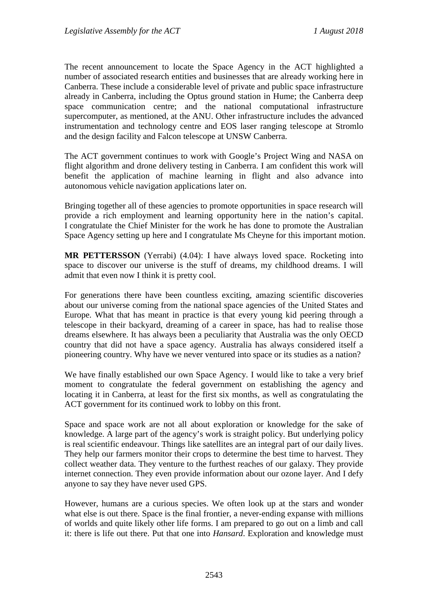The recent announcement to locate the Space Agency in the ACT highlighted a number of associated research entities and businesses that are already working here in Canberra. These include a considerable level of private and public space infrastructure already in Canberra, including the Optus ground station in Hume; the Canberra deep space communication centre; and the national computational infrastructure supercomputer, as mentioned, at the ANU. Other infrastructure includes the advanced instrumentation and technology centre and EOS laser ranging telescope at Stromlo and the design facility and Falcon telescope at UNSW Canberra.

The ACT government continues to work with Google's Project Wing and NASA on flight algorithm and drone delivery testing in Canberra. I am confident this work will benefit the application of machine learning in flight and also advance into autonomous vehicle navigation applications later on.

Bringing together all of these agencies to promote opportunities in space research will provide a rich employment and learning opportunity here in the nation's capital. I congratulate the Chief Minister for the work he has done to promote the Australian Space Agency setting up here and I congratulate Ms Cheyne for this important motion.

**MR PETTERSSON** (Yerrabi) (4.04): I have always loved space. Rocketing into space to discover our universe is the stuff of dreams, my childhood dreams. I will admit that even now I think it is pretty cool.

For generations there have been countless exciting, amazing scientific discoveries about our universe coming from the national space agencies of the United States and Europe. What that has meant in practice is that every young kid peering through a telescope in their backyard, dreaming of a career in space, has had to realise those dreams elsewhere. It has always been a peculiarity that Australia was the only OECD country that did not have a space agency. Australia has always considered itself a pioneering country. Why have we never ventured into space or its studies as a nation?

We have finally established our own Space Agency. I would like to take a very brief moment to congratulate the federal government on establishing the agency and locating it in Canberra, at least for the first six months, as well as congratulating the ACT government for its continued work to lobby on this front.

Space and space work are not all about exploration or knowledge for the sake of knowledge. A large part of the agency's work is straight policy. But underlying policy is real scientific endeavour. Things like satellites are an integral part of our daily lives. They help our farmers monitor their crops to determine the best time to harvest. They collect weather data. They venture to the furthest reaches of our galaxy. They provide internet connection. They even provide information about our ozone layer. And I defy anyone to say they have never used GPS.

However, humans are a curious species. We often look up at the stars and wonder what else is out there. Space is the final frontier, a never-ending expanse with millions of worlds and quite likely other life forms. I am prepared to go out on a limb and call it: there is life out there. Put that one into *Hansard*. Exploration and knowledge must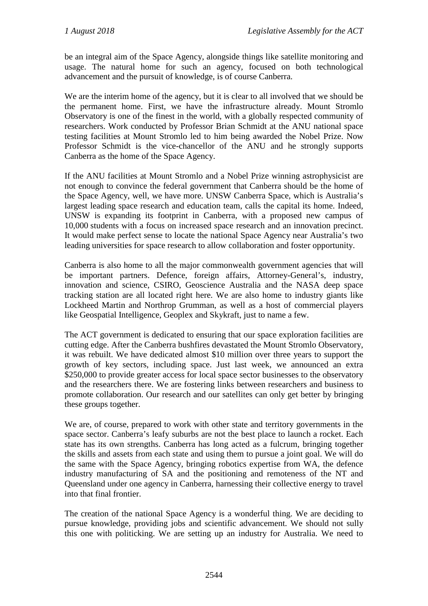be an integral aim of the Space Agency, alongside things like satellite monitoring and usage. The natural home for such an agency, focused on both technological advancement and the pursuit of knowledge, is of course Canberra.

We are the interim home of the agency, but it is clear to all involved that we should be the permanent home. First, we have the infrastructure already. Mount Stromlo Observatory is one of the finest in the world, with a globally respected community of researchers. Work conducted by Professor Brian Schmidt at the ANU national space testing facilities at Mount Stromlo led to him being awarded the Nobel Prize. Now Professor Schmidt is the vice-chancellor of the ANU and he strongly supports Canberra as the home of the Space Agency.

If the ANU facilities at Mount Stromlo and a Nobel Prize winning astrophysicist are not enough to convince the federal government that Canberra should be the home of the Space Agency, well, we have more. UNSW Canberra Space, which is Australia's largest leading space research and education team, calls the capital its home. Indeed, UNSW is expanding its footprint in Canberra, with a proposed new campus of 10,000 students with a focus on increased space research and an innovation precinct. It would make perfect sense to locate the national Space Agency near Australia's two leading universities for space research to allow collaboration and foster opportunity.

Canberra is also home to all the major commonwealth government agencies that will be important partners. Defence, foreign affairs, Attorney-General's, industry, innovation and science, CSIRO, Geoscience Australia and the NASA deep space tracking station are all located right here. We are also home to industry giants like Lockheed Martin and Northrop Grumman, as well as a host of commercial players like Geospatial Intelligence, Geoplex and Skykraft, just to name a few.

The ACT government is dedicated to ensuring that our space exploration facilities are cutting edge. After the Canberra bushfires devastated the Mount Stromlo Observatory, it was rebuilt. We have dedicated almost \$10 million over three years to support the growth of key sectors, including space. Just last week, we announced an extra \$250,000 to provide greater access for local space sector businesses to the observatory and the researchers there. We are fostering links between researchers and business to promote collaboration. Our research and our satellites can only get better by bringing these groups together.

We are, of course, prepared to work with other state and territory governments in the space sector. Canberra's leafy suburbs are not the best place to launch a rocket. Each state has its own strengths. Canberra has long acted as a fulcrum, bringing together the skills and assets from each state and using them to pursue a joint goal. We will do the same with the Space Agency, bringing robotics expertise from WA, the defence industry manufacturing of SA and the positioning and remoteness of the NT and Queensland under one agency in Canberra, harnessing their collective energy to travel into that final frontier.

The creation of the national Space Agency is a wonderful thing. We are deciding to pursue knowledge, providing jobs and scientific advancement. We should not sully this one with politicking. We are setting up an industry for Australia. We need to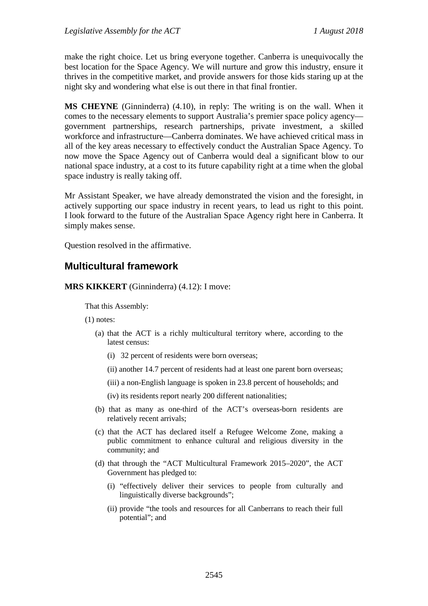make the right choice. Let us bring everyone together. Canberra is unequivocally the best location for the Space Agency. We will nurture and grow this industry, ensure it thrives in the competitive market, and provide answers for those kids staring up at the night sky and wondering what else is out there in that final frontier.

**MS CHEYNE** (Ginninderra) (4.10), in reply: The writing is on the wall. When it comes to the necessary elements to support Australia's premier space policy agency government partnerships, research partnerships, private investment, a skilled workforce and infrastructure—Canberra dominates. We have achieved critical mass in all of the key areas necessary to effectively conduct the Australian Space Agency. To now move the Space Agency out of Canberra would deal a significant blow to our national space industry, at a cost to its future capability right at a time when the global space industry is really taking off.

Mr Assistant Speaker, we have already demonstrated the vision and the foresight, in actively supporting our space industry in recent years, to lead us right to this point. I look forward to the future of the Australian Space Agency right here in Canberra. It simply makes sense.

Question resolved in the affirmative.

## **Multicultural framework**

**MRS KIKKERT** (Ginninderra) (4.12): I move:

That this Assembly:

(1) notes:

- (a) that the ACT is a richly multicultural territory where, according to the latest census:
	- (i) 32 percent of residents were born overseas;
	- (ii) another 14.7 percent of residents had at least one parent born overseas;
	- (iii) a non-English language is spoken in 23.8 percent of households; and
	- (iv) its residents report nearly 200 different nationalities;
- (b) that as many as one-third of the ACT's overseas-born residents are relatively recent arrivals;
- (c) that the ACT has declared itself a Refugee Welcome Zone, making a public commitment to enhance cultural and religious diversity in the community; and
- (d) that through the "ACT Multicultural Framework 2015–2020", the ACT Government has pledged to:
	- (i) "effectively deliver their services to people from culturally and linguistically diverse backgrounds";
	- (ii) provide "the tools and resources for all Canberrans to reach their full potential"; and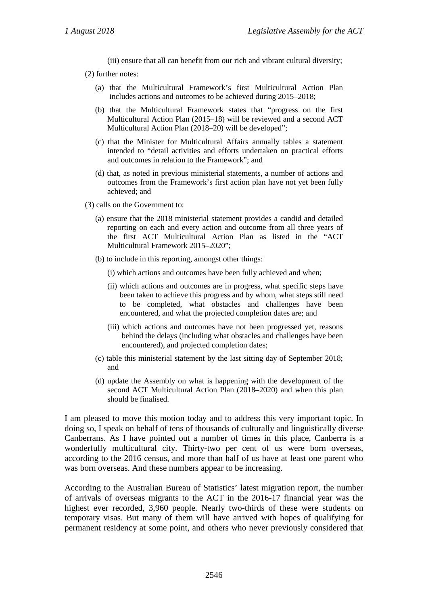(iii) ensure that all can benefit from our rich and vibrant cultural diversity;

(2) further notes:

- (a) that the Multicultural Framework's first Multicultural Action Plan includes actions and outcomes to be achieved during 2015–2018;
- (b) that the Multicultural Framework states that "progress on the first Multicultural Action Plan (2015–18) will be reviewed and a second ACT Multicultural Action Plan (2018–20) will be developed";
- (c) that the Minister for Multicultural Affairs annually tables a statement intended to "detail activities and efforts undertaken on practical efforts and outcomes in relation to the Framework"; and
- (d) that, as noted in previous ministerial statements, a number of actions and outcomes from the Framework's first action plan have not yet been fully achieved; and
- (3) calls on the Government to:
	- (a) ensure that the 2018 ministerial statement provides a candid and detailed reporting on each and every action and outcome from all three years of the first ACT Multicultural Action Plan as listed in the "ACT Multicultural Framework 2015–2020";
	- (b) to include in this reporting, amongst other things:
		- (i) which actions and outcomes have been fully achieved and when;
		- (ii) which actions and outcomes are in progress, what specific steps have been taken to achieve this progress and by whom, what steps still need to be completed, what obstacles and challenges have been encountered, and what the projected completion dates are; and
		- (iii) which actions and outcomes have not been progressed yet, reasons behind the delays (including what obstacles and challenges have been encountered), and projected completion dates;
	- (c) table this ministerial statement by the last sitting day of September 2018; and
	- (d) update the Assembly on what is happening with the development of the second ACT Multicultural Action Plan (2018–2020) and when this plan should be finalised.

I am pleased to move this motion today and to address this very important topic. In doing so, I speak on behalf of tens of thousands of culturally and linguistically diverse Canberrans. As I have pointed out a number of times in this place, Canberra is a wonderfully multicultural city. Thirty-two per cent of us were born overseas, according to the 2016 census, and more than half of us have at least one parent who was born overseas. And these numbers appear to be increasing.

According to the Australian Bureau of Statistics' latest migration report, the number of arrivals of overseas migrants to the ACT in the 2016-17 financial year was the highest ever recorded, 3,960 people. Nearly two-thirds of these were students on temporary visas. But many of them will have arrived with hopes of qualifying for permanent residency at some point, and others who never previously considered that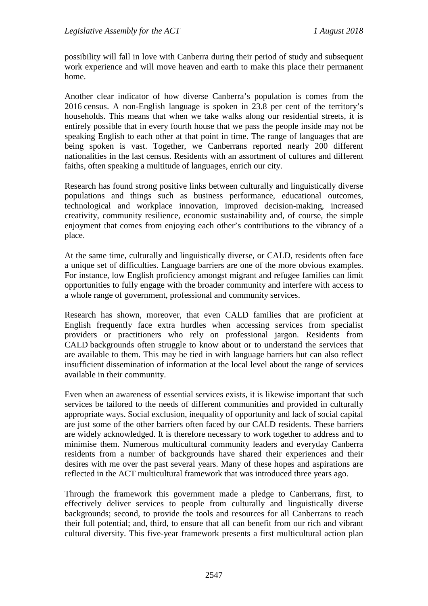possibility will fall in love with Canberra during their period of study and subsequent work experience and will move heaven and earth to make this place their permanent home.

Another clear indicator of how diverse Canberra's population is comes from the 2016 census. A non-English language is spoken in 23.8 per cent of the territory's households. This means that when we take walks along our residential streets, it is entirely possible that in every fourth house that we pass the people inside may not be speaking English to each other at that point in time. The range of languages that are being spoken is vast. Together, we Canberrans reported nearly 200 different nationalities in the last census. Residents with an assortment of cultures and different faiths, often speaking a multitude of languages, enrich our city.

Research has found strong positive links between culturally and linguistically diverse populations and things such as business performance, educational outcomes, technological and workplace innovation, improved decision-making, increased creativity, community resilience, economic sustainability and, of course, the simple enjoyment that comes from enjoying each other's contributions to the vibrancy of a place.

At the same time, culturally and linguistically diverse, or CALD, residents often face a unique set of difficulties. Language barriers are one of the more obvious examples. For instance, low English proficiency amongst migrant and refugee families can limit opportunities to fully engage with the broader community and interfere with access to a whole range of government, professional and community services.

Research has shown, moreover, that even CALD families that are proficient at English frequently face extra hurdles when accessing services from specialist providers or practitioners who rely on professional jargon. Residents from CALD backgrounds often struggle to know about or to understand the services that are available to them. This may be tied in with language barriers but can also reflect insufficient dissemination of information at the local level about the range of services available in their community.

Even when an awareness of essential services exists, it is likewise important that such services be tailored to the needs of different communities and provided in culturally appropriate ways. Social exclusion, inequality of opportunity and lack of social capital are just some of the other barriers often faced by our CALD residents. These barriers are widely acknowledged. It is therefore necessary to work together to address and to minimise them. Numerous multicultural community leaders and everyday Canberra residents from a number of backgrounds have shared their experiences and their desires with me over the past several years. Many of these hopes and aspirations are reflected in the ACT multicultural framework that was introduced three years ago.

Through the framework this government made a pledge to Canberrans, first, to effectively deliver services to people from culturally and linguistically diverse backgrounds; second, to provide the tools and resources for all Canberrans to reach their full potential; and, third, to ensure that all can benefit from our rich and vibrant cultural diversity. This five-year framework presents a first multicultural action plan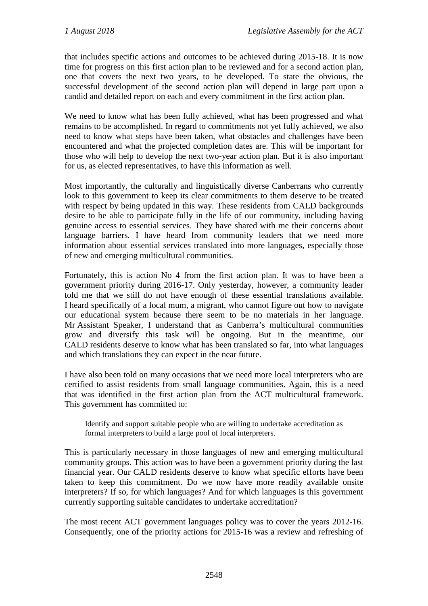that includes specific actions and outcomes to be achieved during 2015-18. It is now time for progress on this first action plan to be reviewed and for a second action plan, one that covers the next two years, to be developed. To state the obvious, the successful development of the second action plan will depend in large part upon a candid and detailed report on each and every commitment in the first action plan.

We need to know what has been fully achieved, what has been progressed and what remains to be accomplished. In regard to commitments not yet fully achieved, we also need to know what steps have been taken, what obstacles and challenges have been encountered and what the projected completion dates are. This will be important for those who will help to develop the next two-year action plan. But it is also important for us, as elected representatives, to have this information as well.

Most importantly, the culturally and linguistically diverse Canberrans who currently look to this government to keep its clear commitments to them deserve to be treated with respect by being updated in this way. These residents from CALD backgrounds desire to be able to participate fully in the life of our community, including having genuine access to essential services. They have shared with me their concerns about language barriers. I have heard from community leaders that we need more information about essential services translated into more languages, especially those of new and emerging multicultural communities.

Fortunately, this is action No 4 from the first action plan. It was to have been a government priority during 2016-17. Only yesterday, however, a community leader told me that we still do not have enough of these essential translations available. I heard specifically of a local mum, a migrant, who cannot figure out how to navigate our educational system because there seem to be no materials in her language. Mr Assistant Speaker, I understand that as Canberra's multicultural communities grow and diversify this task will be ongoing. But in the meantime, our CALD residents deserve to know what has been translated so far, into what languages and which translations they can expect in the near future.

I have also been told on many occasions that we need more local interpreters who are certified to assist residents from small language communities. Again, this is a need that was identified in the first action plan from the ACT multicultural framework. This government has committed to:

Identify and support suitable people who are willing to undertake accreditation as formal interpreters to build a large pool of local interpreters.

This is particularly necessary in those languages of new and emerging multicultural community groups. This action was to have been a government priority during the last financial year. Our CALD residents deserve to know what specific efforts have been taken to keep this commitment. Do we now have more readily available onsite interpreters? If so, for which languages? And for which languages is this government currently supporting suitable candidates to undertake accreditation?

The most recent ACT government languages policy was to cover the years 2012-16. Consequently, one of the priority actions for 2015-16 was a review and refreshing of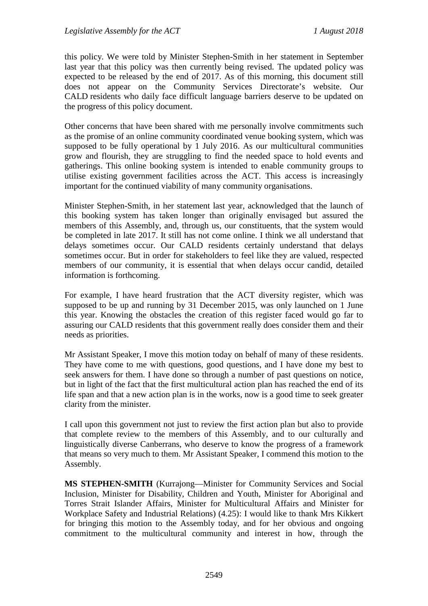this policy. We were told by Minister Stephen-Smith in her statement in September last year that this policy was then currently being revised. The updated policy was expected to be released by the end of 2017. As of this morning, this document still does not appear on the Community Services Directorate's website. Our CALD residents who daily face difficult language barriers deserve to be updated on the progress of this policy document.

Other concerns that have been shared with me personally involve commitments such as the promise of an online community coordinated venue booking system, which was supposed to be fully operational by 1 July 2016. As our multicultural communities grow and flourish, they are struggling to find the needed space to hold events and gatherings. This online booking system is intended to enable community groups to utilise existing government facilities across the ACT. This access is increasingly important for the continued viability of many community organisations.

Minister Stephen-Smith, in her statement last year, acknowledged that the launch of this booking system has taken longer than originally envisaged but assured the members of this Assembly, and, through us, our constituents, that the system would be completed in late 2017. It still has not come online. I think we all understand that delays sometimes occur. Our CALD residents certainly understand that delays sometimes occur. But in order for stakeholders to feel like they are valued, respected members of our community, it is essential that when delays occur candid, detailed information is forthcoming.

For example, I have heard frustration that the ACT diversity register, which was supposed to be up and running by 31 December 2015, was only launched on 1 June this year. Knowing the obstacles the creation of this register faced would go far to assuring our CALD residents that this government really does consider them and their needs as priorities.

Mr Assistant Speaker, I move this motion today on behalf of many of these residents. They have come to me with questions, good questions, and I have done my best to seek answers for them. I have done so through a number of past questions on notice, but in light of the fact that the first multicultural action plan has reached the end of its life span and that a new action plan is in the works, now is a good time to seek greater clarity from the minister.

I call upon this government not just to review the first action plan but also to provide that complete review to the members of this Assembly, and to our culturally and linguistically diverse Canberrans, who deserve to know the progress of a framework that means so very much to them. Mr Assistant Speaker, I commend this motion to the Assembly.

**MS STEPHEN-SMITH** (Kurrajong—Minister for Community Services and Social Inclusion, Minister for Disability, Children and Youth, Minister for Aboriginal and Torres Strait Islander Affairs, Minister for Multicultural Affairs and Minister for Workplace Safety and Industrial Relations) (4.25): I would like to thank Mrs Kikkert for bringing this motion to the Assembly today, and for her obvious and ongoing commitment to the multicultural community and interest in how, through the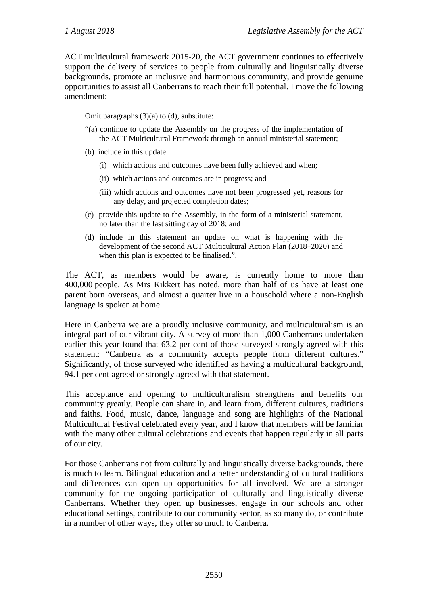ACT multicultural framework 2015-20, the ACT government continues to effectively support the delivery of services to people from culturally and linguistically diverse backgrounds, promote an inclusive and harmonious community, and provide genuine opportunities to assist all Canberrans to reach their full potential. I move the following amendment:

Omit paragraphs (3)(a) to (d), substitute:

- "(a) continue to update the Assembly on the progress of the implementation of the ACT Multicultural Framework through an annual ministerial statement;
- (b) include in this update:
	- (i) which actions and outcomes have been fully achieved and when;
	- (ii) which actions and outcomes are in progress; and
	- (iii) which actions and outcomes have not been progressed yet, reasons for any delay, and projected completion dates;
- (c) provide this update to the Assembly, in the form of a ministerial statement, no later than the last sitting day of 2018; and
- (d) include in this statement an update on what is happening with the development of the second ACT Multicultural Action Plan (2018–2020) and when this plan is expected to be finalised.".

The ACT, as members would be aware, is currently home to more than 400,000 people. As Mrs Kikkert has noted, more than half of us have at least one parent born overseas, and almost a quarter live in a household where a non-English language is spoken at home.

Here in Canberra we are a proudly inclusive community, and multiculturalism is an integral part of our vibrant city. A survey of more than 1,000 Canberrans undertaken earlier this year found that 63.2 per cent of those surveyed strongly agreed with this statement: "Canberra as a community accepts people from different cultures." Significantly, of those surveyed who identified as having a multicultural background, 94.1 per cent agreed or strongly agreed with that statement.

This acceptance and opening to multiculturalism strengthens and benefits our community greatly. People can share in, and learn from, different cultures, traditions and faiths. Food, music, dance, language and song are highlights of the National Multicultural Festival celebrated every year, and I know that members will be familiar with the many other cultural celebrations and events that happen regularly in all parts of our city.

For those Canberrans not from culturally and linguistically diverse backgrounds, there is much to learn. Bilingual education and a better understanding of cultural traditions and differences can open up opportunities for all involved. We are a stronger community for the ongoing participation of culturally and linguistically diverse Canberrans. Whether they open up businesses, engage in our schools and other educational settings, contribute to our community sector, as so many do, or contribute in a number of other ways, they offer so much to Canberra.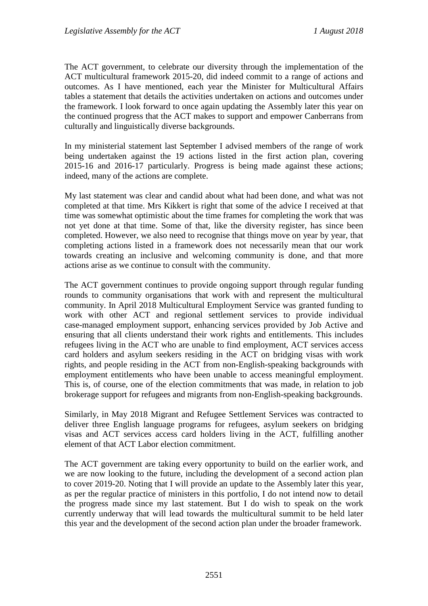The ACT government, to celebrate our diversity through the implementation of the ACT multicultural framework 2015-20, did indeed commit to a range of actions and outcomes. As I have mentioned, each year the Minister for Multicultural Affairs tables a statement that details the activities undertaken on actions and outcomes under the framework. I look forward to once again updating the Assembly later this year on the continued progress that the ACT makes to support and empower Canberrans from culturally and linguistically diverse backgrounds.

In my ministerial statement last September I advised members of the range of work being undertaken against the 19 actions listed in the first action plan, covering 2015-16 and 2016-17 particularly. Progress is being made against these actions; indeed, many of the actions are complete.

My last statement was clear and candid about what had been done, and what was not completed at that time. Mrs Kikkert is right that some of the advice I received at that time was somewhat optimistic about the time frames for completing the work that was not yet done at that time. Some of that, like the diversity register, has since been completed. However, we also need to recognise that things move on year by year, that completing actions listed in a framework does not necessarily mean that our work towards creating an inclusive and welcoming community is done, and that more actions arise as we continue to consult with the community.

The ACT government continues to provide ongoing support through regular funding rounds to community organisations that work with and represent the multicultural community. In April 2018 Multicultural Employment Service was granted funding to work with other ACT and regional settlement services to provide individual case-managed employment support, enhancing services provided by Job Active and ensuring that all clients understand their work rights and entitlements. This includes refugees living in the ACT who are unable to find employment, ACT services access card holders and asylum seekers residing in the ACT on bridging visas with work rights, and people residing in the ACT from non-English-speaking backgrounds with employment entitlements who have been unable to access meaningful employment. This is, of course, one of the election commitments that was made, in relation to job brokerage support for refugees and migrants from non-English-speaking backgrounds.

Similarly, in May 2018 Migrant and Refugee Settlement Services was contracted to deliver three English language programs for refugees, asylum seekers on bridging visas and ACT services access card holders living in the ACT, fulfilling another element of that ACT Labor election commitment.

The ACT government are taking every opportunity to build on the earlier work, and we are now looking to the future, including the development of a second action plan to cover 2019-20. Noting that I will provide an update to the Assembly later this year, as per the regular practice of ministers in this portfolio, I do not intend now to detail the progress made since my last statement. But I do wish to speak on the work currently underway that will lead towards the multicultural summit to be held later this year and the development of the second action plan under the broader framework.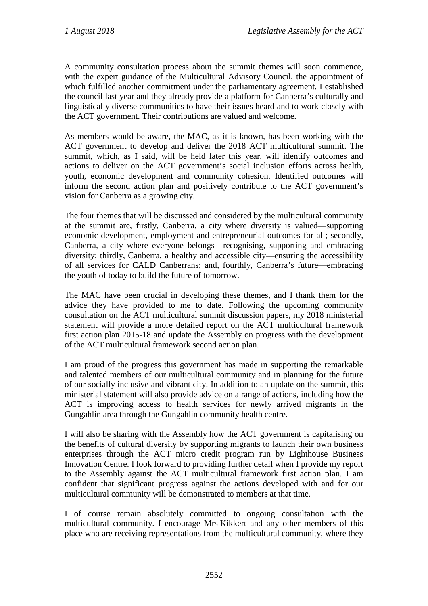A community consultation process about the summit themes will soon commence, with the expert guidance of the Multicultural Advisory Council, the appointment of which fulfilled another commitment under the parliamentary agreement. I established the council last year and they already provide a platform for Canberra's culturally and linguistically diverse communities to have their issues heard and to work closely with the ACT government. Their contributions are valued and welcome.

As members would be aware, the MAC, as it is known, has been working with the ACT government to develop and deliver the 2018 ACT multicultural summit. The summit, which, as I said, will be held later this year, will identify outcomes and actions to deliver on the ACT government's social inclusion efforts across health, youth, economic development and community cohesion. Identified outcomes will inform the second action plan and positively contribute to the ACT government's vision for Canberra as a growing city.

The four themes that will be discussed and considered by the multicultural community at the summit are, firstly, Canberra, a city where diversity is valued—supporting economic development, employment and entrepreneurial outcomes for all; secondly, Canberra, a city where everyone belongs—recognising, supporting and embracing diversity; thirdly, Canberra, a healthy and accessible city—ensuring the accessibility of all services for CALD Canberrans; and, fourthly, Canberra's future—embracing the youth of today to build the future of tomorrow.

The MAC have been crucial in developing these themes, and I thank them for the advice they have provided to me to date. Following the upcoming community consultation on the ACT multicultural summit discussion papers, my 2018 ministerial statement will provide a more detailed report on the ACT multicultural framework first action plan 2015-18 and update the Assembly on progress with the development of the ACT multicultural framework second action plan.

I am proud of the progress this government has made in supporting the remarkable and talented members of our multicultural community and in planning for the future of our socially inclusive and vibrant city. In addition to an update on the summit, this ministerial statement will also provide advice on a range of actions, including how the ACT is improving access to health services for newly arrived migrants in the Gungahlin area through the Gungahlin community health centre.

I will also be sharing with the Assembly how the ACT government is capitalising on the benefits of cultural diversity by supporting migrants to launch their own business enterprises through the ACT micro credit program run by Lighthouse Business Innovation Centre. I look forward to providing further detail when I provide my report to the Assembly against the ACT multicultural framework first action plan. I am confident that significant progress against the actions developed with and for our multicultural community will be demonstrated to members at that time.

I of course remain absolutely committed to ongoing consultation with the multicultural community. I encourage Mrs Kikkert and any other members of this place who are receiving representations from the multicultural community, where they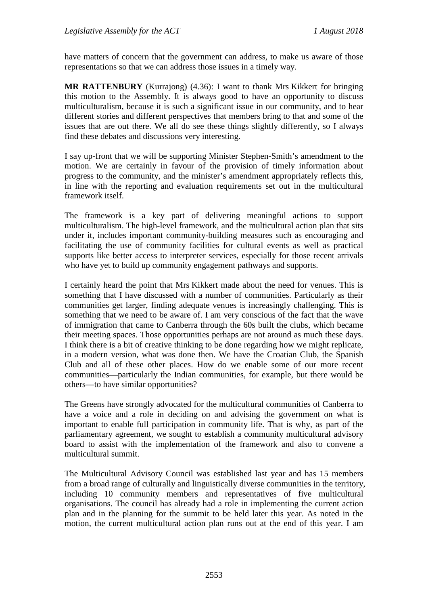have matters of concern that the government can address, to make us aware of those representations so that we can address those issues in a timely way.

**MR RATTENBURY** (Kurrajong) (4.36): I want to thank Mrs Kikkert for bringing this motion to the Assembly. It is always good to have an opportunity to discuss multiculturalism, because it is such a significant issue in our community, and to hear different stories and different perspectives that members bring to that and some of the issues that are out there. We all do see these things slightly differently, so I always find these debates and discussions very interesting.

I say up-front that we will be supporting Minister Stephen-Smith's amendment to the motion. We are certainly in favour of the provision of timely information about progress to the community, and the minister's amendment appropriately reflects this, in line with the reporting and evaluation requirements set out in the multicultural framework itself.

The framework is a key part of delivering meaningful actions to support multiculturalism. The high-level framework, and the multicultural action plan that sits under it, includes important community-building measures such as encouraging and facilitating the use of community facilities for cultural events as well as practical supports like better access to interpreter services, especially for those recent arrivals who have yet to build up community engagement pathways and supports.

I certainly heard the point that Mrs Kikkert made about the need for venues. This is something that I have discussed with a number of communities. Particularly as their communities get larger, finding adequate venues is increasingly challenging. This is something that we need to be aware of. I am very conscious of the fact that the wave of immigration that came to Canberra through the 60s built the clubs, which became their meeting spaces. Those opportunities perhaps are not around as much these days. I think there is a bit of creative thinking to be done regarding how we might replicate, in a modern version, what was done then. We have the Croatian Club, the Spanish Club and all of these other places. How do we enable some of our more recent communities—particularly the Indian communities, for example, but there would be others—to have similar opportunities?

The Greens have strongly advocated for the multicultural communities of Canberra to have a voice and a role in deciding on and advising the government on what is important to enable full participation in community life. That is why, as part of the parliamentary agreement, we sought to establish a community multicultural advisory board to assist with the implementation of the framework and also to convene a multicultural summit.

The Multicultural Advisory Council was established last year and has 15 members from a broad range of culturally and linguistically diverse communities in the territory, including 10 community members and representatives of five multicultural organisations. The council has already had a role in implementing the current action plan and in the planning for the summit to be held later this year. As noted in the motion, the current multicultural action plan runs out at the end of this year. I am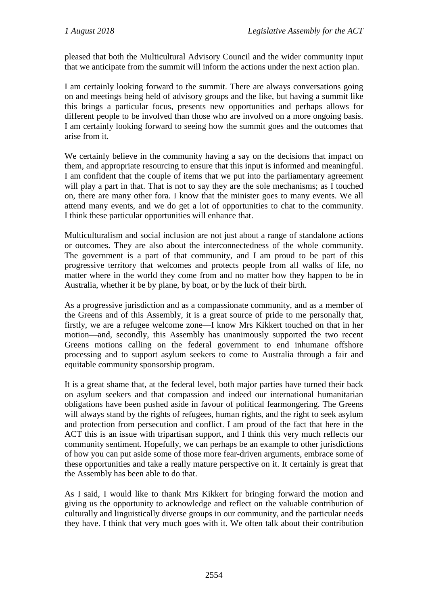pleased that both the Multicultural Advisory Council and the wider community input that we anticipate from the summit will inform the actions under the next action plan.

I am certainly looking forward to the summit. There are always conversations going on and meetings being held of advisory groups and the like, but having a summit like this brings a particular focus, presents new opportunities and perhaps allows for different people to be involved than those who are involved on a more ongoing basis. I am certainly looking forward to seeing how the summit goes and the outcomes that arise from it.

We certainly believe in the community having a say on the decisions that impact on them, and appropriate resourcing to ensure that this input is informed and meaningful. I am confident that the couple of items that we put into the parliamentary agreement will play a part in that. That is not to say they are the sole mechanisms; as I touched on, there are many other fora. I know that the minister goes to many events. We all attend many events, and we do get a lot of opportunities to chat to the community. I think these particular opportunities will enhance that.

Multiculturalism and social inclusion are not just about a range of standalone actions or outcomes. They are also about the interconnectedness of the whole community. The government is a part of that community, and I am proud to be part of this progressive territory that welcomes and protects people from all walks of life, no matter where in the world they come from and no matter how they happen to be in Australia, whether it be by plane, by boat, or by the luck of their birth.

As a progressive jurisdiction and as a compassionate community, and as a member of the Greens and of this Assembly, it is a great source of pride to me personally that, firstly, we are a refugee welcome zone—I know Mrs Kikkert touched on that in her motion—and, secondly, this Assembly has unanimously supported the two recent Greens motions calling on the federal government to end inhumane offshore processing and to support asylum seekers to come to Australia through a fair and equitable community sponsorship program.

It is a great shame that, at the federal level, both major parties have turned their back on asylum seekers and that compassion and indeed our international humanitarian obligations have been pushed aside in favour of political fearmongering. The Greens will always stand by the rights of refugees, human rights, and the right to seek asylum and protection from persecution and conflict. I am proud of the fact that here in the ACT this is an issue with tripartisan support, and I think this very much reflects our community sentiment. Hopefully, we can perhaps be an example to other jurisdictions of how you can put aside some of those more fear-driven arguments, embrace some of these opportunities and take a really mature perspective on it. It certainly is great that the Assembly has been able to do that.

As I said, I would like to thank Mrs Kikkert for bringing forward the motion and giving us the opportunity to acknowledge and reflect on the valuable contribution of culturally and linguistically diverse groups in our community, and the particular needs they have. I think that very much goes with it. We often talk about their contribution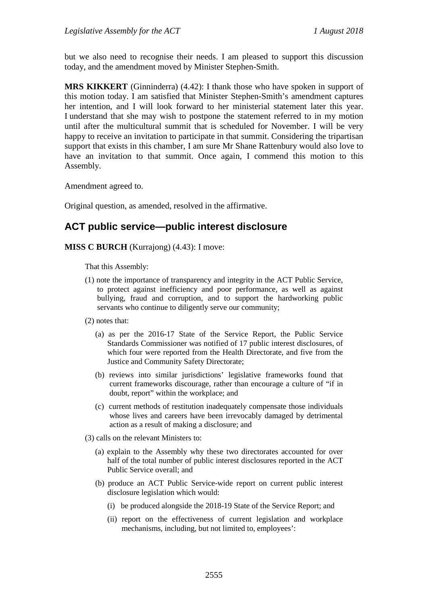but we also need to recognise their needs. I am pleased to support this discussion today, and the amendment moved by Minister Stephen-Smith.

**MRS KIKKERT** (Ginninderra) (4.42): I thank those who have spoken in support of this motion today. I am satisfied that Minister Stephen-Smith's amendment captures her intention, and I will look forward to her ministerial statement later this year. I understand that she may wish to postpone the statement referred to in my motion until after the multicultural summit that is scheduled for November. I will be very happy to receive an invitation to participate in that summit. Considering the tripartisan support that exists in this chamber, I am sure Mr Shane Rattenbury would also love to have an invitation to that summit. Once again, I commend this motion to this Assembly.

Amendment agreed to.

Original question, as amended, resolved in the affirmative.

## **ACT public service—public interest disclosure**

**MISS C BURCH** (Kurrajong) (4.43): I move:

That this Assembly:

- (1) note the importance of transparency and integrity in the ACT Public Service, to protect against inefficiency and poor performance, as well as against bullying, fraud and corruption, and to support the hardworking public servants who continue to diligently serve our community;
- (2) notes that:
	- (a) as per the 2016-17 State of the Service Report, the Public Service Standards Commissioner was notified of 17 public interest disclosures, of which four were reported from the Health Directorate, and five from the Justice and Community Safety Directorate;
	- (b) reviews into similar jurisdictions' legislative frameworks found that current frameworks discourage, rather than encourage a culture of "if in doubt, report" within the workplace; and
	- (c) current methods of restitution inadequately compensate those individuals whose lives and careers have been irrevocably damaged by detrimental action as a result of making a disclosure; and
- (3) calls on the relevant Ministers to:
	- (a) explain to the Assembly why these two directorates accounted for over half of the total number of public interest disclosures reported in the ACT Public Service overall; and
	- (b) produce an ACT Public Service-wide report on current public interest disclosure legislation which would:
		- (i) be produced alongside the 2018-19 State of the Service Report; and
		- (ii) report on the effectiveness of current legislation and workplace mechanisms, including, but not limited to, employees':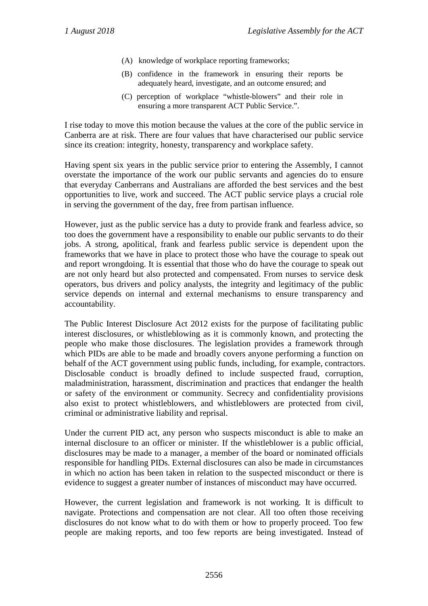- (A) knowledge of workplace reporting frameworks;
- (B) confidence in the framework in ensuring their reports be adequately heard, investigate, and an outcome ensured; and
- (C) perception of workplace "whistle-blowers" and their role in ensuring a more transparent ACT Public Service.".

I rise today to move this motion because the values at the core of the public service in Canberra are at risk. There are four values that have characterised our public service since its creation: integrity, honesty, transparency and workplace safety.

Having spent six years in the public service prior to entering the Assembly, I cannot overstate the importance of the work our public servants and agencies do to ensure that everyday Canberrans and Australians are afforded the best services and the best opportunities to live, work and succeed. The ACT public service plays a crucial role in serving the government of the day, free from partisan influence.

However, just as the public service has a duty to provide frank and fearless advice, so too does the government have a responsibility to enable our public servants to do their jobs. A strong, apolitical, frank and fearless public service is dependent upon the frameworks that we have in place to protect those who have the courage to speak out and report wrongdoing. It is essential that those who do have the courage to speak out are not only heard but also protected and compensated. From nurses to service desk operators, bus drivers and policy analysts, the integrity and legitimacy of the public service depends on internal and external mechanisms to ensure transparency and accountability.

The Public Interest Disclosure Act 2012 exists for the purpose of facilitating public interest disclosures, or whistleblowing as it is commonly known, and protecting the people who make those disclosures. The legislation provides a framework through which PIDs are able to be made and broadly covers anyone performing a function on behalf of the ACT government using public funds, including, for example, contractors. Disclosable conduct is broadly defined to include suspected fraud, corruption, maladministration, harassment, discrimination and practices that endanger the health or safety of the environment or community. Secrecy and confidentiality provisions also exist to protect whistleblowers, and whistleblowers are protected from civil, criminal or administrative liability and reprisal.

Under the current PID act, any person who suspects misconduct is able to make an internal disclosure to an officer or minister. If the whistleblower is a public official, disclosures may be made to a manager, a member of the board or nominated officials responsible for handling PIDs. External disclosures can also be made in circumstances in which no action has been taken in relation to the suspected misconduct or there is evidence to suggest a greater number of instances of misconduct may have occurred.

However, the current legislation and framework is not working. It is difficult to navigate. Protections and compensation are not clear. All too often those receiving disclosures do not know what to do with them or how to properly proceed. Too few people are making reports, and too few reports are being investigated. Instead of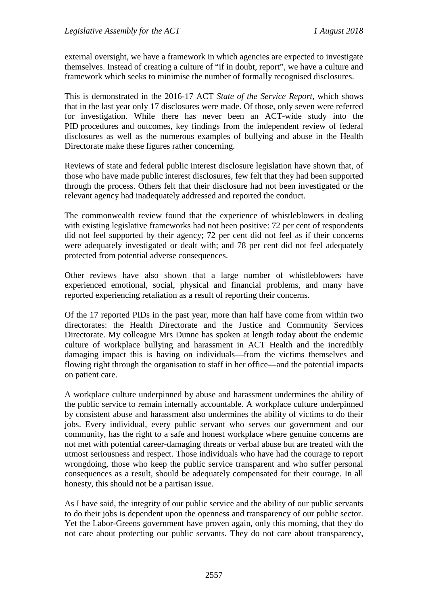external oversight, we have a framework in which agencies are expected to investigate themselves. Instead of creating a culture of "if in doubt, report", we have a culture and framework which seeks to minimise the number of formally recognised disclosures.

This is demonstrated in the 2016-17 ACT *State of the Service Report*, which shows that in the last year only 17 disclosures were made. Of those, only seven were referred for investigation. While there has never been an ACT-wide study into the PID procedures and outcomes, key findings from the independent review of federal disclosures as well as the numerous examples of bullying and abuse in the Health Directorate make these figures rather concerning.

Reviews of state and federal public interest disclosure legislation have shown that, of those who have made public interest disclosures, few felt that they had been supported through the process. Others felt that their disclosure had not been investigated or the relevant agency had inadequately addressed and reported the conduct.

The commonwealth review found that the experience of whistleblowers in dealing with existing legislative frameworks had not been positive: 72 per cent of respondents did not feel supported by their agency; 72 per cent did not feel as if their concerns were adequately investigated or dealt with; and 78 per cent did not feel adequately protected from potential adverse consequences.

Other reviews have also shown that a large number of whistleblowers have experienced emotional, social, physical and financial problems, and many have reported experiencing retaliation as a result of reporting their concerns.

Of the 17 reported PIDs in the past year, more than half have come from within two directorates: the Health Directorate and the Justice and Community Services Directorate. My colleague Mrs Dunne has spoken at length today about the endemic culture of workplace bullying and harassment in ACT Health and the incredibly damaging impact this is having on individuals—from the victims themselves and flowing right through the organisation to staff in her office—and the potential impacts on patient care.

A workplace culture underpinned by abuse and harassment undermines the ability of the public service to remain internally accountable. A workplace culture underpinned by consistent abuse and harassment also undermines the ability of victims to do their jobs. Every individual, every public servant who serves our government and our community, has the right to a safe and honest workplace where genuine concerns are not met with potential career-damaging threats or verbal abuse but are treated with the utmost seriousness and respect. Those individuals who have had the courage to report wrongdoing, those who keep the public service transparent and who suffer personal consequences as a result, should be adequately compensated for their courage. In all honesty, this should not be a partisan issue.

As I have said, the integrity of our public service and the ability of our public servants to do their jobs is dependent upon the openness and transparency of our public sector. Yet the Labor-Greens government have proven again, only this morning, that they do not care about protecting our public servants. They do not care about transparency,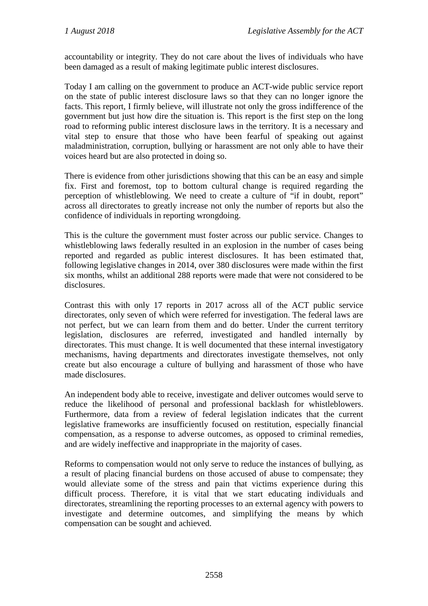accountability or integrity. They do not care about the lives of individuals who have been damaged as a result of making legitimate public interest disclosures.

Today I am calling on the government to produce an ACT-wide public service report on the state of public interest disclosure laws so that they can no longer ignore the facts. This report, I firmly believe, will illustrate not only the gross indifference of the government but just how dire the situation is. This report is the first step on the long road to reforming public interest disclosure laws in the territory. It is a necessary and vital step to ensure that those who have been fearful of speaking out against maladministration, corruption, bullying or harassment are not only able to have their voices heard but are also protected in doing so.

There is evidence from other jurisdictions showing that this can be an easy and simple fix. First and foremost, top to bottom cultural change is required regarding the perception of whistleblowing. We need to create a culture of "if in doubt, report" across all directorates to greatly increase not only the number of reports but also the confidence of individuals in reporting wrongdoing.

This is the culture the government must foster across our public service. Changes to whistleblowing laws federally resulted in an explosion in the number of cases being reported and regarded as public interest disclosures. It has been estimated that, following legislative changes in 2014, over 380 disclosures were made within the first six months, whilst an additional 288 reports were made that were not considered to be disclosures.

Contrast this with only 17 reports in 2017 across all of the ACT public service directorates, only seven of which were referred for investigation. The federal laws are not perfect, but we can learn from them and do better. Under the current territory legislation, disclosures are referred, investigated and handled internally by directorates. This must change. It is well documented that these internal investigatory mechanisms, having departments and directorates investigate themselves, not only create but also encourage a culture of bullying and harassment of those who have made disclosures.

An independent body able to receive, investigate and deliver outcomes would serve to reduce the likelihood of personal and professional backlash for whistleblowers. Furthermore, data from a review of federal legislation indicates that the current legislative frameworks are insufficiently focused on restitution, especially financial compensation, as a response to adverse outcomes, as opposed to criminal remedies, and are widely ineffective and inappropriate in the majority of cases.

Reforms to compensation would not only serve to reduce the instances of bullying, as a result of placing financial burdens on those accused of abuse to compensate; they would alleviate some of the stress and pain that victims experience during this difficult process. Therefore, it is vital that we start educating individuals and directorates, streamlining the reporting processes to an external agency with powers to investigate and determine outcomes, and simplifying the means by which compensation can be sought and achieved.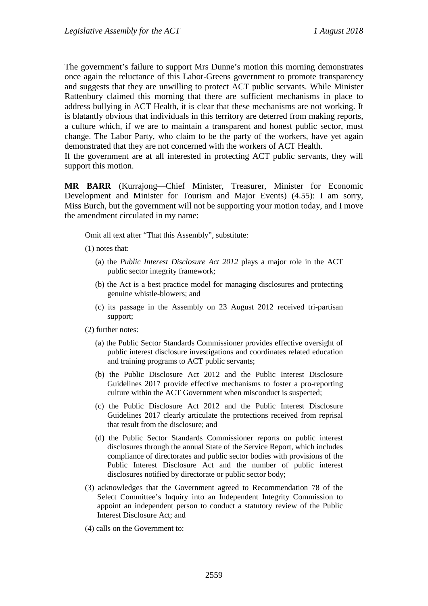The government's failure to support Mrs Dunne's motion this morning demonstrates once again the reluctance of this Labor-Greens government to promote transparency and suggests that they are unwilling to protect ACT public servants. While Minister Rattenbury claimed this morning that there are sufficient mechanisms in place to address bullying in ACT Health, it is clear that these mechanisms are not working. It is blatantly obvious that individuals in this territory are deterred from making reports, a culture which, if we are to maintain a transparent and honest public sector, must change. The Labor Party, who claim to be the party of the workers, have yet again demonstrated that they are not concerned with the workers of ACT Health.

If the government are at all interested in protecting ACT public servants, they will support this motion.

**MR BARR** (Kurrajong—Chief Minister, Treasurer, Minister for Economic Development and Minister for Tourism and Major Events) (4.55): I am sorry, Miss Burch, but the government will not be supporting your motion today, and I move the amendment circulated in my name:

Omit all text after "That this Assembly", substitute:

- (1) notes that:
	- (a) the *Public Interest Disclosure Act 2012* plays a major role in the ACT public sector integrity framework;
	- (b) the Act is a best practice model for managing disclosures and protecting genuine whistle-blowers; and
	- (c) its passage in the Assembly on 23 August 2012 received tri-partisan support;
- (2) further notes:
	- (a) the Public Sector Standards Commissioner provides effective oversight of public interest disclosure investigations and coordinates related education and training programs to ACT public servants;
	- (b) the Public Disclosure Act 2012 and the Public Interest Disclosure Guidelines 2017 provide effective mechanisms to foster a pro-reporting culture within the ACT Government when misconduct is suspected;
	- (c) the Public Disclosure Act 2012 and the Public Interest Disclosure Guidelines 2017 clearly articulate the protections received from reprisal that result from the disclosure; and
	- (d) the Public Sector Standards Commissioner reports on public interest disclosures through the annual State of the Service Report, which includes compliance of directorates and public sector bodies with provisions of the Public Interest Disclosure Act and the number of public interest disclosures notified by directorate or public sector body;
- (3) acknowledges that the Government agreed to Recommendation 78 of the Select Committee's Inquiry into an Independent Integrity Commission to appoint an independent person to conduct a statutory review of the Public Interest Disclosure Act; and
- (4) calls on the Government to: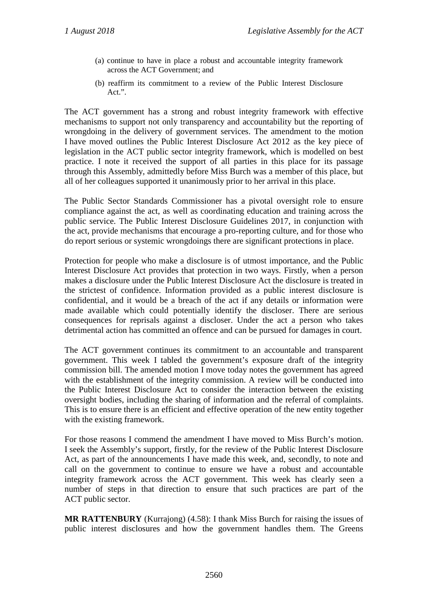- (a) continue to have in place a robust and accountable integrity framework across the ACT Government; and
- (b) reaffirm its commitment to a review of the Public Interest Disclosure Act.".

The ACT government has a strong and robust integrity framework with effective mechanisms to support not only transparency and accountability but the reporting of wrongdoing in the delivery of government services. The amendment to the motion I have moved outlines the Public Interest Disclosure Act 2012 as the key piece of legislation in the ACT public sector integrity framework, which is modelled on best practice. I note it received the support of all parties in this place for its passage through this Assembly, admittedly before Miss Burch was a member of this place, but all of her colleagues supported it unanimously prior to her arrival in this place.

The Public Sector Standards Commissioner has a pivotal oversight role to ensure compliance against the act, as well as coordinating education and training across the public service. The Public Interest Disclosure Guidelines 2017, in conjunction with the act, provide mechanisms that encourage a pro-reporting culture, and for those who do report serious or systemic wrongdoings there are significant protections in place.

Protection for people who make a disclosure is of utmost importance, and the Public Interest Disclosure Act provides that protection in two ways. Firstly, when a person makes a disclosure under the Public Interest Disclosure Act the disclosure is treated in the strictest of confidence. Information provided as a public interest disclosure is confidential, and it would be a breach of the act if any details or information were made available which could potentially identify the discloser. There are serious consequences for reprisals against a discloser. Under the act a person who takes detrimental action has committed an offence and can be pursued for damages in court.

The ACT government continues its commitment to an accountable and transparent government. This week I tabled the government's exposure draft of the integrity commission bill. The amended motion I move today notes the government has agreed with the establishment of the integrity commission. A review will be conducted into the Public Interest Disclosure Act to consider the interaction between the existing oversight bodies, including the sharing of information and the referral of complaints. This is to ensure there is an efficient and effective operation of the new entity together with the existing framework.

For those reasons I commend the amendment I have moved to Miss Burch's motion. I seek the Assembly's support, firstly, for the review of the Public Interest Disclosure Act, as part of the announcements I have made this week, and, secondly, to note and call on the government to continue to ensure we have a robust and accountable integrity framework across the ACT government. This week has clearly seen a number of steps in that direction to ensure that such practices are part of the ACT public sector.

**MR RATTENBURY** (Kurrajong) (4.58): I thank Miss Burch for raising the issues of public interest disclosures and how the government handles them. The Greens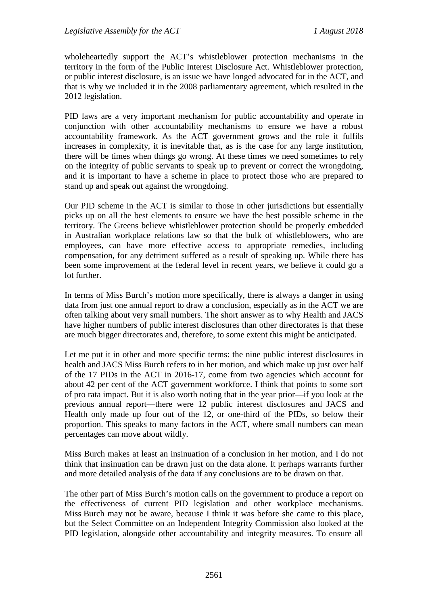wholeheartedly support the ACT's whistleblower protection mechanisms in the territory in the form of the Public Interest Disclosure Act. Whistleblower protection, or public interest disclosure, is an issue we have longed advocated for in the ACT, and that is why we included it in the 2008 parliamentary agreement, which resulted in the 2012 legislation.

PID laws are a very important mechanism for public accountability and operate in conjunction with other accountability mechanisms to ensure we have a robust accountability framework. As the ACT government grows and the role it fulfils increases in complexity, it is inevitable that, as is the case for any large institution, there will be times when things go wrong. At these times we need sometimes to rely on the integrity of public servants to speak up to prevent or correct the wrongdoing, and it is important to have a scheme in place to protect those who are prepared to stand up and speak out against the wrongdoing.

Our PID scheme in the ACT is similar to those in other jurisdictions but essentially picks up on all the best elements to ensure we have the best possible scheme in the territory. The Greens believe whistleblower protection should be properly embedded in Australian workplace relations law so that the bulk of whistleblowers, who are employees, can have more effective access to appropriate remedies, including compensation, for any detriment suffered as a result of speaking up. While there has been some improvement at the federal level in recent years, we believe it could go a lot further.

In terms of Miss Burch's motion more specifically, there is always a danger in using data from just one annual report to draw a conclusion, especially as in the ACT we are often talking about very small numbers. The short answer as to why Health and JACS have higher numbers of public interest disclosures than other directorates is that these are much bigger directorates and, therefore, to some extent this might be anticipated.

Let me put it in other and more specific terms: the nine public interest disclosures in health and JACS Miss Burch refers to in her motion, and which make up just over half of the 17 PIDs in the ACT in 2016-17, come from two agencies which account for about 42 per cent of the ACT government workforce. I think that points to some sort of pro rata impact. But it is also worth noting that in the year prior—if you look at the previous annual report—there were 12 public interest disclosures and JACS and Health only made up four out of the 12, or one-third of the PIDs, so below their proportion. This speaks to many factors in the ACT, where small numbers can mean percentages can move about wildly.

Miss Burch makes at least an insinuation of a conclusion in her motion, and I do not think that insinuation can be drawn just on the data alone. It perhaps warrants further and more detailed analysis of the data if any conclusions are to be drawn on that.

The other part of Miss Burch's motion calls on the government to produce a report on the effectiveness of current PID legislation and other workplace mechanisms. Miss Burch may not be aware, because I think it was before she came to this place, but the Select Committee on an Independent Integrity Commission also looked at the PID legislation, alongside other accountability and integrity measures. To ensure all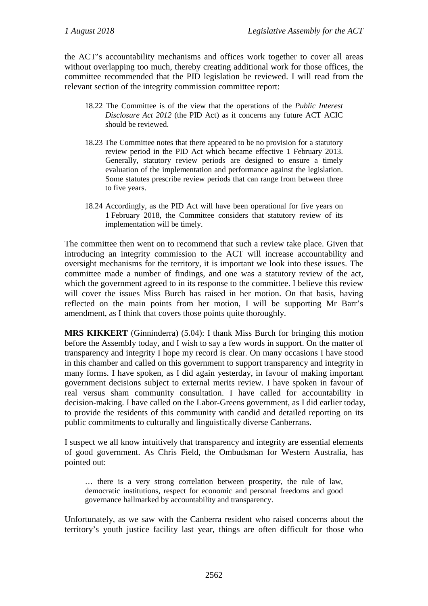the ACT's accountability mechanisms and offices work together to cover all areas without overlapping too much, thereby creating additional work for those offices, the committee recommended that the PID legislation be reviewed. I will read from the relevant section of the integrity commission committee report:

- 18.22 The Committee is of the view that the operations of the *Public Interest Disclosure Act 2012* (the PID Act) as it concerns any future ACT ACIC should be reviewed.
- 18.23 The Committee notes that there appeared to be no provision for a statutory review period in the PID Act which became effective 1 February 2013. Generally, statutory review periods are designed to ensure a timely evaluation of the implementation and performance against the legislation. Some statutes prescribe review periods that can range from between three to five years.
- 18.24 Accordingly, as the PID Act will have been operational for five years on 1 February 2018, the Committee considers that statutory review of its implementation will be timely.

The committee then went on to recommend that such a review take place. Given that introducing an integrity commission to the ACT will increase accountability and oversight mechanisms for the territory, it is important we look into these issues. The committee made a number of findings, and one was a statutory review of the act, which the government agreed to in its response to the committee. I believe this review will cover the issues Miss Burch has raised in her motion. On that basis, having reflected on the main points from her motion, I will be supporting Mr Barr's amendment, as I think that covers those points quite thoroughly.

**MRS KIKKERT** (Ginninderra) (5.04): I thank Miss Burch for bringing this motion before the Assembly today, and I wish to say a few words in support. On the matter of transparency and integrity I hope my record is clear. On many occasions I have stood in this chamber and called on this government to support transparency and integrity in many forms. I have spoken, as I did again yesterday, in favour of making important government decisions subject to external merits review. I have spoken in favour of real versus sham community consultation. I have called for accountability in decision-making. I have called on the Labor-Greens government, as I did earlier today, to provide the residents of this community with candid and detailed reporting on its public commitments to culturally and linguistically diverse Canberrans.

I suspect we all know intuitively that transparency and integrity are essential elements of good government. As Chris Field, the Ombudsman for Western Australia, has pointed out:

… there is a very strong correlation between prosperity, the rule of law, democratic institutions, respect for economic and personal freedoms and good governance hallmarked by accountability and transparency.

Unfortunately, as we saw with the Canberra resident who raised concerns about the territory's youth justice facility last year, things are often difficult for those who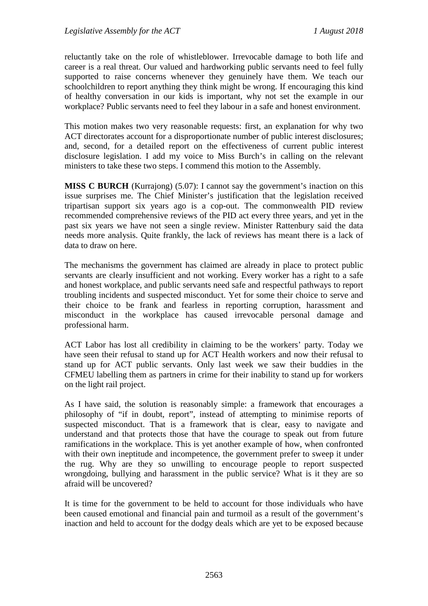reluctantly take on the role of whistleblower. Irrevocable damage to both life and career is a real threat. Our valued and hardworking public servants need to feel fully supported to raise concerns whenever they genuinely have them. We teach our schoolchildren to report anything they think might be wrong. If encouraging this kind of healthy conversation in our kids is important, why not set the example in our workplace? Public servants need to feel they labour in a safe and honest environment.

This motion makes two very reasonable requests: first, an explanation for why two ACT directorates account for a disproportionate number of public interest disclosures; and, second, for a detailed report on the effectiveness of current public interest disclosure legislation. I add my voice to Miss Burch's in calling on the relevant ministers to take these two steps. I commend this motion to the Assembly.

**MISS C BURCH** (Kurrajong) (5.07): I cannot say the government's inaction on this issue surprises me. The Chief Minister's justification that the legislation received tripartisan support six years ago is a cop-out. The commonwealth PID review recommended comprehensive reviews of the PID act every three years, and yet in the past six years we have not seen a single review. Minister Rattenbury said the data needs more analysis. Quite frankly, the lack of reviews has meant there is a lack of data to draw on here.

The mechanisms the government has claimed are already in place to protect public servants are clearly insufficient and not working. Every worker has a right to a safe and honest workplace, and public servants need safe and respectful pathways to report troubling incidents and suspected misconduct. Yet for some their choice to serve and their choice to be frank and fearless in reporting corruption, harassment and misconduct in the workplace has caused irrevocable personal damage and professional harm.

ACT Labor has lost all credibility in claiming to be the workers' party. Today we have seen their refusal to stand up for ACT Health workers and now their refusal to stand up for ACT public servants. Only last week we saw their buddies in the CFMEU labelling them as partners in crime for their inability to stand up for workers on the light rail project.

As I have said, the solution is reasonably simple: a framework that encourages a philosophy of "if in doubt, report", instead of attempting to minimise reports of suspected misconduct. That is a framework that is clear, easy to navigate and understand and that protects those that have the courage to speak out from future ramifications in the workplace. This is yet another example of how, when confronted with their own ineptitude and incompetence, the government prefer to sweep it under the rug. Why are they so unwilling to encourage people to report suspected wrongdoing, bullying and harassment in the public service? What is it they are so afraid will be uncovered?

It is time for the government to be held to account for those individuals who have been caused emotional and financial pain and turmoil as a result of the government's inaction and held to account for the dodgy deals which are yet to be exposed because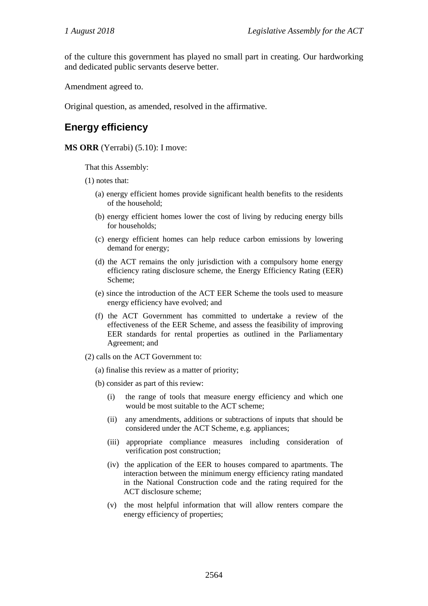of the culture this government has played no small part in creating. Our hardworking and dedicated public servants deserve better.

Amendment agreed to.

Original question, as amended, resolved in the affirmative.

## **Energy efficiency**

**MS ORR** (Yerrabi) (5.10): I move:

That this Assembly:

(1) notes that:

- (a) energy efficient homes provide significant health benefits to the residents of the household;
- (b) energy efficient homes lower the cost of living by reducing energy bills for households;
- (c) energy efficient homes can help reduce carbon emissions by lowering demand for energy;
- (d) the ACT remains the only jurisdiction with a compulsory home energy efficiency rating disclosure scheme, the Energy Efficiency Rating (EER) Scheme;
- (e) since the introduction of the ACT EER Scheme the tools used to measure energy efficiency have evolved; and
- (f) the ACT Government has committed to undertake a review of the effectiveness of the EER Scheme, and assess the feasibility of improving EER standards for rental properties as outlined in the Parliamentary Agreement; and
- (2) calls on the ACT Government to:
	- (a) finalise this review as a matter of priority;
	- (b) consider as part of this review:
		- (i) the range of tools that measure energy efficiency and which one would be most suitable to the ACT scheme;
		- (ii) any amendments, additions or subtractions of inputs that should be considered under the ACT Scheme, e.g. appliances;
		- (iii) appropriate compliance measures including consideration of verification post construction;
		- (iv) the application of the EER to houses compared to apartments. The interaction between the minimum energy efficiency rating mandated in the National Construction code and the rating required for the ACT disclosure scheme;
		- (v) the most helpful information that will allow renters compare the energy efficiency of properties;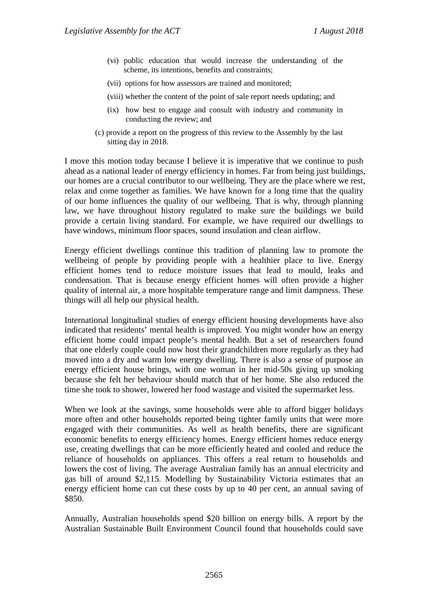- (vi) public education that would increase the understanding of the scheme, its intentions, benefits and constraints;
- (vii) options for how assessors are trained and monitored;
- (viii) whether the content of the point of sale report needs updating; and
- (ix) how best to engage and consult with industry and community in conducting the review; and
- (c) provide a report on the progress of this review to the Assembly by the last sitting day in 2018.

I move this motion today because I believe it is imperative that we continue to push ahead as a national leader of energy efficiency in homes. Far from being just buildings, our homes are a crucial contributor to our wellbeing. They are the place where we rest, relax and come together as families. We have known for a long time that the quality of our home influences the quality of our wellbeing. That is why, through planning law, we have throughout history regulated to make sure the buildings we build provide a certain living standard. For example, we have required our dwellings to have windows, minimum floor spaces, sound insulation and clean airflow.

Energy efficient dwellings continue this tradition of planning law to promote the wellbeing of people by providing people with a healthier place to live. Energy efficient homes tend to reduce moisture issues that lead to mould, leaks and condensation. That is because energy efficient homes will often provide a higher quality of internal air, a more hospitable temperature range and limit dampness. These things will all help our physical health.

International longitudinal studies of energy efficient housing developments have also indicated that residents' mental health is improved. You might wonder how an energy efficient home could impact people's mental health. But a set of researchers found that one elderly couple could now host their grandchildren more regularly as they had moved into a dry and warm low energy dwelling. There is also a sense of purpose an energy efficient house brings, with one woman in her mid-50s giving up smoking because she felt her behaviour should match that of her home. She also reduced the time she took to shower, lowered her food wastage and visited the supermarket less.

When we look at the savings, some households were able to afford bigger holidays more often and other households reported being tighter family units that were more engaged with their communities. As well as health benefits, there are significant economic benefits to energy efficiency homes. Energy efficient homes reduce energy use, creating dwellings that can be more efficiently heated and cooled and reduce the reliance of households on appliances. This offers a real return to households and lowers the cost of living. The average Australian family has an annual electricity and gas bill of around \$2,115. Modelling by Sustainability Victoria estimates that an energy efficient home can cut these costs by up to 40 per cent, an annual saving of \$850.

Annually, Australian households spend \$20 billion on energy bills. A report by the Australian Sustainable Built Environment Council found that households could save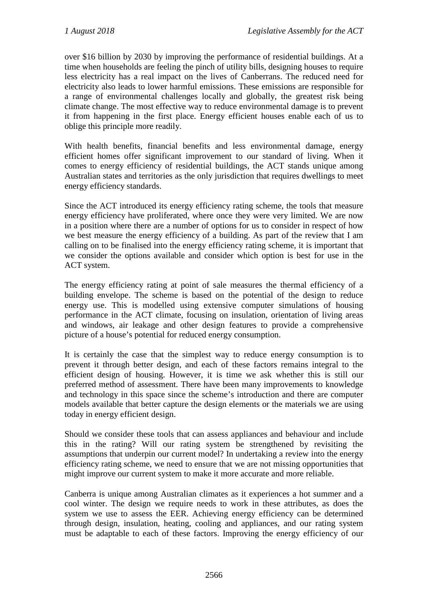over \$16 billion by 2030 by improving the performance of residential buildings. At a time when households are feeling the pinch of utility bills, designing houses to require less electricity has a real impact on the lives of Canberrans. The reduced need for electricity also leads to lower harmful emissions. These emissions are responsible for a range of environmental challenges locally and globally, the greatest risk being climate change. The most effective way to reduce environmental damage is to prevent it from happening in the first place. Energy efficient houses enable each of us to oblige this principle more readily.

With health benefits, financial benefits and less environmental damage, energy efficient homes offer significant improvement to our standard of living. When it comes to energy efficiency of residential buildings, the ACT stands unique among Australian states and territories as the only jurisdiction that requires dwellings to meet energy efficiency standards.

Since the ACT introduced its energy efficiency rating scheme, the tools that measure energy efficiency have proliferated, where once they were very limited. We are now in a position where there are a number of options for us to consider in respect of how we best measure the energy efficiency of a building. As part of the review that I am calling on to be finalised into the energy efficiency rating scheme, it is important that we consider the options available and consider which option is best for use in the ACT system.

The energy efficiency rating at point of sale measures the thermal efficiency of a building envelope. The scheme is based on the potential of the design to reduce energy use. This is modelled using extensive computer simulations of housing performance in the ACT climate, focusing on insulation, orientation of living areas and windows, air leakage and other design features to provide a comprehensive picture of a house's potential for reduced energy consumption.

It is certainly the case that the simplest way to reduce energy consumption is to prevent it through better design, and each of these factors remains integral to the efficient design of housing. However, it is time we ask whether this is still our preferred method of assessment. There have been many improvements to knowledge and technology in this space since the scheme's introduction and there are computer models available that better capture the design elements or the materials we are using today in energy efficient design.

Should we consider these tools that can assess appliances and behaviour and include this in the rating? Will our rating system be strengthened by revisiting the assumptions that underpin our current model? In undertaking a review into the energy efficiency rating scheme, we need to ensure that we are not missing opportunities that might improve our current system to make it more accurate and more reliable.

Canberra is unique among Australian climates as it experiences a hot summer and a cool winter. The design we require needs to work in these attributes, as does the system we use to assess the EER. Achieving energy efficiency can be determined through design, insulation, heating, cooling and appliances, and our rating system must be adaptable to each of these factors. Improving the energy efficiency of our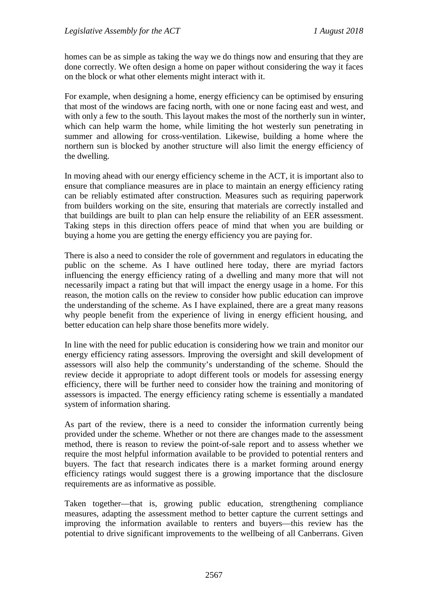homes can be as simple as taking the way we do things now and ensuring that they are done correctly. We often design a home on paper without considering the way it faces on the block or what other elements might interact with it.

For example, when designing a home, energy efficiency can be optimised by ensuring that most of the windows are facing north, with one or none facing east and west, and with only a few to the south. This layout makes the most of the northerly sun in winter, which can help warm the home, while limiting the hot westerly sun penetrating in summer and allowing for cross-ventilation. Likewise, building a home where the northern sun is blocked by another structure will also limit the energy efficiency of the dwelling.

In moving ahead with our energy efficiency scheme in the ACT, it is important also to ensure that compliance measures are in place to maintain an energy efficiency rating can be reliably estimated after construction. Measures such as requiring paperwork from builders working on the site, ensuring that materials are correctly installed and that buildings are built to plan can help ensure the reliability of an EER assessment. Taking steps in this direction offers peace of mind that when you are building or buying a home you are getting the energy efficiency you are paying for.

There is also a need to consider the role of government and regulators in educating the public on the scheme. As I have outlined here today, there are myriad factors influencing the energy efficiency rating of a dwelling and many more that will not necessarily impact a rating but that will impact the energy usage in a home. For this reason, the motion calls on the review to consider how public education can improve the understanding of the scheme. As I have explained, there are a great many reasons why people benefit from the experience of living in energy efficient housing, and better education can help share those benefits more widely.

In line with the need for public education is considering how we train and monitor our energy efficiency rating assessors. Improving the oversight and skill development of assessors will also help the community's understanding of the scheme. Should the review decide it appropriate to adopt different tools or models for assessing energy efficiency, there will be further need to consider how the training and monitoring of assessors is impacted. The energy efficiency rating scheme is essentially a mandated system of information sharing.

As part of the review, there is a need to consider the information currently being provided under the scheme. Whether or not there are changes made to the assessment method, there is reason to review the point-of-sale report and to assess whether we require the most helpful information available to be provided to potential renters and buyers. The fact that research indicates there is a market forming around energy efficiency ratings would suggest there is a growing importance that the disclosure requirements are as informative as possible.

Taken together—that is, growing public education, strengthening compliance measures, adapting the assessment method to better capture the current settings and improving the information available to renters and buyers—this review has the potential to drive significant improvements to the wellbeing of all Canberrans. Given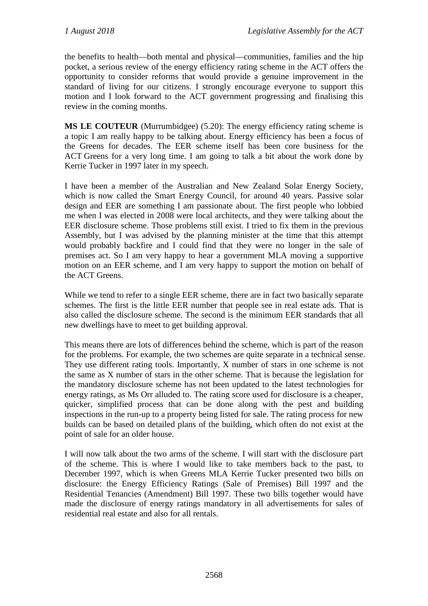the benefits to health—both mental and physical—communities, families and the hip pocket, a serious review of the energy efficiency rating scheme in the ACT offers the opportunity to consider reforms that would provide a genuine improvement in the standard of living for our citizens. I strongly encourage everyone to support this motion and I look forward to the ACT government progressing and finalising this review in the coming months.

**MS LE COUTEUR** (Murrumbidgee) (5.20): The energy efficiency rating scheme is a topic I am really happy to be talking about. Energy efficiency has been a focus of the Greens for decades. The EER scheme itself has been core business for the ACT Greens for a very long time. I am going to talk a bit about the work done by Kerrie Tucker in 1997 later in my speech.

I have been a member of the Australian and New Zealand Solar Energy Society, which is now called the Smart Energy Council, for around 40 years. Passive solar design and EER are something I am passionate about. The first people who lobbied me when I was elected in 2008 were local architects, and they were talking about the EER disclosure scheme. Those problems still exist. I tried to fix them in the previous Assembly, but I was advised by the planning minister at the time that this attempt would probably backfire and I could find that they were no longer in the sale of premises act. So I am very happy to hear a government MLA moving a supportive motion on an EER scheme, and I am very happy to support the motion on behalf of the ACT Greens.

While we tend to refer to a single EER scheme, there are in fact two basically separate schemes. The first is the little EER number that people see in real estate ads. That is also called the disclosure scheme. The second is the minimum EER standards that all new dwellings have to meet to get building approval.

This means there are lots of differences behind the scheme, which is part of the reason for the problems. For example, the two schemes are quite separate in a technical sense. They use different rating tools. Importantly, X number of stars in one scheme is not the same as X number of stars in the other scheme. That is because the legislation for the mandatory disclosure scheme has not been updated to the latest technologies for energy ratings, as Ms Orr alluded to. The rating score used for disclosure is a cheaper, quicker, simplified process that can be done along with the pest and building inspections in the run-up to a property being listed for sale. The rating process for new builds can be based on detailed plans of the building, which often do not exist at the point of sale for an older house.

I will now talk about the two arms of the scheme. I will start with the disclosure part of the scheme. This is where I would like to take members back to the past, to December 1997, which is when Greens MLA Kerrie Tucker presented two bills on disclosure: the Energy Efficiency Ratings (Sale of Premises) Bill 1997 and the Residential Tenancies (Amendment) Bill 1997. These two bills together would have made the disclosure of energy ratings mandatory in all advertisements for sales of residential real estate and also for all rentals.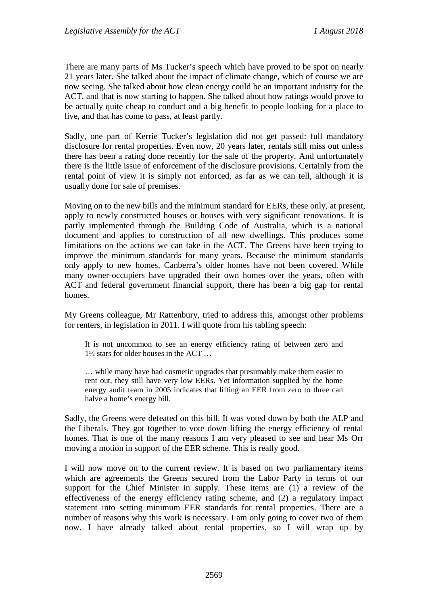There are many parts of Ms Tucker's speech which have proved to be spot on nearly 21 years later. She talked about the impact of climate change, which of course we are now seeing. She talked about how clean energy could be an important industry for the ACT, and that is now starting to happen. She talked about how ratings would prove to be actually quite cheap to conduct and a big benefit to people looking for a place to live, and that has come to pass, at least partly.

Sadly, one part of Kerrie Tucker's legislation did not get passed: full mandatory disclosure for rental properties. Even now, 20 years later, rentals still miss out unless there has been a rating done recently for the sale of the property. And unfortunately there is the little issue of enforcement of the disclosure provisions. Certainly from the rental point of view it is simply not enforced, as far as we can tell, although it is usually done for sale of premises.

Moving on to the new bills and the minimum standard for EERs, these only, at present, apply to newly constructed houses or houses with very significant renovations. It is partly implemented through the Building Code of Australia, which is a national document and applies to construction of all new dwellings. This produces some limitations on the actions we can take in the ACT. The Greens have been trying to improve the minimum standards for many years. Because the minimum standards only apply to new homes, Canberra's older homes have not been covered. While many owner-occupiers have upgraded their own homes over the years, often with ACT and federal government financial support, there has been a big gap for rental homes.

My Greens colleague, Mr Rattenbury, tried to address this, amongst other problems for renters, in legislation in 2011. I will quote from his tabling speech:

It is not uncommon to see an energy efficiency rating of between zero and 1½ stars for older houses in the ACT …

… while many have had cosmetic upgrades that presumably make them easier to rent out, they still have very low EERs. Yet information supplied by the home energy audit team in 2005 indicates that lifting an EER from zero to three can halve a home's energy bill.

Sadly, the Greens were defeated on this bill. It was voted down by both the ALP and the Liberals. They got together to vote down lifting the energy efficiency of rental homes. That is one of the many reasons I am very pleased to see and hear Ms Orr moving a motion in support of the EER scheme. This is really good.

I will now move on to the current review. It is based on two parliamentary items which are agreements the Greens secured from the Labor Party in terms of our support for the Chief Minister in supply. These items are (1) a review of the effectiveness of the energy efficiency rating scheme, and (2) a regulatory impact statement into setting minimum EER standards for rental properties. There are a number of reasons why this work is necessary. I am only going to cover two of them now. I have already talked about rental properties, so I will wrap up by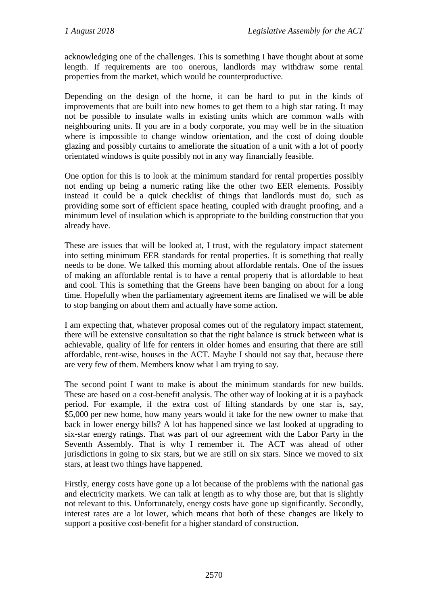acknowledging one of the challenges. This is something I have thought about at some length. If requirements are too onerous, landlords may withdraw some rental properties from the market, which would be counterproductive.

Depending on the design of the home, it can be hard to put in the kinds of improvements that are built into new homes to get them to a high star rating. It may not be possible to insulate walls in existing units which are common walls with neighbouring units. If you are in a body corporate, you may well be in the situation where is impossible to change window orientation, and the cost of doing double glazing and possibly curtains to ameliorate the situation of a unit with a lot of poorly orientated windows is quite possibly not in any way financially feasible.

One option for this is to look at the minimum standard for rental properties possibly not ending up being a numeric rating like the other two EER elements. Possibly instead it could be a quick checklist of things that landlords must do, such as providing some sort of efficient space heating, coupled with draught proofing, and a minimum level of insulation which is appropriate to the building construction that you already have.

These are issues that will be looked at, I trust, with the regulatory impact statement into setting minimum EER standards for rental properties. It is something that really needs to be done. We talked this morning about affordable rentals. One of the issues of making an affordable rental is to have a rental property that is affordable to heat and cool. This is something that the Greens have been banging on about for a long time. Hopefully when the parliamentary agreement items are finalised we will be able to stop banging on about them and actually have some action.

I am expecting that, whatever proposal comes out of the regulatory impact statement, there will be extensive consultation so that the right balance is struck between what is achievable, quality of life for renters in older homes and ensuring that there are still affordable, rent-wise, houses in the ACT. Maybe I should not say that, because there are very few of them. Members know what I am trying to say.

The second point I want to make is about the minimum standards for new builds. These are based on a cost-benefit analysis. The other way of looking at it is a payback period. For example, if the extra cost of lifting standards by one star is, say, \$5,000 per new home, how many years would it take for the new owner to make that back in lower energy bills? A lot has happened since we last looked at upgrading to six-star energy ratings. That was part of our agreement with the Labor Party in the Seventh Assembly. That is why I remember it. The ACT was ahead of other jurisdictions in going to six stars, but we are still on six stars. Since we moved to six stars, at least two things have happened.

Firstly, energy costs have gone up a lot because of the problems with the national gas and electricity markets. We can talk at length as to why those are, but that is slightly not relevant to this. Unfortunately, energy costs have gone up significantly. Secondly, interest rates are a lot lower, which means that both of these changes are likely to support a positive cost-benefit for a higher standard of construction.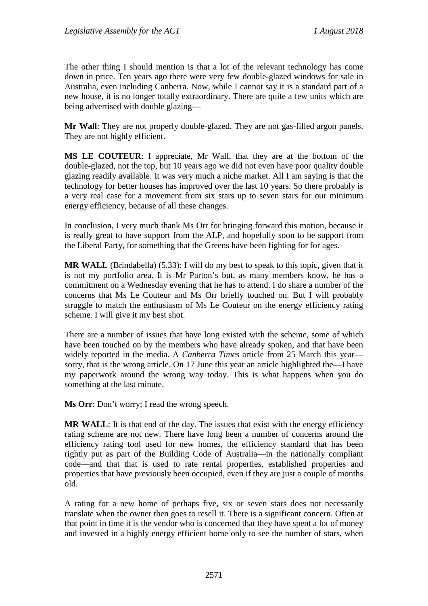The other thing I should mention is that a lot of the relevant technology has come down in price. Ten years ago there were very few double-glazed windows for sale in Australia, even including Canberra. Now, while I cannot say it is a standard part of a new house, it is no longer totally extraordinary. There are quite a few units which are being advertised with double glazing—

**Mr Wall**: They are not properly double-glazed. They are not gas-filled argon panels. They are not highly efficient.

**MS LE COUTEUR**: I appreciate, Mr Wall, that they are at the bottom of the double-glazed, not the top, but 10 years ago we did not even have poor quality double glazing readily available. It was very much a niche market. All I am saying is that the technology for better houses has improved over the last 10 years. So there probably is a very real case for a movement from six stars up to seven stars for our minimum energy efficiency, because of all these changes.

In conclusion, I very much thank Ms Orr for bringing forward this motion, because it is really great to have support from the ALP, and hopefully soon to be support from the Liberal Party, for something that the Greens have been fighting for for ages.

**MR WALL** (Brindabella) (5.33): I will do my best to speak to this topic, given that it is not my portfolio area. It is Mr Parton's but, as many members know, he has a commitment on a Wednesday evening that he has to attend. I do share a number of the concerns that Ms Le Couteur and Ms Orr briefly touched on. But I will probably struggle to match the enthusiasm of Ms Le Couteur on the energy efficiency rating scheme. I will give it my best shot.

There are a number of issues that have long existed with the scheme, some of which have been touched on by the members who have already spoken, and that have been widely reported in the media. A *Canberra Times* article from 25 March this year sorry, that is the wrong article. On 17 June this year an article highlighted the—I have my paperwork around the wrong way today. This is what happens when you do something at the last minute.

**Ms Orr**: Don't worry; I read the wrong speech.

**MR WALL:** It is that end of the day. The issues that exist with the energy efficiency rating scheme are not new. There have long been a number of concerns around the efficiency rating tool used for new homes, the efficiency standard that has been rightly put as part of the Building Code of Australia—in the nationally compliant code—and that that is used to rate rental properties, established properties and properties that have previously been occupied, even if they are just a couple of months old.

A rating for a new home of perhaps five, six or seven stars does not necessarily translate when the owner then goes to resell it. There is a significant concern. Often at that point in time it is the vendor who is concerned that they have spent a lot of money and invested in a highly energy efficient home only to see the number of stars, when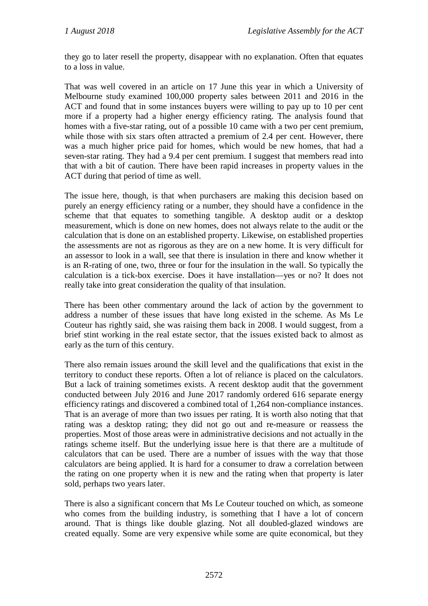they go to later resell the property, disappear with no explanation. Often that equates to a loss in value.

That was well covered in an article on 17 June this year in which a University of Melbourne study examined 100,000 property sales between 2011 and 2016 in the ACT and found that in some instances buyers were willing to pay up to 10 per cent more if a property had a higher energy efficiency rating. The analysis found that homes with a five-star rating, out of a possible 10 came with a two per cent premium, while those with six stars often attracted a premium of 2.4 per cent. However, there was a much higher price paid for homes, which would be new homes, that had a seven-star rating. They had a 9.4 per cent premium. I suggest that members read into that with a bit of caution. There have been rapid increases in property values in the ACT during that period of time as well.

The issue here, though, is that when purchasers are making this decision based on purely an energy efficiency rating or a number, they should have a confidence in the scheme that that equates to something tangible. A desktop audit or a desktop measurement, which is done on new homes, does not always relate to the audit or the calculation that is done on an established property. Likewise, on established properties the assessments are not as rigorous as they are on a new home. It is very difficult for an assessor to look in a wall, see that there is insulation in there and know whether it is an R-rating of one, two, three or four for the insulation in the wall. So typically the calculation is a tick-box exercise. Does it have installation—yes or no? It does not really take into great consideration the quality of that insulation.

There has been other commentary around the lack of action by the government to address a number of these issues that have long existed in the scheme. As Ms Le Couteur has rightly said, she was raising them back in 2008. I would suggest, from a brief stint working in the real estate sector, that the issues existed back to almost as early as the turn of this century.

There also remain issues around the skill level and the qualifications that exist in the territory to conduct these reports. Often a lot of reliance is placed on the calculators. But a lack of training sometimes exists. A recent desktop audit that the government conducted between July 2016 and June 2017 randomly ordered 616 separate energy efficiency ratings and discovered a combined total of 1,264 non-compliance instances. That is an average of more than two issues per rating. It is worth also noting that that rating was a desktop rating; they did not go out and re-measure or reassess the properties. Most of those areas were in administrative decisions and not actually in the ratings scheme itself. But the underlying issue here is that there are a multitude of calculators that can be used. There are a number of issues with the way that those calculators are being applied. It is hard for a consumer to draw a correlation between the rating on one property when it is new and the rating when that property is later sold, perhaps two years later.

There is also a significant concern that Ms Le Couteur touched on which, as someone who comes from the building industry, is something that I have a lot of concern around. That is things like double glazing. Not all doubled-glazed windows are created equally. Some are very expensive while some are quite economical, but they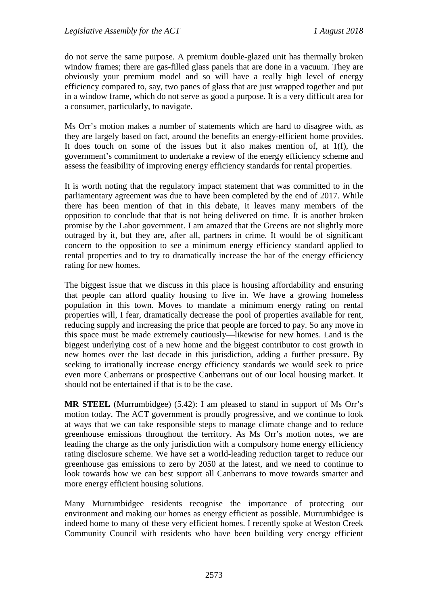do not serve the same purpose. A premium double-glazed unit has thermally broken window frames; there are gas-filled glass panels that are done in a vacuum. They are obviously your premium model and so will have a really high level of energy efficiency compared to, say, two panes of glass that are just wrapped together and put in a window frame, which do not serve as good a purpose. It is a very difficult area for a consumer, particularly, to navigate.

Ms Orr's motion makes a number of statements which are hard to disagree with, as they are largely based on fact, around the benefits an energy-efficient home provides. It does touch on some of the issues but it also makes mention of, at 1(f), the government's commitment to undertake a review of the energy efficiency scheme and assess the feasibility of improving energy efficiency standards for rental properties.

It is worth noting that the regulatory impact statement that was committed to in the parliamentary agreement was due to have been completed by the end of 2017. While there has been mention of that in this debate, it leaves many members of the opposition to conclude that that is not being delivered on time. It is another broken promise by the Labor government. I am amazed that the Greens are not slightly more outraged by it, but they are, after all, partners in crime. It would be of significant concern to the opposition to see a minimum energy efficiency standard applied to rental properties and to try to dramatically increase the bar of the energy efficiency rating for new homes.

The biggest issue that we discuss in this place is housing affordability and ensuring that people can afford quality housing to live in. We have a growing homeless population in this town. Moves to mandate a minimum energy rating on rental properties will, I fear, dramatically decrease the pool of properties available for rent, reducing supply and increasing the price that people are forced to pay. So any move in this space must be made extremely cautiously—likewise for new homes. Land is the biggest underlying cost of a new home and the biggest contributor to cost growth in new homes over the last decade in this jurisdiction, adding a further pressure. By seeking to irrationally increase energy efficiency standards we would seek to price even more Canberrans or prospective Canberrans out of our local housing market. It should not be entertained if that is to be the case.

**MR STEEL** (Murrumbidgee) (5.42): I am pleased to stand in support of Ms Orr's motion today. The ACT government is proudly progressive, and we continue to look at ways that we can take responsible steps to manage climate change and to reduce greenhouse emissions throughout the territory. As Ms Orr's motion notes, we are leading the charge as the only jurisdiction with a compulsory home energy efficiency rating disclosure scheme. We have set a world-leading reduction target to reduce our greenhouse gas emissions to zero by 2050 at the latest, and we need to continue to look towards how we can best support all Canberrans to move towards smarter and more energy efficient housing solutions.

Many Murrumbidgee residents recognise the importance of protecting our environment and making our homes as energy efficient as possible. Murrumbidgee is indeed home to many of these very efficient homes. I recently spoke at Weston Creek Community Council with residents who have been building very energy efficient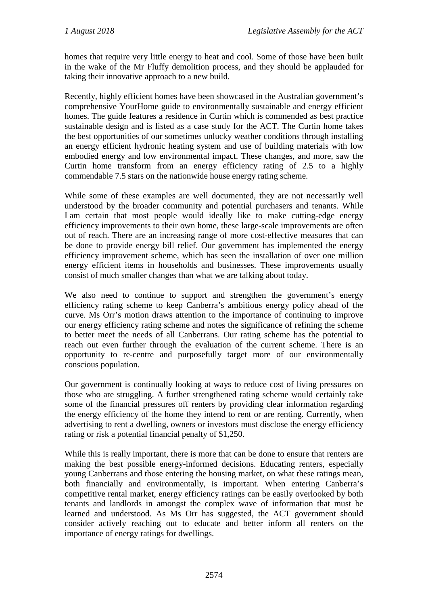homes that require very little energy to heat and cool. Some of those have been built in the wake of the Mr Fluffy demolition process, and they should be applauded for taking their innovative approach to a new build.

Recently, highly efficient homes have been showcased in the Australian government's comprehensive YourHome guide to environmentally sustainable and energy efficient homes. The guide features a residence in Curtin which is commended as best practice sustainable design and is listed as a case study for the ACT. The Curtin home takes the best opportunities of our sometimes unlucky weather conditions through installing an energy efficient hydronic heating system and use of building materials with low embodied energy and low environmental impact. These changes, and more, saw the Curtin home transform from an energy efficiency rating of 2.5 to a highly commendable 7.5 stars on the nationwide house energy rating scheme.

While some of these examples are well documented, they are not necessarily well understood by the broader community and potential purchasers and tenants. While I am certain that most people would ideally like to make cutting-edge energy efficiency improvements to their own home, these large-scale improvements are often out of reach. There are an increasing range of more cost-effective measures that can be done to provide energy bill relief. Our government has implemented the energy efficiency improvement scheme, which has seen the installation of over one million energy efficient items in households and businesses. These improvements usually consist of much smaller changes than what we are talking about today.

We also need to continue to support and strengthen the government's energy efficiency rating scheme to keep Canberra's ambitious energy policy ahead of the curve. Ms Orr's motion draws attention to the importance of continuing to improve our energy efficiency rating scheme and notes the significance of refining the scheme to better meet the needs of all Canberrans. Our rating scheme has the potential to reach out even further through the evaluation of the current scheme. There is an opportunity to re-centre and purposefully target more of our environmentally conscious population.

Our government is continually looking at ways to reduce cost of living pressures on those who are struggling. A further strengthened rating scheme would certainly take some of the financial pressures off renters by providing clear information regarding the energy efficiency of the home they intend to rent or are renting. Currently, when advertising to rent a dwelling, owners or investors must disclose the energy efficiency rating or risk a potential financial penalty of \$1,250.

While this is really important, there is more that can be done to ensure that renters are making the best possible energy-informed decisions. Educating renters, especially young Canberrans and those entering the housing market, on what these ratings mean, both financially and environmentally, is important. When entering Canberra's competitive rental market, energy efficiency ratings can be easily overlooked by both tenants and landlords in amongst the complex wave of information that must be learned and understood. As Ms Orr has suggested, the ACT government should consider actively reaching out to educate and better inform all renters on the importance of energy ratings for dwellings.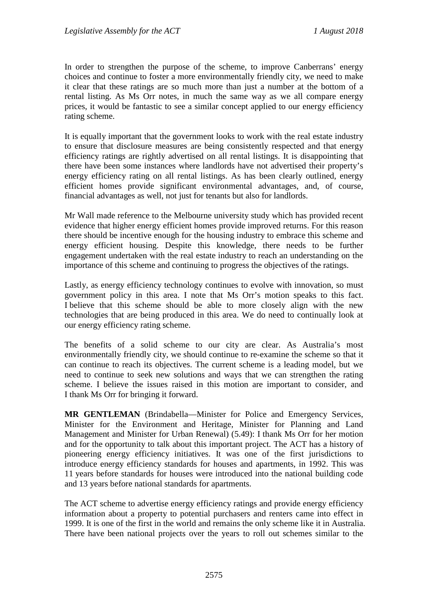In order to strengthen the purpose of the scheme, to improve Canberrans' energy choices and continue to foster a more environmentally friendly city, we need to make it clear that these ratings are so much more than just a number at the bottom of a rental listing. As Ms Orr notes, in much the same way as we all compare energy prices, it would be fantastic to see a similar concept applied to our energy efficiency rating scheme.

It is equally important that the government looks to work with the real estate industry to ensure that disclosure measures are being consistently respected and that energy efficiency ratings are rightly advertised on all rental listings. It is disappointing that there have been some instances where landlords have not advertised their property's energy efficiency rating on all rental listings. As has been clearly outlined, energy efficient homes provide significant environmental advantages, and, of course, financial advantages as well, not just for tenants but also for landlords.

Mr Wall made reference to the Melbourne university study which has provided recent evidence that higher energy efficient homes provide improved returns. For this reason there should be incentive enough for the housing industry to embrace this scheme and energy efficient housing. Despite this knowledge, there needs to be further engagement undertaken with the real estate industry to reach an understanding on the importance of this scheme and continuing to progress the objectives of the ratings.

Lastly, as energy efficiency technology continues to evolve with innovation, so must government policy in this area. I note that Ms Orr's motion speaks to this fact. I believe that this scheme should be able to more closely align with the new technologies that are being produced in this area. We do need to continually look at our energy efficiency rating scheme.

The benefits of a solid scheme to our city are clear. As Australia's most environmentally friendly city, we should continue to re-examine the scheme so that it can continue to reach its objectives. The current scheme is a leading model, but we need to continue to seek new solutions and ways that we can strengthen the rating scheme. I believe the issues raised in this motion are important to consider, and I thank Ms Orr for bringing it forward.

**MR GENTLEMAN** (Brindabella—Minister for Police and Emergency Services, Minister for the Environment and Heritage, Minister for Planning and Land Management and Minister for Urban Renewal) (5.49): I thank Ms Orr for her motion and for the opportunity to talk about this important project. The ACT has a history of pioneering energy efficiency initiatives. It was one of the first jurisdictions to introduce energy efficiency standards for houses and apartments, in 1992. This was 11 years before standards for houses were introduced into the national building code and 13 years before national standards for apartments.

The ACT scheme to advertise energy efficiency ratings and provide energy efficiency information about a property to potential purchasers and renters came into effect in 1999. It is one of the first in the world and remains the only scheme like it in Australia. There have been national projects over the years to roll out schemes similar to the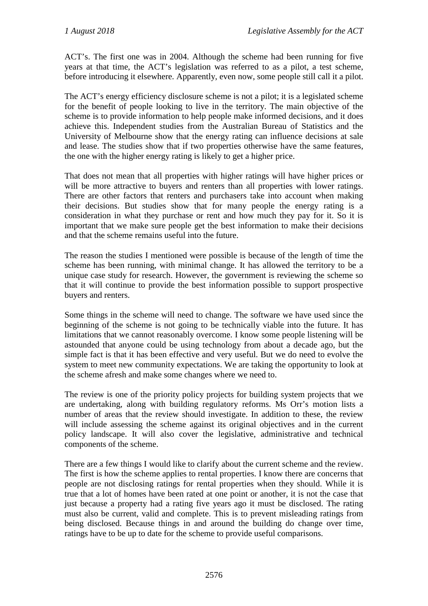ACT's. The first one was in 2004. Although the scheme had been running for five years at that time, the ACT's legislation was referred to as a pilot, a test scheme, before introducing it elsewhere. Apparently, even now, some people still call it a pilot.

The ACT's energy efficiency disclosure scheme is not a pilot; it is a legislated scheme for the benefit of people looking to live in the territory. The main objective of the scheme is to provide information to help people make informed decisions, and it does achieve this. Independent studies from the Australian Bureau of Statistics and the University of Melbourne show that the energy rating can influence decisions at sale and lease. The studies show that if two properties otherwise have the same features, the one with the higher energy rating is likely to get a higher price.

That does not mean that all properties with higher ratings will have higher prices or will be more attractive to buyers and renters than all properties with lower ratings. There are other factors that renters and purchasers take into account when making their decisions. But studies show that for many people the energy rating is a consideration in what they purchase or rent and how much they pay for it. So it is important that we make sure people get the best information to make their decisions and that the scheme remains useful into the future.

The reason the studies I mentioned were possible is because of the length of time the scheme has been running, with minimal change. It has allowed the territory to be a unique case study for research. However, the government is reviewing the scheme so that it will continue to provide the best information possible to support prospective buyers and renters.

Some things in the scheme will need to change. The software we have used since the beginning of the scheme is not going to be technically viable into the future. It has limitations that we cannot reasonably overcome. I know some people listening will be astounded that anyone could be using technology from about a decade ago, but the simple fact is that it has been effective and very useful. But we do need to evolve the system to meet new community expectations. We are taking the opportunity to look at the scheme afresh and make some changes where we need to.

The review is one of the priority policy projects for building system projects that we are undertaking, along with building regulatory reforms. Ms Orr's motion lists a number of areas that the review should investigate. In addition to these, the review will include assessing the scheme against its original objectives and in the current policy landscape. It will also cover the legislative, administrative and technical components of the scheme.

There are a few things I would like to clarify about the current scheme and the review. The first is how the scheme applies to rental properties. I know there are concerns that people are not disclosing ratings for rental properties when they should. While it is true that a lot of homes have been rated at one point or another, it is not the case that just because a property had a rating five years ago it must be disclosed. The rating must also be current, valid and complete. This is to prevent misleading ratings from being disclosed. Because things in and around the building do change over time, ratings have to be up to date for the scheme to provide useful comparisons.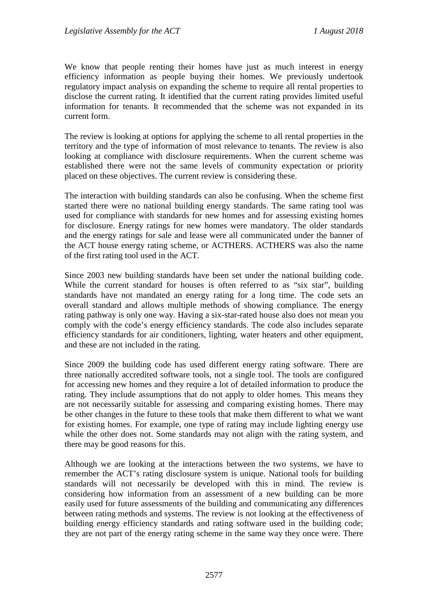We know that people renting their homes have just as much interest in energy efficiency information as people buying their homes. We previously undertook regulatory impact analysis on expanding the scheme to require all rental properties to disclose the current rating. It identified that the current rating provides limited useful information for tenants. It recommended that the scheme was not expanded in its current form.

The review is looking at options for applying the scheme to all rental properties in the territory and the type of information of most relevance to tenants. The review is also looking at compliance with disclosure requirements. When the current scheme was established there were not the same levels of community expectation or priority placed on these objectives. The current review is considering these.

The interaction with building standards can also be confusing. When the scheme first started there were no national building energy standards. The same rating tool was used for compliance with standards for new homes and for assessing existing homes for disclosure. Energy ratings for new homes were mandatory. The older standards and the energy ratings for sale and lease were all communicated under the banner of the ACT house energy rating scheme, or ACTHERS. ACTHERS was also the name of the first rating tool used in the ACT.

Since 2003 new building standards have been set under the national building code. While the current standard for houses is often referred to as "six star", building standards have not mandated an energy rating for a long time. The code sets an overall standard and allows multiple methods of showing compliance. The energy rating pathway is only one way. Having a six-star-rated house also does not mean you comply with the code's energy efficiency standards. The code also includes separate efficiency standards for air conditioners, lighting, water heaters and other equipment, and these are not included in the rating.

Since 2009 the building code has used different energy rating software. There are three nationally accredited software tools, not a single tool. The tools are configured for accessing new homes and they require a lot of detailed information to produce the rating. They include assumptions that do not apply to older homes. This means they are not necessarily suitable for assessing and comparing existing homes. There may be other changes in the future to these tools that make them different to what we want for existing homes. For example, one type of rating may include lighting energy use while the other does not. Some standards may not align with the rating system, and there may be good reasons for this.

Although we are looking at the interactions between the two systems, we have to remember the ACT's rating disclosure system is unique. National tools for building standards will not necessarily be developed with this in mind. The review is considering how information from an assessment of a new building can be more easily used for future assessments of the building and communicating any differences between rating methods and systems. The review is not looking at the effectiveness of building energy efficiency standards and rating software used in the building code; they are not part of the energy rating scheme in the same way they once were. There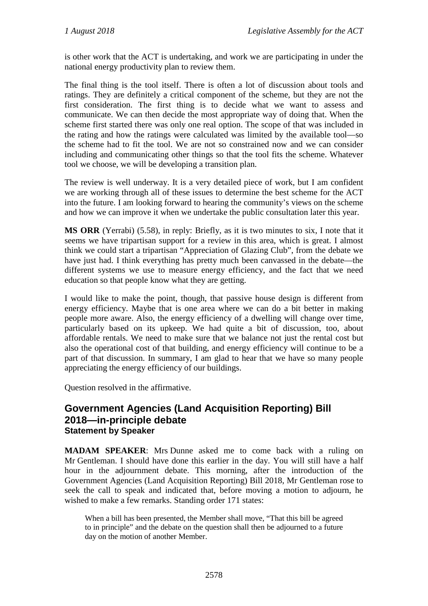is other work that the ACT is undertaking, and work we are participating in under the national energy productivity plan to review them.

The final thing is the tool itself. There is often a lot of discussion about tools and ratings. They are definitely a critical component of the scheme, but they are not the first consideration. The first thing is to decide what we want to assess and communicate. We can then decide the most appropriate way of doing that. When the scheme first started there was only one real option. The scope of that was included in the rating and how the ratings were calculated was limited by the available tool—so the scheme had to fit the tool. We are not so constrained now and we can consider including and communicating other things so that the tool fits the scheme. Whatever tool we choose, we will be developing a transition plan.

The review is well underway. It is a very detailed piece of work, but I am confident we are working through all of these issues to determine the best scheme for the ACT into the future. I am looking forward to hearing the community's views on the scheme and how we can improve it when we undertake the public consultation later this year.

**MS ORR** (Yerrabi) (5.58), in reply: Briefly, as it is two minutes to six, I note that it seems we have tripartisan support for a review in this area, which is great. I almost think we could start a tripartisan "Appreciation of Glazing Club", from the debate we have just had. I think everything has pretty much been canvassed in the debate—the different systems we use to measure energy efficiency, and the fact that we need education so that people know what they are getting.

I would like to make the point, though, that passive house design is different from energy efficiency. Maybe that is one area where we can do a bit better in making people more aware. Also, the energy efficiency of a dwelling will change over time, particularly based on its upkeep. We had quite a bit of discussion, too, about affordable rentals. We need to make sure that we balance not just the rental cost but also the operational cost of that building, and energy efficiency will continue to be a part of that discussion. In summary, I am glad to hear that we have so many people appreciating the energy efficiency of our buildings.

Question resolved in the affirmative.

## **Government Agencies (Land Acquisition Reporting) Bill 2018—in-principle debate Statement by Speaker**

**MADAM SPEAKER**: Mrs Dunne asked me to come back with a ruling on Mr Gentleman. I should have done this earlier in the day. You will still have a half hour in the adjournment debate. This morning, after the introduction of the Government Agencies (Land Acquisition Reporting) Bill 2018, Mr Gentleman rose to seek the call to speak and indicated that, before moving a motion to adjourn, he wished to make a few remarks. Standing order 171 states:

When a bill has been presented, the Member shall move, "That this bill be agreed to in principle" and the debate on the question shall then be adjourned to a future day on the motion of another Member.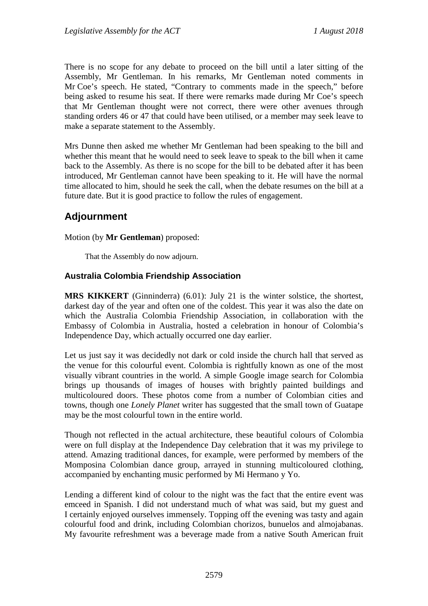There is no scope for any debate to proceed on the bill until a later sitting of the Assembly, Mr Gentleman. In his remarks, Mr Gentleman noted comments in Mr Coe's speech. He stated, "Contrary to comments made in the speech," before being asked to resume his seat. If there were remarks made during Mr Coe's speech that Mr Gentleman thought were not correct, there were other avenues through standing orders 46 or 47 that could have been utilised, or a member may seek leave to make a separate statement to the Assembly.

Mrs Dunne then asked me whether Mr Gentleman had been speaking to the bill and whether this meant that he would need to seek leave to speak to the bill when it came back to the Assembly. As there is no scope for the bill to be debated after it has been introduced, Mr Gentleman cannot have been speaking to it. He will have the normal time allocated to him, should he seek the call, when the debate resumes on the bill at a future date. But it is good practice to follow the rules of engagement.

# **Adjournment**

Motion (by **Mr Gentleman**) proposed:

That the Assembly do now adjourn.

### **Australia Colombia Friendship Association**

**MRS KIKKERT** (Ginninderra) (6.01): July 21 is the winter solstice, the shortest, darkest day of the year and often one of the coldest. This year it was also the date on which the Australia Colombia Friendship Association, in collaboration with the Embassy of Colombia in Australia, hosted a celebration in honour of Colombia's Independence Day, which actually occurred one day earlier.

Let us just say it was decidedly not dark or cold inside the church hall that served as the venue for this colourful event. Colombia is rightfully known as one of the most visually vibrant countries in the world. A simple Google image search for Colombia brings up thousands of images of houses with brightly painted buildings and multicoloured doors. These photos come from a number of Colombian cities and towns, though one *Lonely Planet* writer has suggested that the small town of Guatape may be the most colourful town in the entire world.

Though not reflected in the actual architecture, these beautiful colours of Colombia were on full display at the Independence Day celebration that it was my privilege to attend. Amazing traditional dances, for example, were performed by members of the Momposina Colombian dance group, arrayed in stunning multicoloured clothing, accompanied by enchanting music performed by Mi Hermano y Yo.

Lending a different kind of colour to the night was the fact that the entire event was emceed in Spanish. I did not understand much of what was said, but my guest and I certainly enjoyed ourselves immensely. Topping off the evening was tasty and again colourful food and drink, including Colombian chorizos, bunuelos and almojabanas. My favourite refreshment was a beverage made from a native South American fruit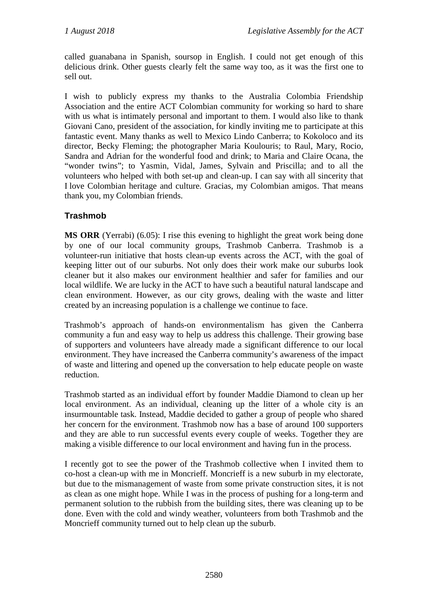called guanabana in Spanish, soursop in English. I could not get enough of this delicious drink. Other guests clearly felt the same way too, as it was the first one to sell out.

I wish to publicly express my thanks to the Australia Colombia Friendship Association and the entire ACT Colombian community for working so hard to share with us what is intimately personal and important to them. I would also like to thank Giovani Cano, president of the association, for kindly inviting me to participate at this fantastic event. Many thanks as well to Mexico Lindo Canberra; to Kokoloco and its director, Becky Fleming; the photographer Maria Koulouris; to Raul, Mary, Rocio, Sandra and Adrian for the wonderful food and drink; to Maria and Claire Ocana, the "wonder twins"; to Yasmin, Vidal, James, Sylvain and Priscilla; and to all the volunteers who helped with both set-up and clean-up. I can say with all sincerity that I love Colombian heritage and culture. Gracias, my Colombian amigos. That means thank you, my Colombian friends.

## **Trashmob**

**MS ORR** (Yerrabi) (6.05): I rise this evening to highlight the great work being done by one of our local community groups, Trashmob Canberra. Trashmob is a volunteer-run initiative that hosts clean-up events across the ACT, with the goal of keeping litter out of our suburbs. Not only does their work make our suburbs look cleaner but it also makes our environment healthier and safer for families and our local wildlife. We are lucky in the ACT to have such a beautiful natural landscape and clean environment. However, as our city grows, dealing with the waste and litter created by an increasing population is a challenge we continue to face.

Trashmob's approach of hands-on environmentalism has given the Canberra community a fun and easy way to help us address this challenge. Their growing base of supporters and volunteers have already made a significant difference to our local environment. They have increased the Canberra community's awareness of the impact of waste and littering and opened up the conversation to help educate people on waste reduction.

Trashmob started as an individual effort by founder Maddie Diamond to clean up her local environment. As an individual, cleaning up the litter of a whole city is an insurmountable task. Instead, Maddie decided to gather a group of people who shared her concern for the environment. Trashmob now has a base of around 100 supporters and they are able to run successful events every couple of weeks. Together they are making a visible difference to our local environment and having fun in the process.

I recently got to see the power of the Trashmob collective when I invited them to co-host a clean-up with me in Moncrieff. Moncrieff is a new suburb in my electorate, but due to the mismanagement of waste from some private construction sites, it is not as clean as one might hope. While I was in the process of pushing for a long-term and permanent solution to the rubbish from the building sites, there was cleaning up to be done. Even with the cold and windy weather, volunteers from both Trashmob and the Moncrieff community turned out to help clean up the suburb.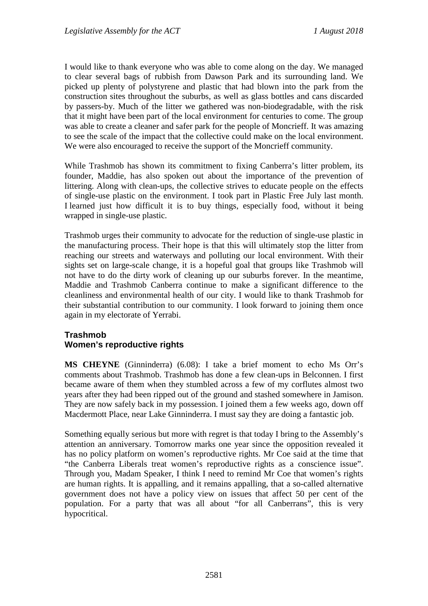I would like to thank everyone who was able to come along on the day. We managed to clear several bags of rubbish from Dawson Park and its surrounding land. We picked up plenty of polystyrene and plastic that had blown into the park from the construction sites throughout the suburbs, as well as glass bottles and cans discarded by passers-by. Much of the litter we gathered was non-biodegradable, with the risk that it might have been part of the local environment for centuries to come. The group was able to create a cleaner and safer park for the people of Moncrieff. It was amazing to see the scale of the impact that the collective could make on the local environment. We were also encouraged to receive the support of the Moncrieff community.

While Trashmob has shown its commitment to fixing Canberra's litter problem, its founder, Maddie, has also spoken out about the importance of the prevention of littering. Along with clean-ups, the collective strives to educate people on the effects of single-use plastic on the environment. I took part in Plastic Free July last month. I learned just how difficult it is to buy things, especially food, without it being wrapped in single-use plastic.

Trashmob urges their community to advocate for the reduction of single-use plastic in the manufacturing process. Their hope is that this will ultimately stop the litter from reaching our streets and waterways and polluting our local environment. With their sights set on large-scale change, it is a hopeful goal that groups like Trashmob will not have to do the dirty work of cleaning up our suburbs forever. In the meantime, Maddie and Trashmob Canberra continue to make a significant difference to the cleanliness and environmental health of our city. I would like to thank Trashmob for their substantial contribution to our community. I look forward to joining them once again in my electorate of Yerrabi.

#### **Trashmob Women's reproductive rights**

**MS CHEYNE** (Ginninderra) (6.08): I take a brief moment to echo Ms Orr's comments about Trashmob. Trashmob has done a few clean-ups in Belconnen. I first became aware of them when they stumbled across a few of my corflutes almost two years after they had been ripped out of the ground and stashed somewhere in Jamison. They are now safely back in my possession. I joined them a few weeks ago, down off Macdermott Place, near Lake Ginninderra. I must say they are doing a fantastic job.

Something equally serious but more with regret is that today I bring to the Assembly's attention an anniversary. Tomorrow marks one year since the opposition revealed it has no policy platform on women's reproductive rights. Mr Coe said at the time that "the Canberra Liberals treat women's reproductive rights as a conscience issue". Through you, Madam Speaker, I think I need to remind Mr Coe that women's rights are human rights. It is appalling, and it remains appalling, that a so-called alternative government does not have a policy view on issues that affect 50 per cent of the population. For a party that was all about "for all Canberrans", this is very hypocritical.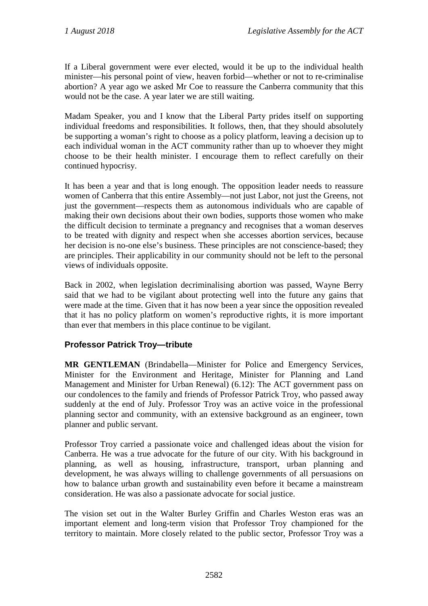If a Liberal government were ever elected, would it be up to the individual health minister—his personal point of view, heaven forbid—whether or not to re-criminalise abortion? A year ago we asked Mr Coe to reassure the Canberra community that this would not be the case. A year later we are still waiting.

Madam Speaker, you and I know that the Liberal Party prides itself on supporting individual freedoms and responsibilities. It follows, then, that they should absolutely be supporting a woman's right to choose as a policy platform, leaving a decision up to each individual woman in the ACT community rather than up to whoever they might choose to be their health minister. I encourage them to reflect carefully on their continued hypocrisy.

It has been a year and that is long enough. The opposition leader needs to reassure women of Canberra that this entire Assembly—not just Labor, not just the Greens, not just the government—respects them as autonomous individuals who are capable of making their own decisions about their own bodies, supports those women who make the difficult decision to terminate a pregnancy and recognises that a woman deserves to be treated with dignity and respect when she accesses abortion services, because her decision is no-one else's business. These principles are not conscience-based; they are principles. Their applicability in our community should not be left to the personal views of individuals opposite.

Back in 2002, when legislation decriminalising abortion was passed, Wayne Berry said that we had to be vigilant about protecting well into the future any gains that were made at the time. Given that it has now been a year since the opposition revealed that it has no policy platform on women's reproductive rights, it is more important than ever that members in this place continue to be vigilant.

## **Professor Patrick Troy—tribute**

**MR GENTLEMAN** (Brindabella—Minister for Police and Emergency Services, Minister for the Environment and Heritage, Minister for Planning and Land Management and Minister for Urban Renewal) (6.12): The ACT government pass on our condolences to the family and friends of Professor Patrick Troy, who passed away suddenly at the end of July. Professor Troy was an active voice in the professional planning sector and community, with an extensive background as an engineer, town planner and public servant.

Professor Troy carried a passionate voice and challenged ideas about the vision for Canberra. He was a true advocate for the future of our city. With his background in planning, as well as housing, infrastructure, transport, urban planning and development, he was always willing to challenge governments of all persuasions on how to balance urban growth and sustainability even before it became a mainstream consideration. He was also a passionate advocate for social justice.

The vision set out in the Walter Burley Griffin and Charles Weston eras was an important element and long-term vision that Professor Troy championed for the territory to maintain. More closely related to the public sector, Professor Troy was a